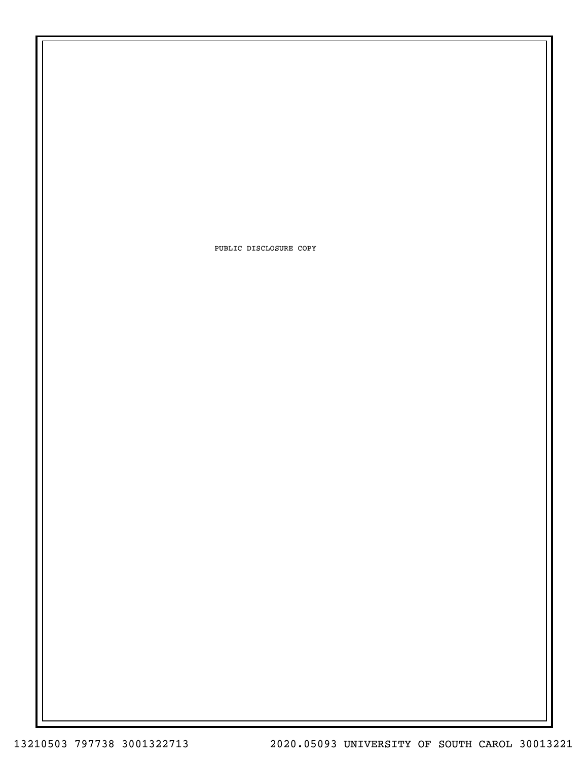PUBLIC DISCLOSURE COPY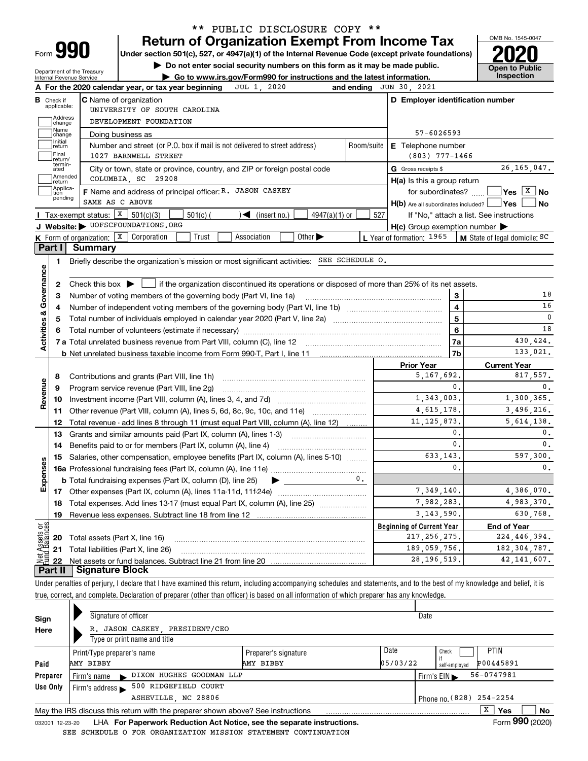| Form |  |
|------|--|

## **Return of Organization Exempt From Income Tax** \*\* PUBLIC DISCLOSURE COPY \*\*

**Under section 501(c), 527, or 4947(a)(1) of the Internal Revenue Code (except private foundations) 2020**

**| Do not enter social security numbers on this form as it may be made public.**

Department of the Treasury Internal Revenue Service

**| Go to www.irs.gov/Form990 for instructions and the latest information. Inspection**



| В                                 |                             |                                                                                                                                                     |            |                                                     |                                                   |
|-----------------------------------|-----------------------------|-----------------------------------------------------------------------------------------------------------------------------------------------------|------------|-----------------------------------------------------|---------------------------------------------------|
|                                   | Check if<br>applicable:     | <b>C</b> Name of organization                                                                                                                       |            | D Employer identification number                    |                                                   |
|                                   |                             | UNIVERSITY OF SOUTH CAROLINA                                                                                                                        |            |                                                     |                                                   |
|                                   | Address<br>]change<br>Name  | DEVELOPMENT FOUNDATION                                                                                                                              |            |                                                     |                                                   |
|                                   | change                      | Doing business as                                                                                                                                   |            | 57-6026593                                          |                                                   |
|                                   | Initial<br>return           | Number and street (or P.O. box if mail is not delivered to street address)                                                                          | Room/suite | <b>E</b> Telephone number                           |                                                   |
|                                   | Final<br>return/            | 1027 BARNWELL STREET                                                                                                                                |            | $(803)$ 777-1466                                    |                                                   |
|                                   | termin-<br>ated             | City or town, state or province, country, and ZIP or foreign postal code                                                                            |            | G Gross receipts \$                                 | 26, 165, 047.                                     |
|                                   | Amended<br>return           | COLUMBIA, SC 29208                                                                                                                                  |            | $H(a)$ is this a group return                       |                                                   |
|                                   | Applica-<br>tion<br>pending | F Name and address of principal officer: R. JASON CASKEY                                                                                            |            | for subordinates? $\ldots$                          | $ Yes X $ No                                      |
|                                   |                             | SAME AS C ABOVE                                                                                                                                     |            |                                                     | H(b) Are all subordinates included?   Yes<br>  No |
|                                   |                             | Tax-exempt status: $X$ 501(c)(3)<br>$\sqrt{\frac{2}{1}}$ (insert no.)<br>$501(c)$ (<br>$4947(a)(1)$ or                                              | 527        |                                                     | If "No," attach a list. See instructions          |
|                                   |                             | J Website: VOFSCFOUNDATIONS.ORG                                                                                                                     |            | $H(c)$ Group exemption number $\blacktriangleright$ |                                                   |
|                                   |                             | <b>K</b> Form of organization: $\boxed{\textbf{X}}$ Corporation<br>Other $\blacktriangleright$<br>Trust<br>Association                              |            | L Year of formation: 1965                           | M State of legal domicile: SC                     |
|                                   | Part I                      | Summary                                                                                                                                             |            |                                                     |                                                   |
|                                   | 1.                          | Briefly describe the organization's mission or most significant activities: SEE SCHEDULE 0.                                                         |            |                                                     |                                                   |
| Activities & Governance           |                             |                                                                                                                                                     |            |                                                     |                                                   |
|                                   | 2                           | Check this box $\blacktriangleright$ $\blacksquare$ if the organization discontinued its operations or disposed of more than 25% of its net assets. |            |                                                     |                                                   |
|                                   | З                           | Number of voting members of the governing body (Part VI, line 1a)                                                                                   |            |                                                     | 18<br>3                                           |
|                                   | 4                           |                                                                                                                                                     |            |                                                     | $\overline{\mathbf{4}}$<br>16                     |
|                                   | 5                           |                                                                                                                                                     |            |                                                     | $\mathbf 0$<br>5                                  |
|                                   | 6                           |                                                                                                                                                     |            |                                                     | 18<br>6                                           |
|                                   |                             |                                                                                                                                                     |            |                                                     |                                                   |
|                                   |                             |                                                                                                                                                     |            |                                                     | 430,424.<br>7a                                    |
|                                   |                             |                                                                                                                                                     |            |                                                     | 133,021.<br>7b                                    |
|                                   |                             |                                                                                                                                                     |            | <b>Prior Year</b>                                   | <b>Current Year</b>                               |
|                                   | 8                           | Contributions and grants (Part VIII, line 1h)                                                                                                       |            | 5, 167, 692.                                        | 817,557.                                          |
|                                   | 9                           | Program service revenue (Part VIII, line 2g)                                                                                                        |            |                                                     | 0.<br>$\mathbf{0}$ .                              |
|                                   | 10                          |                                                                                                                                                     |            | 1,343,003.                                          | 1,300,365.                                        |
|                                   | 11                          | Other revenue (Part VIII, column (A), lines 5, 6d, 8c, 9c, 10c, and 11e)                                                                            |            | 4, 615, 178.                                        | 3,496,216.                                        |
|                                   | 12                          | Total revenue - add lines 8 through 11 (must equal Part VIII, column (A), line 12)                                                                  |            | 11, 125, 873.                                       | 5, 614, 138.                                      |
|                                   | 13                          |                                                                                                                                                     |            |                                                     | 0.<br>0.                                          |
|                                   | 14                          | Grants and similar amounts paid (Part IX, column (A), lines 1-3)<br>Benefits paid to or for members (Part IX, column (A), line 4)                   |            |                                                     | $\mathbf{0}$ .                                    |
|                                   | 15                          |                                                                                                                                                     |            | 633.143.                                            |                                                   |
|                                   |                             | Salaries, other compensation, employee benefits (Part IX, column (A), lines 5-10)                                                                   |            |                                                     | $\mathbf{0}$ .                                    |
|                                   |                             | <b>b</b> Total fundraising expenses (Part IX, column (D), line 25)<br>$\blacktriangleright$ and $\blacktriangleright$ and $\blacktriangleright$     |            |                                                     | 0.<br>597.300.<br>0.                              |
|                                   |                             |                                                                                                                                                     |            | 7,349,140.                                          | 4,386,070.                                        |
|                                   | 18                          |                                                                                                                                                     |            | 7,982,283.                                          | 4,983,370.                                        |
|                                   | 19                          | Total expenses. Add lines 13-17 (must equal Part IX, column (A), line 25)                                                                           |            | 3, 143, 590.                                        | 630,768.                                          |
|                                   |                             |                                                                                                                                                     |            | <b>Beginning of Current Year</b>                    | <b>End of Year</b>                                |
| Revenue<br>Expenses<br>بَوْج<br>2 |                             |                                                                                                                                                     |            | 217, 256, 275.                                      | 224, 446, 394.                                    |
|                                   |                             | 20 Total assets (Part X, line 16)<br>21 Total liabilities (Part X, line 26)                                                                         |            | 189,059,756.                                        | 182, 304, 787.                                    |

Under penalties of perjury, I declare that I have examined this return, including accompanying schedules and statements, and to the best of my knowledge and belief, it is true, correct, and complete. Declaration of preparer (other than officer) is based on all information of which preparer has any knowledge.

| Sign            | Signature of officer                                                            |                           |                                  | Date       |                 |    |  |  |  |  |  |
|-----------------|---------------------------------------------------------------------------------|---------------------------|----------------------------------|------------|-----------------|----|--|--|--|--|--|
| Here            | R. JASON CASKEY PRESIDENT/CEO                                                   |                           |                                  |            |                 |    |  |  |  |  |  |
|                 | Type or print name and title                                                    |                           |                                  |            |                 |    |  |  |  |  |  |
|                 | Print/Type preparer's name                                                      | Preparer's signature      | Date                             | Check      | <b>PTIN</b>     |    |  |  |  |  |  |
| Paid            | AMY BIBBY<br>AMY BIBBY                                                          | 05/03/22<br>self-emploved | P00445891                        |            |                 |    |  |  |  |  |  |
| Preparer        | DIXON HUGHES GOODMAN LLP<br>Firm's name<br>$\blacksquare$                       |                           | Firm's $EIN \blacktriangleright$ | 56-0747981 |                 |    |  |  |  |  |  |
| Use Only        | 500 RIDGEFIELD COURT<br>Firm's address                                          |                           |                                  |            |                 |    |  |  |  |  |  |
|                 | Phone no. (828) 254-2254<br>ASHEVILLE, NC 28806                                 |                           |                                  |            |                 |    |  |  |  |  |  |
|                 | May the IRS discuss this return with the preparer shown above? See instructions |                           |                                  |            | X<br>Yes        | No |  |  |  |  |  |
| 032001 12-23-20 | LHA For Paperwork Reduction Act Notice, see the separate instructions.          |                           |                                  |            | Form 990 (2020) |    |  |  |  |  |  |

SEE SCHEDULE O FOR ORGANIZATION MISSION STATEMENT CONTINUATION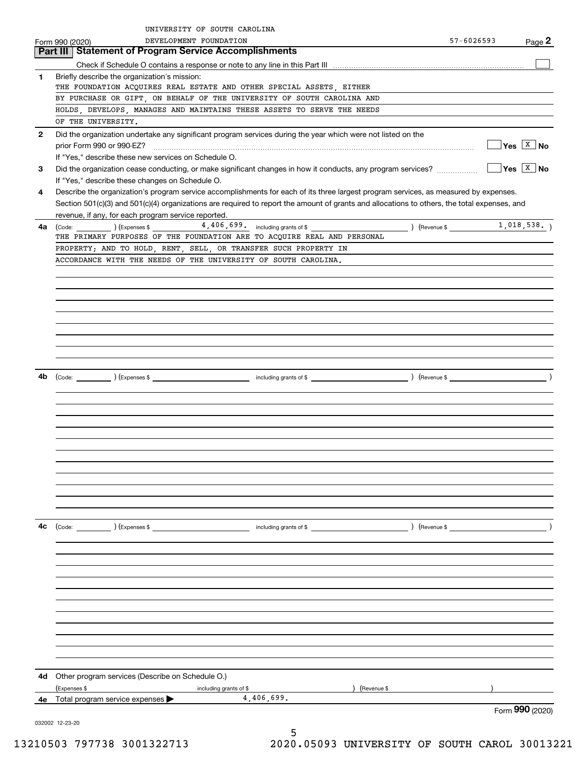|              | UNIVERSITY OF SOUTH CAROLINA                                                                                                                                                                                                                                                                                                                                                                                                                                                                                                                                                                                                                                                                                                                                                                                                                                                                                                                                                                                                                                                                                                                                                                                                                                                                                                                                                                                                                                                                                                                      |            |                                    |
|--------------|---------------------------------------------------------------------------------------------------------------------------------------------------------------------------------------------------------------------------------------------------------------------------------------------------------------------------------------------------------------------------------------------------------------------------------------------------------------------------------------------------------------------------------------------------------------------------------------------------------------------------------------------------------------------------------------------------------------------------------------------------------------------------------------------------------------------------------------------------------------------------------------------------------------------------------------------------------------------------------------------------------------------------------------------------------------------------------------------------------------------------------------------------------------------------------------------------------------------------------------------------------------------------------------------------------------------------------------------------------------------------------------------------------------------------------------------------------------------------------------------------------------------------------------------------|------------|------------------------------------|
|              | DEVELOPMENT FOUNDATION                                                                                                                                                                                                                                                                                                                                                                                                                                                                                                                                                                                                                                                                                                                                                                                                                                                                                                                                                                                                                                                                                                                                                                                                                                                                                                                                                                                                                                                                                                                            | 57-6026593 | Page 2                             |
|              |                                                                                                                                                                                                                                                                                                                                                                                                                                                                                                                                                                                                                                                                                                                                                                                                                                                                                                                                                                                                                                                                                                                                                                                                                                                                                                                                                                                                                                                                                                                                                   |            |                                    |
|              |                                                                                                                                                                                                                                                                                                                                                                                                                                                                                                                                                                                                                                                                                                                                                                                                                                                                                                                                                                                                                                                                                                                                                                                                                                                                                                                                                                                                                                                                                                                                                   |            |                                    |
| 1            | Briefly describe the organization's mission:                                                                                                                                                                                                                                                                                                                                                                                                                                                                                                                                                                                                                                                                                                                                                                                                                                                                                                                                                                                                                                                                                                                                                                                                                                                                                                                                                                                                                                                                                                      |            |                                    |
|              | Form 990 (2020)<br>Part III   Statement of Program Service Accomplishments<br>THE FOUNDATION ACQUIRES REAL ESTATE AND OTHER SPECIAL ASSETS, EITHER<br>BY PURCHASE OR GIFT, ON BEHALF OF THE UNIVERSITY OF SOUTH CAROLINA AND<br>HOLDS, DEVELOPS, MANAGES AND MAINTAINS THESE ASSETS TO SERVE THE NEEDS<br>OF THE UNIVERSITY.<br>Did the organization undertake any significant program services during the year which were not listed on the<br>If "Yes," describe these new services on Schedule O.<br>Did the organization cease conducting, or make significant changes in how it conducts, any program services?<br>If "Yes," describe these changes on Schedule O.<br>Describe the organization's program service accomplishments for each of its three largest program services, as measured by expenses.<br>Section 501(c)(3) and 501(c)(4) organizations are required to report the amount of grants and allocations to others, the total expenses, and<br>revenue, if any, for each program service reported.<br>$\begin{pmatrix} \text{Code:} & \text{I} & \text{I} \end{pmatrix}$ $\begin{pmatrix} \text{Expenses $} \ \end{pmatrix}$<br>THE PRIMARY PURPOSES OF THE FOUNDATION ARE TO ACQUIRE REAL AND PERSONAL<br>PROPERTY; AND TO HOLD, RENT, SELL, OR TRANSFER SUCH PROPERTY IN<br>ACCORDANCE WITH THE NEEDS OF THE UNIVERSITY OF SOUTH CAROLINA.<br>(Code: ) (Expenses \$<br>) (Revenue \$<br>including grants of \$<br>Other program services (Describe on Schedule O.)<br>(Expenses \$<br>(Revenue \$<br>including grants of \$ |            |                                    |
|              |                                                                                                                                                                                                                                                                                                                                                                                                                                                                                                                                                                                                                                                                                                                                                                                                                                                                                                                                                                                                                                                                                                                                                                                                                                                                                                                                                                                                                                                                                                                                                   |            |                                    |
|              |                                                                                                                                                                                                                                                                                                                                                                                                                                                                                                                                                                                                                                                                                                                                                                                                                                                                                                                                                                                                                                                                                                                                                                                                                                                                                                                                                                                                                                                                                                                                                   |            |                                    |
|              |                                                                                                                                                                                                                                                                                                                                                                                                                                                                                                                                                                                                                                                                                                                                                                                                                                                                                                                                                                                                                                                                                                                                                                                                                                                                                                                                                                                                                                                                                                                                                   |            |                                    |
| $\mathbf{2}$ |                                                                                                                                                                                                                                                                                                                                                                                                                                                                                                                                                                                                                                                                                                                                                                                                                                                                                                                                                                                                                                                                                                                                                                                                                                                                                                                                                                                                                                                                                                                                                   |            |                                    |
|              |                                                                                                                                                                                                                                                                                                                                                                                                                                                                                                                                                                                                                                                                                                                                                                                                                                                                                                                                                                                                                                                                                                                                                                                                                                                                                                                                                                                                                                                                                                                                                   |            | $\sqrt{Y}$ es $\boxed{X}$ No       |
|              |                                                                                                                                                                                                                                                                                                                                                                                                                                                                                                                                                                                                                                                                                                                                                                                                                                                                                                                                                                                                                                                                                                                                                                                                                                                                                                                                                                                                                                                                                                                                                   |            |                                    |
| 3            |                                                                                                                                                                                                                                                                                                                                                                                                                                                                                                                                                                                                                                                                                                                                                                                                                                                                                                                                                                                                                                                                                                                                                                                                                                                                                                                                                                                                                                                                                                                                                   |            | $\Box$ Yes $\boxed{\mathbf{X}}$ No |
|              |                                                                                                                                                                                                                                                                                                                                                                                                                                                                                                                                                                                                                                                                                                                                                                                                                                                                                                                                                                                                                                                                                                                                                                                                                                                                                                                                                                                                                                                                                                                                                   |            |                                    |
| 4            |                                                                                                                                                                                                                                                                                                                                                                                                                                                                                                                                                                                                                                                                                                                                                                                                                                                                                                                                                                                                                                                                                                                                                                                                                                                                                                                                                                                                                                                                                                                                                   |            |                                    |
|              |                                                                                                                                                                                                                                                                                                                                                                                                                                                                                                                                                                                                                                                                                                                                                                                                                                                                                                                                                                                                                                                                                                                                                                                                                                                                                                                                                                                                                                                                                                                                                   |            |                                    |
|              |                                                                                                                                                                                                                                                                                                                                                                                                                                                                                                                                                                                                                                                                                                                                                                                                                                                                                                                                                                                                                                                                                                                                                                                                                                                                                                                                                                                                                                                                                                                                                   |            |                                    |
| 4a           |                                                                                                                                                                                                                                                                                                                                                                                                                                                                                                                                                                                                                                                                                                                                                                                                                                                                                                                                                                                                                                                                                                                                                                                                                                                                                                                                                                                                                                                                                                                                                   |            |                                    |
|              |                                                                                                                                                                                                                                                                                                                                                                                                                                                                                                                                                                                                                                                                                                                                                                                                                                                                                                                                                                                                                                                                                                                                                                                                                                                                                                                                                                                                                                                                                                                                                   |            |                                    |
|              |                                                                                                                                                                                                                                                                                                                                                                                                                                                                                                                                                                                                                                                                                                                                                                                                                                                                                                                                                                                                                                                                                                                                                                                                                                                                                                                                                                                                                                                                                                                                                   |            |                                    |
|              |                                                                                                                                                                                                                                                                                                                                                                                                                                                                                                                                                                                                                                                                                                                                                                                                                                                                                                                                                                                                                                                                                                                                                                                                                                                                                                                                                                                                                                                                                                                                                   |            |                                    |
|              |                                                                                                                                                                                                                                                                                                                                                                                                                                                                                                                                                                                                                                                                                                                                                                                                                                                                                                                                                                                                                                                                                                                                                                                                                                                                                                                                                                                                                                                                                                                                                   |            |                                    |
|              |                                                                                                                                                                                                                                                                                                                                                                                                                                                                                                                                                                                                                                                                                                                                                                                                                                                                                                                                                                                                                                                                                                                                                                                                                                                                                                                                                                                                                                                                                                                                                   |            |                                    |
|              |                                                                                                                                                                                                                                                                                                                                                                                                                                                                                                                                                                                                                                                                                                                                                                                                                                                                                                                                                                                                                                                                                                                                                                                                                                                                                                                                                                                                                                                                                                                                                   |            |                                    |
|              |                                                                                                                                                                                                                                                                                                                                                                                                                                                                                                                                                                                                                                                                                                                                                                                                                                                                                                                                                                                                                                                                                                                                                                                                                                                                                                                                                                                                                                                                                                                                                   |            |                                    |
|              |                                                                                                                                                                                                                                                                                                                                                                                                                                                                                                                                                                                                                                                                                                                                                                                                                                                                                                                                                                                                                                                                                                                                                                                                                                                                                                                                                                                                                                                                                                                                                   |            |                                    |
|              |                                                                                                                                                                                                                                                                                                                                                                                                                                                                                                                                                                                                                                                                                                                                                                                                                                                                                                                                                                                                                                                                                                                                                                                                                                                                                                                                                                                                                                                                                                                                                   |            |                                    |
|              |                                                                                                                                                                                                                                                                                                                                                                                                                                                                                                                                                                                                                                                                                                                                                                                                                                                                                                                                                                                                                                                                                                                                                                                                                                                                                                                                                                                                                                                                                                                                                   |            |                                    |
|              |                                                                                                                                                                                                                                                                                                                                                                                                                                                                                                                                                                                                                                                                                                                                                                                                                                                                                                                                                                                                                                                                                                                                                                                                                                                                                                                                                                                                                                                                                                                                                   |            |                                    |
|              |                                                                                                                                                                                                                                                                                                                                                                                                                                                                                                                                                                                                                                                                                                                                                                                                                                                                                                                                                                                                                                                                                                                                                                                                                                                                                                                                                                                                                                                                                                                                                   |            |                                    |
|              |                                                                                                                                                                                                                                                                                                                                                                                                                                                                                                                                                                                                                                                                                                                                                                                                                                                                                                                                                                                                                                                                                                                                                                                                                                                                                                                                                                                                                                                                                                                                                   |            |                                    |
| 4b           |                                                                                                                                                                                                                                                                                                                                                                                                                                                                                                                                                                                                                                                                                                                                                                                                                                                                                                                                                                                                                                                                                                                                                                                                                                                                                                                                                                                                                                                                                                                                                   |            |                                    |
|              |                                                                                                                                                                                                                                                                                                                                                                                                                                                                                                                                                                                                                                                                                                                                                                                                                                                                                                                                                                                                                                                                                                                                                                                                                                                                                                                                                                                                                                                                                                                                                   |            |                                    |
|              |                                                                                                                                                                                                                                                                                                                                                                                                                                                                                                                                                                                                                                                                                                                                                                                                                                                                                                                                                                                                                                                                                                                                                                                                                                                                                                                                                                                                                                                                                                                                                   |            |                                    |
|              |                                                                                                                                                                                                                                                                                                                                                                                                                                                                                                                                                                                                                                                                                                                                                                                                                                                                                                                                                                                                                                                                                                                                                                                                                                                                                                                                                                                                                                                                                                                                                   |            |                                    |
|              |                                                                                                                                                                                                                                                                                                                                                                                                                                                                                                                                                                                                                                                                                                                                                                                                                                                                                                                                                                                                                                                                                                                                                                                                                                                                                                                                                                                                                                                                                                                                                   |            |                                    |
|              |                                                                                                                                                                                                                                                                                                                                                                                                                                                                                                                                                                                                                                                                                                                                                                                                                                                                                                                                                                                                                                                                                                                                                                                                                                                                                                                                                                                                                                                                                                                                                   |            |                                    |
|              |                                                                                                                                                                                                                                                                                                                                                                                                                                                                                                                                                                                                                                                                                                                                                                                                                                                                                                                                                                                                                                                                                                                                                                                                                                                                                                                                                                                                                                                                                                                                                   |            |                                    |
|              |                                                                                                                                                                                                                                                                                                                                                                                                                                                                                                                                                                                                                                                                                                                                                                                                                                                                                                                                                                                                                                                                                                                                                                                                                                                                                                                                                                                                                                                                                                                                                   |            |                                    |
|              |                                                                                                                                                                                                                                                                                                                                                                                                                                                                                                                                                                                                                                                                                                                                                                                                                                                                                                                                                                                                                                                                                                                                                                                                                                                                                                                                                                                                                                                                                                                                                   |            |                                    |
|              |                                                                                                                                                                                                                                                                                                                                                                                                                                                                                                                                                                                                                                                                                                                                                                                                                                                                                                                                                                                                                                                                                                                                                                                                                                                                                                                                                                                                                                                                                                                                                   |            |                                    |
|              |                                                                                                                                                                                                                                                                                                                                                                                                                                                                                                                                                                                                                                                                                                                                                                                                                                                                                                                                                                                                                                                                                                                                                                                                                                                                                                                                                                                                                                                                                                                                                   |            |                                    |
|              |                                                                                                                                                                                                                                                                                                                                                                                                                                                                                                                                                                                                                                                                                                                                                                                                                                                                                                                                                                                                                                                                                                                                                                                                                                                                                                                                                                                                                                                                                                                                                   |            |                                    |
|              |                                                                                                                                                                                                                                                                                                                                                                                                                                                                                                                                                                                                                                                                                                                                                                                                                                                                                                                                                                                                                                                                                                                                                                                                                                                                                                                                                                                                                                                                                                                                                   |            |                                    |
| 4с           |                                                                                                                                                                                                                                                                                                                                                                                                                                                                                                                                                                                                                                                                                                                                                                                                                                                                                                                                                                                                                                                                                                                                                                                                                                                                                                                                                                                                                                                                                                                                                   |            |                                    |
|              |                                                                                                                                                                                                                                                                                                                                                                                                                                                                                                                                                                                                                                                                                                                                                                                                                                                                                                                                                                                                                                                                                                                                                                                                                                                                                                                                                                                                                                                                                                                                                   |            |                                    |
|              |                                                                                                                                                                                                                                                                                                                                                                                                                                                                                                                                                                                                                                                                                                                                                                                                                                                                                                                                                                                                                                                                                                                                                                                                                                                                                                                                                                                                                                                                                                                                                   |            |                                    |
|              |                                                                                                                                                                                                                                                                                                                                                                                                                                                                                                                                                                                                                                                                                                                                                                                                                                                                                                                                                                                                                                                                                                                                                                                                                                                                                                                                                                                                                                                                                                                                                   |            |                                    |
|              |                                                                                                                                                                                                                                                                                                                                                                                                                                                                                                                                                                                                                                                                                                                                                                                                                                                                                                                                                                                                                                                                                                                                                                                                                                                                                                                                                                                                                                                                                                                                                   |            |                                    |
|              |                                                                                                                                                                                                                                                                                                                                                                                                                                                                                                                                                                                                                                                                                                                                                                                                                                                                                                                                                                                                                                                                                                                                                                                                                                                                                                                                                                                                                                                                                                                                                   |            |                                    |
|              |                                                                                                                                                                                                                                                                                                                                                                                                                                                                                                                                                                                                                                                                                                                                                                                                                                                                                                                                                                                                                                                                                                                                                                                                                                                                                                                                                                                                                                                                                                                                                   |            |                                    |
|              |                                                                                                                                                                                                                                                                                                                                                                                                                                                                                                                                                                                                                                                                                                                                                                                                                                                                                                                                                                                                                                                                                                                                                                                                                                                                                                                                                                                                                                                                                                                                                   |            |                                    |
|              |                                                                                                                                                                                                                                                                                                                                                                                                                                                                                                                                                                                                                                                                                                                                                                                                                                                                                                                                                                                                                                                                                                                                                                                                                                                                                                                                                                                                                                                                                                                                                   |            |                                    |
|              |                                                                                                                                                                                                                                                                                                                                                                                                                                                                                                                                                                                                                                                                                                                                                                                                                                                                                                                                                                                                                                                                                                                                                                                                                                                                                                                                                                                                                                                                                                                                                   |            |                                    |
|              |                                                                                                                                                                                                                                                                                                                                                                                                                                                                                                                                                                                                                                                                                                                                                                                                                                                                                                                                                                                                                                                                                                                                                                                                                                                                                                                                                                                                                                                                                                                                                   |            |                                    |
|              |                                                                                                                                                                                                                                                                                                                                                                                                                                                                                                                                                                                                                                                                                                                                                                                                                                                                                                                                                                                                                                                                                                                                                                                                                                                                                                                                                                                                                                                                                                                                                   |            |                                    |
|              |                                                                                                                                                                                                                                                                                                                                                                                                                                                                                                                                                                                                                                                                                                                                                                                                                                                                                                                                                                                                                                                                                                                                                                                                                                                                                                                                                                                                                                                                                                                                                   |            |                                    |
|              |                                                                                                                                                                                                                                                                                                                                                                                                                                                                                                                                                                                                                                                                                                                                                                                                                                                                                                                                                                                                                                                                                                                                                                                                                                                                                                                                                                                                                                                                                                                                                   |            |                                    |
| 4d           |                                                                                                                                                                                                                                                                                                                                                                                                                                                                                                                                                                                                                                                                                                                                                                                                                                                                                                                                                                                                                                                                                                                                                                                                                                                                                                                                                                                                                                                                                                                                                   |            |                                    |
|              |                                                                                                                                                                                                                                                                                                                                                                                                                                                                                                                                                                                                                                                                                                                                                                                                                                                                                                                                                                                                                                                                                                                                                                                                                                                                                                                                                                                                                                                                                                                                                   |            |                                    |
| 4e           | 4,406,699.<br>Total program service expenses                                                                                                                                                                                                                                                                                                                                                                                                                                                                                                                                                                                                                                                                                                                                                                                                                                                                                                                                                                                                                                                                                                                                                                                                                                                                                                                                                                                                                                                                                                      |            |                                    |
|              |                                                                                                                                                                                                                                                                                                                                                                                                                                                                                                                                                                                                                                                                                                                                                                                                                                                                                                                                                                                                                                                                                                                                                                                                                                                                                                                                                                                                                                                                                                                                                   |            | Form 990 (2020)                    |
|              | 032002 12-23-20                                                                                                                                                                                                                                                                                                                                                                                                                                                                                                                                                                                                                                                                                                                                                                                                                                                                                                                                                                                                                                                                                                                                                                                                                                                                                                                                                                                                                                                                                                                                   |            |                                    |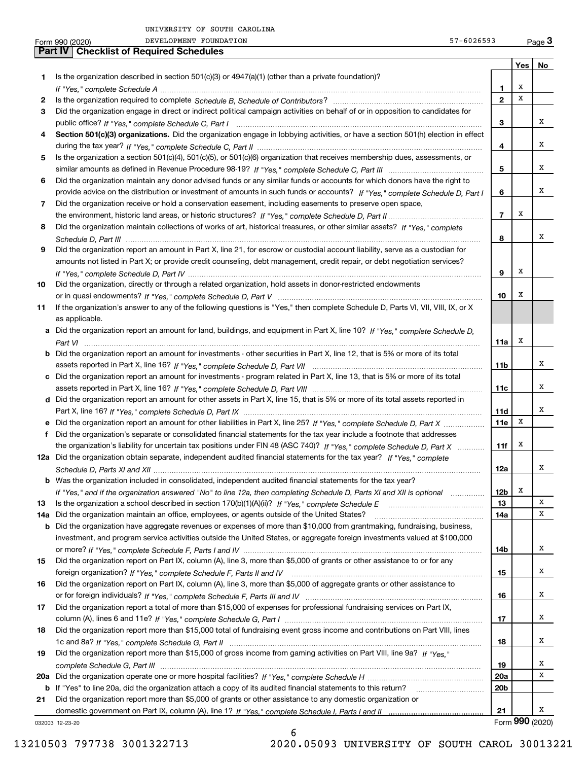|     | $57 - 6026593$<br>DEVELOPMENT FOUNDATION<br>Form 990 (2020)                                                                                     |                 |     | $Page$ <sup>3</sup> |
|-----|-------------------------------------------------------------------------------------------------------------------------------------------------|-----------------|-----|---------------------|
|     | <b>Checklist of Required Schedules</b><br><b>Part IV</b>                                                                                        |                 |     |                     |
|     |                                                                                                                                                 |                 | Yes | No                  |
| 1.  | Is the organization described in section 501(c)(3) or 4947(a)(1) (other than a private foundation)?                                             |                 |     |                     |
|     |                                                                                                                                                 | 1               | х   |                     |
| 2   |                                                                                                                                                 | $\overline{2}$  | x   |                     |
| 3   | Did the organization engage in direct or indirect political campaign activities on behalf of or in opposition to candidates for                 |                 |     |                     |
|     |                                                                                                                                                 | з               |     | х                   |
| 4   | Section 501(c)(3) organizations. Did the organization engage in lobbying activities, or have a section 501(h) election in effect                |                 |     |                     |
|     |                                                                                                                                                 | 4               |     | х                   |
| 5   | Is the organization a section 501(c)(4), 501(c)(5), or 501(c)(6) organization that receives membership dues, assessments, or                    |                 |     |                     |
|     |                                                                                                                                                 | 5               |     | х                   |
| 6   | Did the organization maintain any donor advised funds or any similar funds or accounts for which donors have the right to                       |                 |     |                     |
|     | provide advice on the distribution or investment of amounts in such funds or accounts? If "Yes," complete Schedule D, Part I                    | 6               |     | х                   |
| 7   | Did the organization receive or hold a conservation easement, including easements to preserve open space,                                       |                 |     |                     |
|     |                                                                                                                                                 | $\overline{7}$  | X   |                     |
| 8   | Did the organization maintain collections of works of art, historical treasures, or other similar assets? If "Yes," complete                    |                 |     |                     |
|     |                                                                                                                                                 | 8               |     | х                   |
| 9   | Did the organization report an amount in Part X, line 21, for escrow or custodial account liability, serve as a custodian for                   |                 |     |                     |
|     | amounts not listed in Part X; or provide credit counseling, debt management, credit repair, or debt negotiation services?                       |                 |     |                     |
|     |                                                                                                                                                 | 9               | х   |                     |
| 10  | Did the organization, directly or through a related organization, hold assets in donor-restricted endowments                                    |                 |     |                     |
|     |                                                                                                                                                 | 10              | X   |                     |
|     | If the organization's answer to any of the following questions is "Yes," then complete Schedule D, Parts VI, VII, VIII, IX, or X                |                 |     |                     |
| 11  |                                                                                                                                                 |                 |     |                     |
|     | as applicable.<br>a Did the organization report an amount for land, buildings, and equipment in Part X, line 10? If "Yes," complete Schedule D, |                 |     |                     |
|     |                                                                                                                                                 |                 | х   |                     |
|     |                                                                                                                                                 | 11a             |     |                     |
|     | <b>b</b> Did the organization report an amount for investments - other securities in Part X, line 12, that is 5% or more of its total           |                 |     | х                   |
|     |                                                                                                                                                 | 11b             |     |                     |
|     | c Did the organization report an amount for investments - program related in Part X, line 13, that is 5% or more of its total                   |                 |     | х                   |
|     |                                                                                                                                                 | 11c             |     |                     |
|     | d Did the organization report an amount for other assets in Part X, line 15, that is 5% or more of its total assets reported in                 |                 |     | х                   |
|     |                                                                                                                                                 | 11d             |     |                     |
|     |                                                                                                                                                 | 11e             | X   |                     |
|     | f Did the organization's separate or consolidated financial statements for the tax year include a footnote that addresses                       |                 |     |                     |
|     | the organization's liability for uncertain tax positions under FIN 48 (ASC 740)? If "Yes," complete Schedule D, Part X                          | 11f             | x   |                     |
|     | 12a Did the organization obtain separate, independent audited financial statements for the tax year? If "Yes," complete                         |                 |     |                     |
|     |                                                                                                                                                 | 12a             |     | x                   |
|     | <b>b</b> Was the organization included in consolidated, independent audited financial statements for the tax year?                              |                 |     |                     |
|     | If "Yes," and if the organization answered "No" to line 12a, then completing Schedule D, Parts XI and XII is optional                           | 12b             | Х   |                     |
| 13  |                                                                                                                                                 | 13              |     | X                   |
| 14a | Did the organization maintain an office, employees, or agents outside of the United States?                                                     | 14a             |     | х                   |
|     | <b>b</b> Did the organization have aggregate revenues or expenses of more than \$10,000 from grantmaking, fundraising, business,                |                 |     |                     |
|     | investment, and program service activities outside the United States, or aggregate foreign investments valued at \$100,000                      |                 |     |                     |
|     |                                                                                                                                                 | 14b             |     | X                   |
| 15  | Did the organization report on Part IX, column (A), line 3, more than \$5,000 of grants or other assistance to or for any                       |                 |     |                     |
|     |                                                                                                                                                 | 15              |     | х                   |
| 16  | Did the organization report on Part IX, column (A), line 3, more than \$5,000 of aggregate grants or other assistance to                        |                 |     |                     |
|     |                                                                                                                                                 | 16              |     | х                   |
| 17  | Did the organization report a total of more than \$15,000 of expenses for professional fundraising services on Part IX,                         |                 |     |                     |
|     |                                                                                                                                                 | 17              |     | х                   |
| 18  | Did the organization report more than \$15,000 total of fundraising event gross income and contributions on Part VIII, lines                    |                 |     |                     |
|     |                                                                                                                                                 | 18              |     | х                   |
| 19  | Did the organization report more than \$15,000 of gross income from gaming activities on Part VIII, line 9a? If "Yes."                          |                 |     |                     |
|     |                                                                                                                                                 | 19              |     | х                   |
|     |                                                                                                                                                 | <b>20a</b>      |     | х                   |
| b   |                                                                                                                                                 | 20 <sub>b</sub> |     |                     |
| 21  | Did the organization report more than \$5,000 of grants or other assistance to any domestic organization or                                     |                 |     |                     |
|     |                                                                                                                                                 | 21              |     | х                   |
|     | 032003 12-23-20                                                                                                                                 |                 |     | Form 990 (2020)     |

6

032003 12-23-20

13210503 797738 3001322713 2020.05093 UNIVERSITY OF SOUTH CAROL 30013221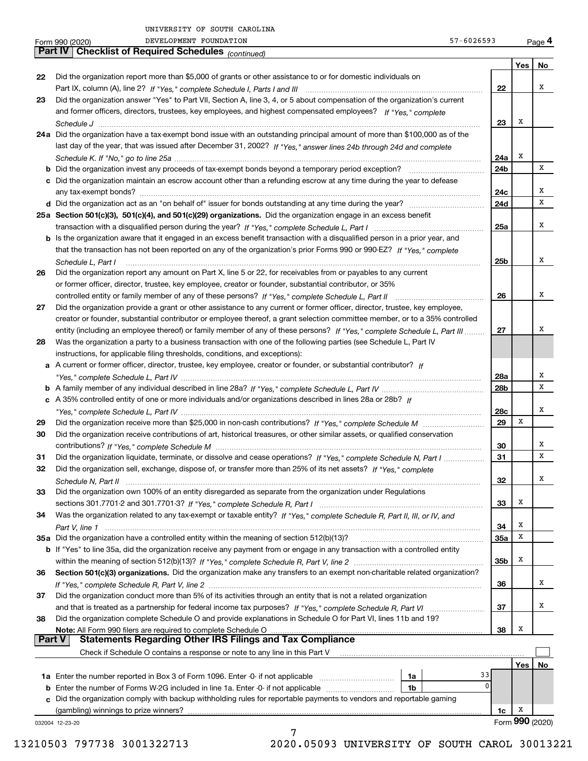|               | DEVELOPMENT FOUNDATION<br>57-6026593<br>Form 990 (2020)                                                                                                                                                                                      |            |                 | Page 4 |
|---------------|----------------------------------------------------------------------------------------------------------------------------------------------------------------------------------------------------------------------------------------------|------------|-----------------|--------|
|               | <b>Checklist of Required Schedules</b> (continued)<br><b>Part IV</b>                                                                                                                                                                         |            |                 |        |
|               |                                                                                                                                                                                                                                              |            | Yes             | No     |
| 22            | Did the organization report more than \$5,000 of grants or other assistance to or for domestic individuals on                                                                                                                                |            |                 | х      |
|               |                                                                                                                                                                                                                                              | 22         |                 |        |
| 23            | Did the organization answer "Yes" to Part VII, Section A, line 3, 4, or 5 about compensation of the organization's current<br>and former officers, directors, trustees, key employees, and highest compensated employees? If "Yes," complete |            |                 |        |
|               |                                                                                                                                                                                                                                              | 23         | Х               |        |
|               | 24a Did the organization have a tax-exempt bond issue with an outstanding principal amount of more than \$100,000 as of the                                                                                                                  |            |                 |        |
|               | last day of the year, that was issued after December 31, 2002? If "Yes," answer lines 24b through 24d and complete                                                                                                                           |            |                 |        |
|               |                                                                                                                                                                                                                                              | 24a        | х               |        |
|               |                                                                                                                                                                                                                                              | 24b        |                 | x      |
|               | c Did the organization maintain an escrow account other than a refunding escrow at any time during the year to defease                                                                                                                       |            |                 |        |
|               |                                                                                                                                                                                                                                              | 24c        |                 | х      |
|               |                                                                                                                                                                                                                                              | 24d        |                 | х      |
|               | 25a Section 501(c)(3), 501(c)(4), and 501(c)(29) organizations. Did the organization engage in an excess benefit                                                                                                                             |            |                 |        |
|               |                                                                                                                                                                                                                                              | 25a        |                 | х      |
|               | b Is the organization aware that it engaged in an excess benefit transaction with a disqualified person in a prior year, and                                                                                                                 |            |                 |        |
|               | that the transaction has not been reported on any of the organization's prior Forms 990 or 990-EZ? If "Yes," complete                                                                                                                        |            |                 |        |
|               | Schedule L, Part I                                                                                                                                                                                                                           | 25b        |                 | х      |
| 26            | Did the organization report any amount on Part X, line 5 or 22, for receivables from or payables to any current                                                                                                                              |            |                 |        |
|               | or former officer, director, trustee, key employee, creator or founder, substantial contributor, or 35%                                                                                                                                      |            |                 |        |
|               |                                                                                                                                                                                                                                              | 26         |                 | х      |
| 27            | Did the organization provide a grant or other assistance to any current or former officer, director, trustee, key employee,                                                                                                                  |            |                 |        |
|               | creator or founder, substantial contributor or employee thereof, a grant selection committee member, or to a 35% controlled                                                                                                                  |            |                 |        |
|               | entity (including an employee thereof) or family member of any of these persons? If "Yes," complete Schedule L, Part III                                                                                                                     | 27         |                 | х      |
| 28            | Was the organization a party to a business transaction with one of the following parties (see Schedule L, Part IV                                                                                                                            |            |                 |        |
|               | instructions, for applicable filing thresholds, conditions, and exceptions):                                                                                                                                                                 |            |                 |        |
|               | a A current or former officer, director, trustee, key employee, creator or founder, or substantial contributor? If                                                                                                                           |            |                 | Х      |
|               |                                                                                                                                                                                                                                              | 28a<br>28b |                 | х      |
|               | c A 35% controlled entity of one or more individuals and/or organizations described in lines 28a or 28b? If                                                                                                                                  |            |                 |        |
|               |                                                                                                                                                                                                                                              | 28c        |                 | х      |
| 29            |                                                                                                                                                                                                                                              | 29         | х               |        |
| 30            | Did the organization receive contributions of art, historical treasures, or other similar assets, or qualified conservation                                                                                                                  |            |                 |        |
|               |                                                                                                                                                                                                                                              | 30         |                 | х      |
| 31            | Did the organization liquidate, terminate, or dissolve and cease operations? If "Yes," complete Schedule N, Part I                                                                                                                           | 31         |                 | х      |
|               | Did the organization sell, exchange, dispose of, or transfer more than 25% of its net assets? If "Yes," complete                                                                                                                             |            |                 |        |
|               |                                                                                                                                                                                                                                              | 32         |                 | х      |
| 33            | Did the organization own 100% of an entity disregarded as separate from the organization under Regulations                                                                                                                                   |            |                 |        |
|               |                                                                                                                                                                                                                                              | 33         | х               |        |
| 34            | Was the organization related to any tax-exempt or taxable entity? If "Yes," complete Schedule R, Part II, III, or IV, and                                                                                                                    |            |                 |        |
|               |                                                                                                                                                                                                                                              | 34         | х               |        |
|               | 35a Did the organization have a controlled entity within the meaning of section 512(b)(13)?                                                                                                                                                  | <b>35a</b> | х               |        |
|               | b If "Yes" to line 35a, did the organization receive any payment from or engage in any transaction with a controlled entity                                                                                                                  |            |                 |        |
|               |                                                                                                                                                                                                                                              | 35b        | x               |        |
| 36            | Section 501(c)(3) organizations. Did the organization make any transfers to an exempt non-charitable related organization?                                                                                                                   |            |                 |        |
|               |                                                                                                                                                                                                                                              | 36         |                 | х      |
| 37            | Did the organization conduct more than 5% of its activities through an entity that is not a related organization                                                                                                                             |            |                 |        |
|               |                                                                                                                                                                                                                                              | 37         |                 | x      |
| 38            | Did the organization complete Schedule O and provide explanations in Schedule O for Part VI, lines 11b and 19?                                                                                                                               |            |                 |        |
| <b>Part V</b> | Note: All Form 990 filers are required to complete Schedule O<br><b>Statements Regarding Other IRS Filings and Tax Compliance</b>                                                                                                            | 38         | x               |        |
|               | Check if Schedule O contains a response or note to any line in this Part V                                                                                                                                                                   |            |                 |        |
|               |                                                                                                                                                                                                                                              |            | Yes             | No     |
|               | 1a                                                                                                                                                                                                                                           | 33         |                 |        |
|               | <b>b</b> Enter the number of Forms W-2G included in line 1a. Enter -0- if not applicable<br>1b                                                                                                                                               | 0          |                 |        |
|               | c Did the organization comply with backup withholding rules for reportable payments to vendors and reportable gaming                                                                                                                         |            |                 |        |
|               |                                                                                                                                                                                                                                              | 1c         | x               |        |
|               | 032004 12-23-20                                                                                                                                                                                                                              |            | Form 990 (2020) |        |
|               | 7                                                                                                                                                                                                                                            |            |                 |        |

13210503 797738 3001322713 2020.05093 UNIVERSITY OF SOUTH CAROL 30013221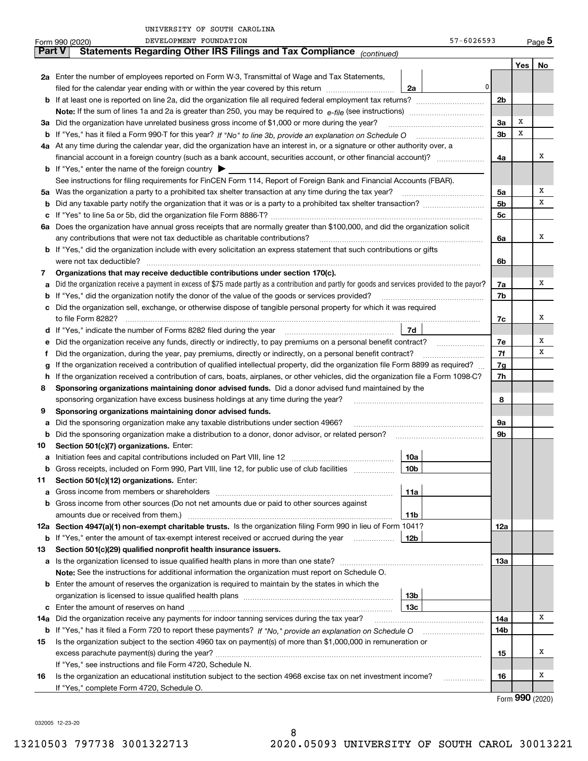|               | DEVELOPMENT FOUNDATION<br>Form 990 (2020)                                                                                                                                                                                  | 57-6026593      |                |     | $_{\text{Page}}$ 5 |  |  |  |  |  |
|---------------|----------------------------------------------------------------------------------------------------------------------------------------------------------------------------------------------------------------------------|-----------------|----------------|-----|--------------------|--|--|--|--|--|
| <b>Part V</b> | Statements Regarding Other IRS Filings and Tax Compliance (continued)                                                                                                                                                      |                 |                |     |                    |  |  |  |  |  |
|               |                                                                                                                                                                                                                            |                 |                | Yes | No                 |  |  |  |  |  |
|               | 2a Enter the number of employees reported on Form W-3, Transmittal of Wage and Tax Statements,                                                                                                                             |                 |                |     |                    |  |  |  |  |  |
|               | filed for the calendar year ending with or within the year covered by this return <i>manumumumum</i>                                                                                                                       | 0 <br>2a        |                |     |                    |  |  |  |  |  |
|               | <b>b</b> If at least one is reported on line 2a, did the organization file all required federal employment tax returns?                                                                                                    |                 | 2b             |     |                    |  |  |  |  |  |
|               |                                                                                                                                                                                                                            |                 |                |     |                    |  |  |  |  |  |
| За            | Did the organization have unrelated business gross income of \$1,000 or more during the year?                                                                                                                              |                 | 3a             | х   |                    |  |  |  |  |  |
| b             | If "Yes," has it filed a Form 990 T for this year? If "No" to line 3b, provide an explanation on Schedule O multiminiminiminimi                                                                                            |                 | 3b             | х   |                    |  |  |  |  |  |
|               | 4a At any time during the calendar year, did the organization have an interest in, or a signature or other authority over, a                                                                                               |                 |                |     |                    |  |  |  |  |  |
|               | financial account in a foreign country (such as a bank account, securities account, or other financial account)?<br>4a                                                                                                     |                 |                |     |                    |  |  |  |  |  |
|               | <b>b</b> If "Yes," enter the name of the foreign country $\blacktriangleright$                                                                                                                                             |                 |                |     |                    |  |  |  |  |  |
|               | See instructions for filing requirements for FinCEN Form 114, Report of Foreign Bank and Financial Accounts (FBAR).                                                                                                        |                 |                |     |                    |  |  |  |  |  |
|               |                                                                                                                                                                                                                            |                 | 5a             |     | Χ                  |  |  |  |  |  |
| b             |                                                                                                                                                                                                                            |                 | 5b             |     | х                  |  |  |  |  |  |
| с             |                                                                                                                                                                                                                            |                 | 5 <sub>c</sub> |     |                    |  |  |  |  |  |
|               | 6a Does the organization have annual gross receipts that are normally greater than \$100,000, and did the organization solicit                                                                                             |                 |                |     |                    |  |  |  |  |  |
|               | any contributions that were not tax deductible as charitable contributions?                                                                                                                                                |                 |                |     |                    |  |  |  |  |  |
|               | <b>b</b> If "Yes," did the organization include with every solicitation an express statement that such contributions or gifts                                                                                              |                 |                |     |                    |  |  |  |  |  |
|               | were not tax deductible?<br>6b                                                                                                                                                                                             |                 |                |     |                    |  |  |  |  |  |
| 7             | Organizations that may receive deductible contributions under section 170(c).                                                                                                                                              |                 |                |     |                    |  |  |  |  |  |
| а             | Did the organization receive a payment in excess of \$75 made partly as a contribution and partly for goods and services provided to the payor?                                                                            |                 | 7a             |     | х                  |  |  |  |  |  |
| b             | If "Yes," did the organization notify the donor of the value of the goods or services provided?                                                                                                                            |                 |                |     |                    |  |  |  |  |  |
| с             | Did the organization sell, exchange, or otherwise dispose of tangible personal property for which it was required                                                                                                          |                 |                |     |                    |  |  |  |  |  |
|               |                                                                                                                                                                                                                            |                 |                |     |                    |  |  |  |  |  |
|               | d If "Yes," indicate the number of Forms 8282 filed during the year manufactured and result of Td                                                                                                                          |                 |                |     |                    |  |  |  |  |  |
| е             |                                                                                                                                                                                                                            |                 |                |     |                    |  |  |  |  |  |
| f             | Did the organization, during the year, pay premiums, directly or indirectly, on a personal benefit contract?                                                                                                               |                 |                |     |                    |  |  |  |  |  |
| g             | If the organization received a contribution of qualified intellectual property, did the organization file Form 8899 as required?                                                                                           |                 |                |     |                    |  |  |  |  |  |
| h.            | If the organization received a contribution of cars, boats, airplanes, or other vehicles, did the organization file a Form 1098-C?                                                                                         |                 |                |     |                    |  |  |  |  |  |
| 8             | Sponsoring organizations maintaining donor advised funds. Did a donor advised fund maintained by the                                                                                                                       |                 |                |     |                    |  |  |  |  |  |
|               | sponsoring organization have excess business holdings at any time during the year?                                                                                                                                         |                 | 8              |     |                    |  |  |  |  |  |
| 9             | Sponsoring organizations maintaining donor advised funds.                                                                                                                                                                  |                 |                |     |                    |  |  |  |  |  |
| а             | Did the sponsoring organization make any taxable distributions under section 4966?                                                                                                                                         |                 | 9а             |     |                    |  |  |  |  |  |
| b             | Did the sponsoring organization make a distribution to a donor, donor advisor, or related person? [[[[[[[[[[[                                                                                                              |                 | 9b             |     |                    |  |  |  |  |  |
| 10            | Section 501(c)(7) organizations. Enter:                                                                                                                                                                                    |                 |                |     |                    |  |  |  |  |  |
| а             |                                                                                                                                                                                                                            | 10a             |                |     |                    |  |  |  |  |  |
|               | Gross receipts, included on Form 990, Part VIII, line 12, for public use of club facilities                                                                                                                                | 10 <sub>b</sub> |                |     |                    |  |  |  |  |  |
| 11            | Section 501(c)(12) organizations. Enter:                                                                                                                                                                                   |                 |                |     |                    |  |  |  |  |  |
| а             | Gross income from members or shareholders                                                                                                                                                                                  | 11a             |                |     |                    |  |  |  |  |  |
| b             | Gross income from other sources (Do not net amounts due or paid to other sources against                                                                                                                                   |                 |                |     |                    |  |  |  |  |  |
|               | amounts due or received from them.)                                                                                                                                                                                        | 11b             |                |     |                    |  |  |  |  |  |
|               | 12a Section 4947(a)(1) non-exempt charitable trusts. Is the organization filing Form 990 in lieu of Form 1041?                                                                                                             |                 | 12a            |     |                    |  |  |  |  |  |
| b             | If "Yes," enter the amount of tax-exempt interest received or accrued during the year                                                                                                                                      | 12b             |                |     |                    |  |  |  |  |  |
| 13            | Section 501(c)(29) qualified nonprofit health insurance issuers.                                                                                                                                                           |                 |                |     |                    |  |  |  |  |  |
|               | a Is the organization licensed to issue qualified health plans in more than one state?                                                                                                                                     |                 | 13а            |     |                    |  |  |  |  |  |
|               | Note: See the instructions for additional information the organization must report on Schedule O.                                                                                                                          |                 |                |     |                    |  |  |  |  |  |
|               | <b>b</b> Enter the amount of reserves the organization is required to maintain by the states in which the                                                                                                                  |                 |                |     |                    |  |  |  |  |  |
|               |                                                                                                                                                                                                                            | 13b             |                |     |                    |  |  |  |  |  |
| c             | Did the organization receive any payments for indoor tanning services during the tax year?                                                                                                                                 | 13c             |                |     | x                  |  |  |  |  |  |
| 14a           |                                                                                                                                                                                                                            |                 | 14a<br>14b     |     |                    |  |  |  |  |  |
| b<br>15       | If "Yes," has it filed a Form 720 to report these payments? If "No," provide an explanation on Schedule O<br>Is the organization subject to the section 4960 tax on payment(s) of more than \$1,000,000 in remuneration or |                 |                |     |                    |  |  |  |  |  |
|               | excess parachute payment(s) during the year?                                                                                                                                                                               |                 | 15             |     | х                  |  |  |  |  |  |
|               | If "Yes," see instructions and file Form 4720, Schedule N.                                                                                                                                                                 |                 |                |     |                    |  |  |  |  |  |
| 16            | Is the organization an educational institution subject to the section 4968 excise tax on net investment income?                                                                                                            |                 | 16             |     | х                  |  |  |  |  |  |
|               | If "Yes," complete Form 4720, Schedule O.                                                                                                                                                                                  |                 |                |     |                    |  |  |  |  |  |
|               |                                                                                                                                                                                                                            |                 |                |     | $000 \; \omega$    |  |  |  |  |  |

8

Form (2020) **990**

032005 12-23-20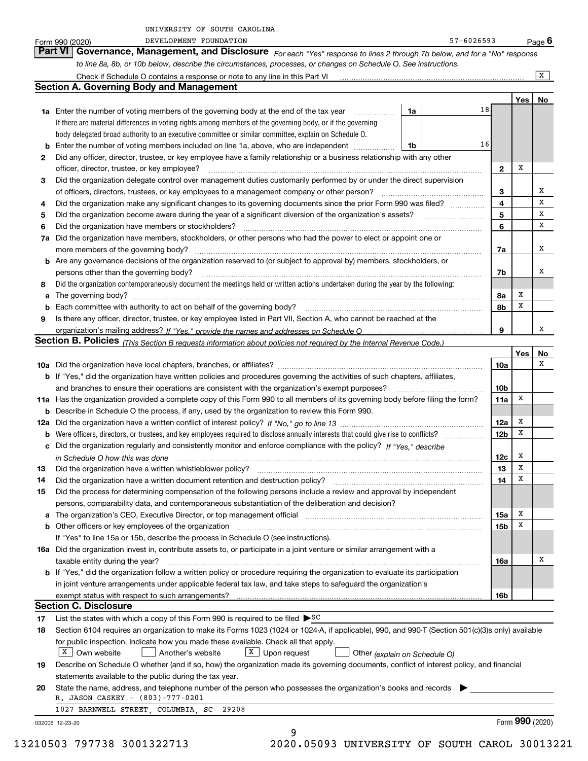|  | UNIVERSITY OF SOUTH CAROLINA |  |  |
|--|------------------------------|--|--|
|  |                              |  |  |

|     | DEVELOPMENT FOUNDATION<br>Form 990 (2020)                                                                                                                                                      |    | 57-6026593 |                 |     | <u>Page</u> 6  |  |  |  |  |  |  |
|-----|------------------------------------------------------------------------------------------------------------------------------------------------------------------------------------------------|----|------------|-----------------|-----|----------------|--|--|--|--|--|--|
|     | Part VI<br>Governance, Management, and Disclosure For each "Yes" response to lines 2 through 7b below, and for a "No" response                                                                 |    |            |                 |     |                |  |  |  |  |  |  |
|     | to line 8a, 8b, or 10b below, describe the circumstances, processes, or changes on Schedule O. See instructions.                                                                               |    |            |                 |     |                |  |  |  |  |  |  |
|     | Check if Schedule O contains a response or note to any line in this Part VI [11] [12] Check if Schedule O contains a response or note to any line in this Part VI                              |    |            |                 |     | $\overline{X}$ |  |  |  |  |  |  |
|     | <b>Section A. Governing Body and Management</b>                                                                                                                                                |    |            |                 |     |                |  |  |  |  |  |  |
|     |                                                                                                                                                                                                |    |            |                 | Yes | No             |  |  |  |  |  |  |
|     | 1a Enter the number of voting members of the governing body at the end of the tax year<br>.                                                                                                    | 1a | 18         |                 |     |                |  |  |  |  |  |  |
|     | If there are material differences in voting rights among members of the governing body, or if the governing                                                                                    |    |            |                 |     |                |  |  |  |  |  |  |
|     | body delegated broad authority to an executive committee or similar committee, explain on Schedule O.                                                                                          |    |            |                 |     |                |  |  |  |  |  |  |
| b   | Enter the number of voting members included on line 1a, above, who are independent                                                                                                             | 1b | 16         |                 |     |                |  |  |  |  |  |  |
| 2   | Did any officer, director, trustee, or key employee have a family relationship or a business relationship with any other                                                                       |    |            |                 |     |                |  |  |  |  |  |  |
|     | officer, director, trustee, or key employee?                                                                                                                                                   |    |            | $\mathbf{2}$    | x   |                |  |  |  |  |  |  |
|     |                                                                                                                                                                                                |    |            |                 |     |                |  |  |  |  |  |  |
| З   | Did the organization delegate control over management duties customarily performed by or under the direct supervision                                                                          |    |            |                 |     | х              |  |  |  |  |  |  |
|     | of officers, directors, trustees, or key employees to a management company or other person?                                                                                                    |    |            | з               |     | х              |  |  |  |  |  |  |
| 4   | Did the organization make any significant changes to its governing documents since the prior Form 990 was filed?                                                                               |    |            | 4               |     | х              |  |  |  |  |  |  |
| 5   | Did the organization become aware during the year of a significant diversion of the organization's assets?                                                                                     |    |            | 5               |     |                |  |  |  |  |  |  |
| 6   | Did the organization have members or stockholders?                                                                                                                                             |    |            | 6               |     | х              |  |  |  |  |  |  |
| 7a  | Did the organization have members, stockholders, or other persons who had the power to elect or appoint one or                                                                                 |    |            |                 |     |                |  |  |  |  |  |  |
|     | more members of the governing body?                                                                                                                                                            |    |            | 7a              |     | х              |  |  |  |  |  |  |
| b   | Are any governance decisions of the organization reserved to (or subject to approval by) members, stockholders, or                                                                             |    |            |                 |     |                |  |  |  |  |  |  |
|     | persons other than the governing body?                                                                                                                                                         |    |            | 7b              |     | x              |  |  |  |  |  |  |
| 8   | Did the organization contemporaneously document the meetings held or written actions undertaken during the year by the following:                                                              |    |            |                 |     |                |  |  |  |  |  |  |
| a   | The governing body?                                                                                                                                                                            |    |            | 8а              | х   |                |  |  |  |  |  |  |
| b   |                                                                                                                                                                                                |    |            | 8b              | X   |                |  |  |  |  |  |  |
| 9   | Is there any officer, director, trustee, or key employee listed in Part VII, Section A, who cannot be reached at the                                                                           |    |            |                 |     |                |  |  |  |  |  |  |
|     |                                                                                                                                                                                                |    |            | 9               |     | x              |  |  |  |  |  |  |
|     | Section B. Policies <sub>(This</sub> Section B requests information about policies not required by the Internal Revenue Code.)                                                                 |    |            |                 |     |                |  |  |  |  |  |  |
|     |                                                                                                                                                                                                |    |            |                 | Yes | No             |  |  |  |  |  |  |
|     |                                                                                                                                                                                                |    |            | 10a             |     | х              |  |  |  |  |  |  |
|     | b If "Yes," did the organization have written policies and procedures governing the activities of such chapters, affiliates,                                                                   |    |            |                 |     |                |  |  |  |  |  |  |
|     | and branches to ensure their operations are consistent with the organization's exempt purposes?                                                                                                |    |            |                 |     |                |  |  |  |  |  |  |
| 11a | Has the organization provided a complete copy of this Form 990 to all members of its governing body before filing the form?                                                                    |    |            | 11a             | х   |                |  |  |  |  |  |  |
| b   | Describe in Schedule O the process, if any, used by the organization to review this Form 990.                                                                                                  |    |            |                 |     |                |  |  |  |  |  |  |
| 12a |                                                                                                                                                                                                |    |            | 12a             | х   |                |  |  |  |  |  |  |
| b   |                                                                                                                                                                                                |    |            | 12 <sub>b</sub> | х   |                |  |  |  |  |  |  |
|     | c Did the organization regularly and consistently monitor and enforce compliance with the policy? If "Yes," describe                                                                           |    |            |                 |     |                |  |  |  |  |  |  |
|     | in Schedule O how this was done with an intermediate control to the state of the control of the control of the                                                                                 |    |            | 12c             | x   |                |  |  |  |  |  |  |
|     |                                                                                                                                                                                                |    |            | 13              | X   |                |  |  |  |  |  |  |
| 14  | Did the organization have a written document retention and destruction policy?                                                                                                                 |    |            | 14              | х   |                |  |  |  |  |  |  |
| 15  | Did the process for determining compensation of the following persons include a review and approval by independent                                                                             |    |            |                 |     |                |  |  |  |  |  |  |
|     | persons, comparability data, and contemporaneous substantiation of the deliberation and decision?                                                                                              |    |            |                 |     |                |  |  |  |  |  |  |
| a   | The organization's CEO, Executive Director, or top management official manufactured contains and contained a support of the organization's CEO, Executive Director, or top management official |    |            | 15a             | х   |                |  |  |  |  |  |  |
| b   |                                                                                                                                                                                                |    |            | 15 <sub>b</sub> | x   |                |  |  |  |  |  |  |
|     | If "Yes" to line 15a or 15b, describe the process in Schedule O (see instructions).                                                                                                            |    |            |                 |     |                |  |  |  |  |  |  |
|     | 16a Did the organization invest in, contribute assets to, or participate in a joint venture or similar arrangement with a                                                                      |    |            |                 |     |                |  |  |  |  |  |  |
|     | taxable entity during the year?                                                                                                                                                                |    |            | 16a             |     | х              |  |  |  |  |  |  |
|     | b If "Yes," did the organization follow a written policy or procedure requiring the organization to evaluate its participation                                                                 |    |            |                 |     |                |  |  |  |  |  |  |
|     | in joint venture arrangements under applicable federal tax law, and take steps to safeguard the organization's                                                                                 |    |            |                 |     |                |  |  |  |  |  |  |
|     | exempt status with respect to such arrangements?                                                                                                                                               |    |            | 16b             |     |                |  |  |  |  |  |  |
|     | <b>Section C. Disclosure</b>                                                                                                                                                                   |    |            |                 |     |                |  |  |  |  |  |  |
| 17  | List the states with which a copy of this Form 990 is required to be filed $\triangleright$ SC                                                                                                 |    |            |                 |     |                |  |  |  |  |  |  |
| 18  | Section 6104 requires an organization to make its Forms 1023 (1024 or 1024-A, if applicable), 990, and 990-T (Section 501(c)(3)s only) available                                               |    |            |                 |     |                |  |  |  |  |  |  |
|     | for public inspection. Indicate how you made these available. Check all that apply.                                                                                                            |    |            |                 |     |                |  |  |  |  |  |  |
|     | $X$ Own website<br>Another's website<br>$X$ Upon request                                                                                                                                       |    |            |                 |     |                |  |  |  |  |  |  |
|     | Other (explain on Schedule O)                                                                                                                                                                  |    |            |                 |     |                |  |  |  |  |  |  |
| 19  | Describe on Schedule O whether (and if so, how) the organization made its governing documents, conflict of interest policy, and financial                                                      |    |            |                 |     |                |  |  |  |  |  |  |
|     | statements available to the public during the tax year.                                                                                                                                        |    |            |                 |     |                |  |  |  |  |  |  |
| 20  | State the name, address, and telephone number of the person who possesses the organization's books and records                                                                                 |    |            |                 |     |                |  |  |  |  |  |  |
|     | R. JASON CASKEY - (803)-777-0201                                                                                                                                                               |    |            |                 |     |                |  |  |  |  |  |  |
|     | 1027 BARNWELL STREET, COLUMBIA, SC 29208                                                                                                                                                       |    |            |                 |     |                |  |  |  |  |  |  |

032006 12-23-20

13210503 797738 3001322713 2020.05093 UNIVERSITY OF SOUTH CAROL 30013221

9

Form (2020) **990**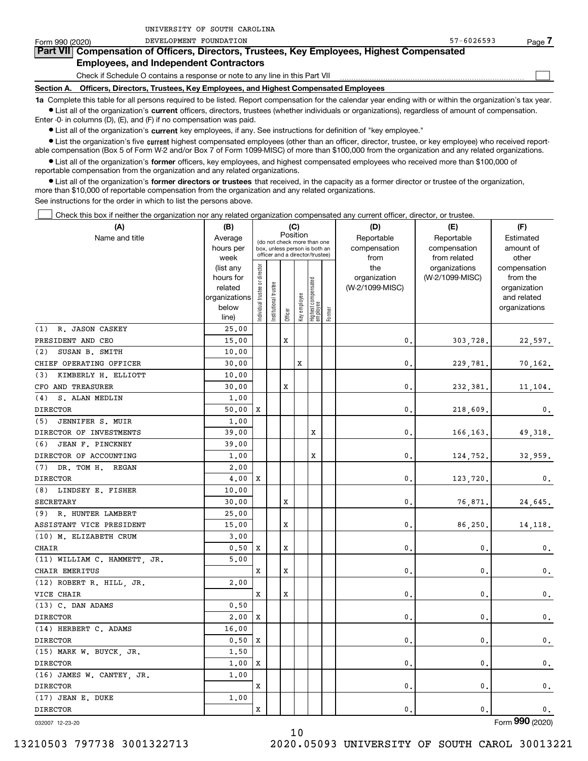| Form 990 (2020)                                                              | DEVELOPMENT FOUNDATION                                                                                                                                      | $57 - 6026593$ | Page. |  |  |  |  |
|------------------------------------------------------------------------------|-------------------------------------------------------------------------------------------------------------------------------------------------------------|----------------|-------|--|--|--|--|
|                                                                              | Part VII Compensation of Officers, Directors, Trustees, Key Employees, Highest Compensated                                                                  |                |       |  |  |  |  |
|                                                                              | <b>Employees, and Independent Contractors</b>                                                                                                               |                |       |  |  |  |  |
| Check if Schedule O contains a response or note to any line in this Part VII |                                                                                                                                                             |                |       |  |  |  |  |
|                                                                              | Section A. Officers, Directors, Trustees, Key Employees, and Highest Compensated Employees                                                                  |                |       |  |  |  |  |
|                                                                              | 1a. Complete this table for all persons required to be listed. Benort compensation for the calendar year ending with or within the organization's tax year. |                |       |  |  |  |  |

**1a •** List all of the organization's current officers, directors, trustees (whether individuals or organizations), regardless of amount of compensation. ed to be listed. Report compensation for the calendar year ending with or within the orga Enter -0- in columns (D), (E), and (F) if no compensation was paid.

 $\bullet$  List all of the organization's  $\,$ current key employees, if any. See instructions for definition of "key employee."

UNIVERSITY OF SOUTH CAROLINA

**•** List the organization's five current highest compensated employees (other than an officer, director, trustee, or key employee) who received reportable compensation (Box 5 of Form W-2 and/or Box 7 of Form 1099-MISC) of more than \$100,000 from the organization and any related organizations.

**•** List all of the organization's former officers, key employees, and highest compensated employees who received more than \$100,000 of reportable compensation from the organization and any related organizations.

**former directors or trustees**  ¥ List all of the organization's that received, in the capacity as a former director or trustee of the organization, more than \$10,000 of reportable compensation from the organization and any related organizations.

See instructions for the order in which to list the persons above.

Check this box if neither the organization nor any related organization compensated any current officer, director, or trustee.  $\mathcal{L}^{\text{max}}$ 

| (A)                          | (B)                    |                                |                                                                  |         | (C)          |                                 |        | (D)             | (E)                              | (F)                      |
|------------------------------|------------------------|--------------------------------|------------------------------------------------------------------|---------|--------------|---------------------------------|--------|-----------------|----------------------------------|--------------------------|
| Name and title               | Average                |                                | (do not check more than one                                      |         | Position     |                                 |        | Reportable      | Reportable                       | Estimated                |
|                              | hours per              |                                | box, unless person is both an<br>officer and a director/trustee) |         |              |                                 |        | compensation    | compensation                     | amount of                |
|                              | week                   |                                |                                                                  |         |              |                                 |        | from<br>the     | from related                     | other                    |
|                              | (list any<br>hours for |                                |                                                                  |         |              |                                 |        | organization    | organizations<br>(W-2/1099-MISC) | compensation<br>from the |
|                              | related                |                                | trustee                                                          |         |              |                                 |        | (W-2/1099-MISC) |                                  | organization             |
|                              | organizations          |                                |                                                                  |         |              |                                 |        |                 |                                  | and related              |
|                              | below                  | Individual trustee or director | Institutional t                                                  |         | Key employee | Highest compensated<br>employee |        |                 |                                  | organizations            |
|                              | line)                  |                                |                                                                  | Officer |              |                                 | Former |                 |                                  |                          |
| (1) R. JASON CASKEY          | 25.00                  |                                |                                                                  |         |              |                                 |        |                 |                                  |                          |
| PRESIDENT AND CEO            | 15.00                  |                                |                                                                  | X       |              |                                 |        | 0.              | 303,728.                         | 22,597.                  |
| (2)<br>SUSAN B. SMITH        | 10.00                  |                                |                                                                  |         |              |                                 |        |                 |                                  |                          |
| CHIEF OPERATING OFFICER      | 30.00                  |                                |                                                                  |         | X            |                                 |        | 0.              | 229,781.                         | 70,162.                  |
| (3) KIMBERLY H. ELLIOTT      | 10.00                  |                                |                                                                  |         |              |                                 |        |                 |                                  |                          |
| CFO AND TREASURER            | 30.00                  |                                |                                                                  | X       |              |                                 |        | 0.              | 232,381.                         | 11,104.                  |
| (4) S. ALAN MEDLIN           | 1.00                   |                                |                                                                  |         |              |                                 |        |                 |                                  |                          |
| <b>DIRECTOR</b>              | 50.00                  | x                              |                                                                  |         |              |                                 |        | 0.              | 218,609.                         | 0.                       |
| (5) JENNIFER S. MUIR         | 1.00                   |                                |                                                                  |         |              |                                 |        |                 |                                  |                          |
| DIRECTOR OF INVESTMENTS      | 39.00                  |                                |                                                                  |         |              | X                               |        | 0.              | 166,163.                         | 49,318.                  |
| (6)<br>JEAN F. PINCKNEY      | 39.00                  |                                |                                                                  |         |              |                                 |        |                 |                                  |                          |
| DIRECTOR OF ACCOUNTING       | 1.00                   |                                |                                                                  |         |              | $\mathbf x$                     |        | 0.              | 124,752.                         | 32,959.                  |
| (7) DR. TOM H. REGAN         | 2.00                   |                                |                                                                  |         |              |                                 |        |                 |                                  |                          |
| <b>DIRECTOR</b>              | 4.00                   | X                              |                                                                  |         |              |                                 |        | 0.              | 123,720.                         | $\mathbf{0}$ .           |
| (8) LINDSEY E. FISHER        | 10.00                  |                                |                                                                  |         |              |                                 |        |                 |                                  |                          |
| <b>SECRETARY</b>             | 30.00                  |                                |                                                                  | X       |              |                                 |        | 0.              | 76,871.                          | 24,645.                  |
| (9) R. HUNTER LAMBERT        | 25.00                  |                                |                                                                  |         |              |                                 |        |                 |                                  |                          |
| ASSISTANT VICE PRESIDENT     | 15.00                  |                                |                                                                  | X       |              |                                 |        | 0.              | 86,250.                          | 14, 118.                 |
| (10) M. ELIZABETH CRUM       | 3,00                   |                                |                                                                  |         |              |                                 |        |                 |                                  |                          |
| CHAIR                        | 0.50                   | X                              |                                                                  | X       |              |                                 |        | $\mathbf{0}$ .  | $\mathbf{0}$                     | $\mathbf{0}$ .           |
| (11) WILLIAM C. HAMMETT, JR. | 5.00                   |                                |                                                                  |         |              |                                 |        |                 |                                  |                          |
| CHAIR EMERITUS               |                        | x                              |                                                                  | X       |              |                                 |        | $\mathbf{0}$ .  | $\mathbf{0}$                     | $\mathbf 0$ .            |
| (12) ROBERT R. HILL, JR.     | 2.00                   |                                |                                                                  |         |              |                                 |        |                 |                                  |                          |
| VICE CHAIR                   |                        | x                              |                                                                  | X       |              |                                 |        | 0.              | $\mathbf{0}$                     | $\mathbf 0$ .            |
| (13) C. DAN ADAMS            | 0.50                   |                                |                                                                  |         |              |                                 |        |                 |                                  |                          |
| <b>DIRECTOR</b>              | 2,00                   | X                              |                                                                  |         |              |                                 |        | 0.              | $\mathbf{0}$                     | $\mathbf 0$ .            |
| (14) HERBERT C. ADAMS        | 16.00                  |                                |                                                                  |         |              |                                 |        |                 |                                  |                          |
| <b>DIRECTOR</b>              | 0.50                   | X                              |                                                                  |         |              |                                 |        | 0.              | $\mathbf 0$                      | $\mathbf 0$ .            |
| (15) MARK W. BUYCK, JR.      | 1,50                   |                                |                                                                  |         |              |                                 |        |                 |                                  |                          |
| <b>DIRECTOR</b>              | 1,00                   | X                              |                                                                  |         |              |                                 |        | 0.              | $\mathbf{0}$                     | $\mathbf 0$ .            |
| (16) JAMES W. CANTEY, JR.    | 1,00                   |                                |                                                                  |         |              |                                 |        |                 |                                  |                          |
| <b>DIRECTOR</b>              |                        | x                              |                                                                  |         |              |                                 |        | 0.              | $\mathbf{0}$                     | 0.                       |
| (17) JEAN E. DUKE            | 1,00                   |                                |                                                                  |         |              |                                 |        |                 |                                  |                          |
| <b>DIRECTOR</b>              |                        | x                              |                                                                  |         |              |                                 |        | 0.              | $\mathbf{0}$ .                   | 0.                       |

10

032007 12-23-20

Form (2020) **990**

13210503 797738 3001322713 2020.05093 UNIVERSITY OF SOUTH CAROL 30013221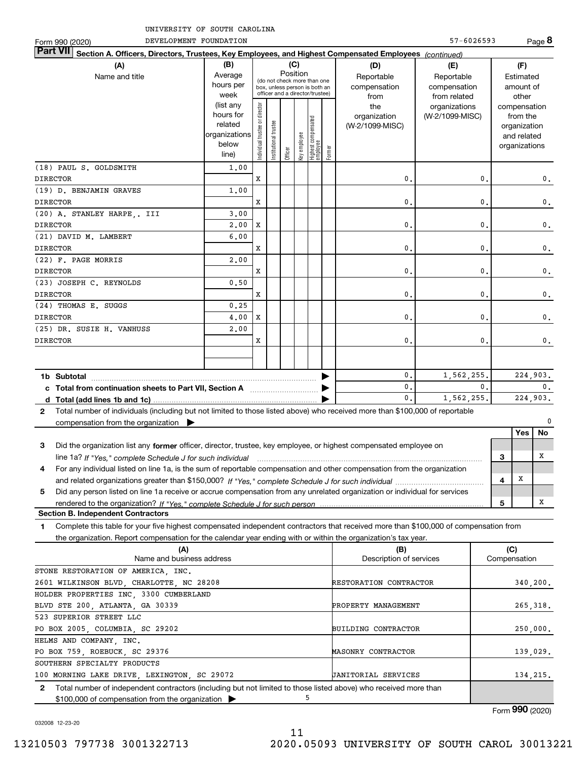| UNIVERSITY OF SOUTH CAROLINA                                                                                                      |                        |                                |                                 |          |              |                                 |        |                                 |                 |   |                             |                |
|-----------------------------------------------------------------------------------------------------------------------------------|------------------------|--------------------------------|---------------------------------|----------|--------------|---------------------------------|--------|---------------------------------|-----------------|---|-----------------------------|----------------|
| DEVELOPMENT FOUNDATION<br>Form 990 (2020)                                                                                         |                        |                                |                                 |          |              |                                 |        |                                 | 57-6026593      |   |                             | Page 8         |
| <b>Part VII</b><br>Section A. Officers, Directors, Trustees, Key Employees, and Highest Compensated Employees (continued)         |                        |                                |                                 |          |              |                                 |        |                                 |                 |   |                             |                |
| (A)                                                                                                                               | (B)                    |                                |                                 |          | (C)          |                                 |        | (D)                             | (E)             |   | (F)                         |                |
| Name and title                                                                                                                    | Average                |                                | (do not check more than one     | Position |              |                                 |        | Reportable                      | Reportable      |   | Estimated                   |                |
|                                                                                                                                   | hours per              |                                | box, unless person is both an   |          |              |                                 |        | compensation                    | compensation    |   | amount of                   |                |
|                                                                                                                                   | week                   |                                | officer and a director/trustee) |          |              |                                 |        | from                            | from related    |   | other                       |                |
|                                                                                                                                   | (list any<br>hours for |                                |                                 |          |              |                                 |        | the                             | organizations   |   | compensation                |                |
|                                                                                                                                   | related                |                                |                                 |          |              |                                 |        | organization<br>(W-2/1099-MISC) | (W-2/1099-MISC) |   | from the                    |                |
|                                                                                                                                   | organizations          |                                |                                 |          |              |                                 |        |                                 |                 |   | organization<br>and related |                |
|                                                                                                                                   | below                  | Individual trustee or director | Institutional trustee           |          |              |                                 |        |                                 |                 |   | organizations               |                |
|                                                                                                                                   | line)                  |                                |                                 | Officer  | Key employee | Highest compensated<br>employee | Former |                                 |                 |   |                             |                |
| (18) PAUL S. GOLDSMITH                                                                                                            | 1,00                   |                                |                                 |          |              |                                 |        |                                 |                 |   |                             |                |
| <b>DIRECTOR</b>                                                                                                                   |                        | X                              |                                 |          |              |                                 |        | 0.                              | 0.              |   |                             | 0.             |
| (19) D. BENJAMIN GRAVES                                                                                                           | 1,00                   |                                |                                 |          |              |                                 |        |                                 |                 |   |                             |                |
| <b>DIRECTOR</b>                                                                                                                   |                        | X                              |                                 |          |              |                                 |        | 0.                              | $\mathbf{0}$ .  |   |                             | $\mathbf{0}$ . |
| (20) A. STANLEY HARPE,. III                                                                                                       | 3.00                   |                                |                                 |          |              |                                 |        |                                 |                 |   |                             |                |
| <b>DIRECTOR</b>                                                                                                                   | 2,00                   | X                              |                                 |          |              |                                 |        | 0.                              | 0.              |   |                             | $\mathbf 0$ .  |
| (21) DAVID M. LAMBERT                                                                                                             | 6.00                   |                                |                                 |          |              |                                 |        |                                 |                 |   |                             |                |
| <b>DIRECTOR</b>                                                                                                                   |                        | X                              |                                 |          |              |                                 |        | 0.                              | 0.              |   |                             | $\mathbf 0$ .  |
| (22) F. PAGE MORRIS                                                                                                               | 2,00                   |                                |                                 |          |              |                                 |        |                                 |                 |   |                             |                |
| <b>DIRECTOR</b>                                                                                                                   |                        | X                              |                                 |          |              |                                 |        | 0.                              | 0.              |   |                             | 0.             |
| (23) JOSEPH C. REYNOLDS                                                                                                           | 0.50                   |                                |                                 |          |              |                                 |        |                                 |                 |   |                             |                |
| <b>DIRECTOR</b>                                                                                                                   |                        | X                              |                                 |          |              |                                 |        | 0.                              | 0.              |   |                             | 0.             |
| (24) THOMAS E. SUGGS                                                                                                              | 0.25                   |                                |                                 |          |              |                                 |        |                                 |                 |   |                             |                |
| <b>DIRECTOR</b>                                                                                                                   | 4,00                   | X                              |                                 |          |              |                                 |        | $\mathbf{0}$ .                  | 0.              |   |                             | 0.             |
| (25) DR. SUSIE H. VANHUSS                                                                                                         | 2,00                   |                                |                                 |          |              |                                 |        |                                 |                 |   |                             |                |
| <b>DIRECTOR</b>                                                                                                                   |                        | X                              |                                 |          |              |                                 |        | 0.                              | $\mathbf{0}$ .  |   |                             | $\mathbf{0}$ . |
|                                                                                                                                   |                        |                                |                                 |          |              |                                 |        |                                 |                 |   |                             |                |
|                                                                                                                                   |                        |                                |                                 |          |              |                                 |        |                                 |                 |   |                             |                |
| 1b Subtotal                                                                                                                       |                        |                                |                                 |          |              |                                 |        | 0.                              | 1,562,255.      |   | 224,903.                    |                |
|                                                                                                                                   |                        |                                |                                 |          |              |                                 |        | $\mathbf{0}$ .                  | $\mathbf{0}$ .  |   |                             | $\mathbf{0}$ . |
|                                                                                                                                   |                        |                                |                                 |          |              |                                 |        | $\mathbf{0}$ .                  | 1,562,255.      |   | 224.903.                    |                |
| Total number of individuals (including but not limited to those listed above) who received more than \$100,000 of reportable<br>2 |                        |                                |                                 |          |              |                                 |        |                                 |                 |   |                             |                |
| compensation from the organization $\blacktriangleright$                                                                          |                        |                                |                                 |          |              |                                 |        |                                 |                 |   |                             | 0              |
|                                                                                                                                   |                        |                                |                                 |          |              |                                 |        |                                 |                 |   | Yes                         | No             |
| З<br>Did the organization list any former officer, director, trustee, key employee, or highest compensated employee on            |                        |                                |                                 |          |              |                                 |        |                                 |                 |   |                             |                |
| line 1a? If "Yes," complete Schedule J for such individual manufactured contained and the Schedule Schedule J for such individual |                        |                                |                                 |          |              |                                 |        |                                 |                 | 3 |                             | х              |
| For any individual listed on line 1a, is the sum of reportable compensation and other compensation from the organization<br>4     |                        |                                |                                 |          |              |                                 |        |                                 |                 |   |                             |                |
|                                                                                                                                   |                        |                                |                                 |          |              |                                 |        |                                 |                 | 4 | X                           |                |
| Did any person listed on line 1a receive or accrue compensation from any unrelated organization or individual for services<br>5   |                        |                                |                                 |          |              |                                 |        |                                 |                 |   |                             |                |
|                                                                                                                                   |                        |                                |                                 |          |              |                                 |        |                                 |                 | 5 |                             | x              |

**Section B. Independent Contractors**

**1**Complete this table for your five highest compensated independent contractors that received more than \$100,000 of compensation from the organization. Report compensation for the calendar year ending with or within the organization's tax year.

| (B)                                                                                                              | (C)          |
|------------------------------------------------------------------------------------------------------------------|--------------|
| Description of services                                                                                          | Compensation |
|                                                                                                                  |              |
| RESTORATION CONTRACTOR                                                                                           | 340, 200.    |
|                                                                                                                  |              |
| PROPERTY MANAGEMENT                                                                                              | 265, 318.    |
|                                                                                                                  |              |
| <b>BUILDING CONTRACTOR</b>                                                                                       | 250,000.     |
|                                                                                                                  |              |
| MASONRY CONTRACTOR                                                                                               | 139,029.     |
|                                                                                                                  |              |
| <b>JANITORIAL SERVICES</b>                                                                                       | 134,215.     |
| Total number of independent contractors (including but not limited to those listed above) who received more than |              |
|                                                                                                                  |              |
|                                                                                                                  |              |

Form (2020) **990**

032008 12-23-20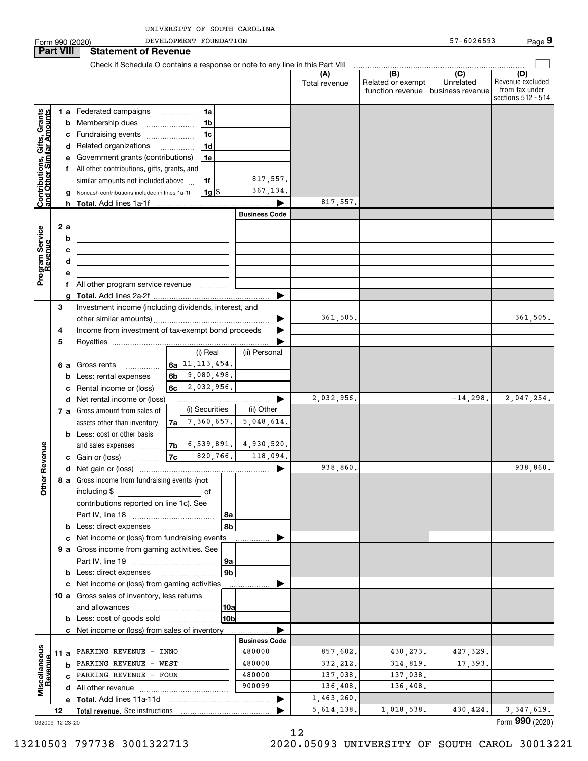**9**Form 990 (2020) Page DEVELOPMENT FOUNDATION 57-6026593 **Part VIII Statement of Revenue**  $\mathcal{L}^{\text{max}}$ Check if Schedule O contains a response or note to any line in this Part VIII **(A)** $\overline{(D)}$  **(B) (C) (D)** Revenue excluded Total revenue | Related or exempt Unrelatedfrom tax under function revenue business revenue sections 512 - 514 **Contributions, Gifts, Grants**<br>and Other Similar Amounts **1 a** Federated campaigns **Contributions, Gifts, Grants and Other Similar Amounts** ~~~~~**1ab** Membership dues \_\_\_\_\_\_\_\_\_\_\_\_\_\_\_ **1bc**Fundraising events ~~~~~~~ **1cd** Related organizations …………… **1de** Government grants (contributions) **1ef** All other contributions, gifts, grants, and 817,557. similar amounts not included above **1f**367,134. **1**\$**g** Noncash contributions included in lines 1a-1f 1g 817,557. **h Total.**  Add lines 1a-1f | **Business Code** Program Service<br>Revenue **a 2Program Service bRevenue cdef** All other program service revenue .............. **gTotal.**  Add lines 2a-2f | Investment income (including dividends, interest, and **3**361,505. …… ▶ other similar amounts) ~~~~~~~~~~~~~~~~~Income from investment of tax-exempt bond proceeds  $\blacktriangleright$ **45**Royalties | (i) Real (ii) Personal 11,113,454. **6 a** Gross rents **6a**~~~~~9,080,498. **6bb** Less: rental expenses  $\ldots$ 2,032,956. **6cc** Rental income or (loss) 2,032,956.  $\blacktriangleright$ **d** Net rental income or (loss) (i) Securities (ii) Other **7 a** Gross amount from sales of 7,360,657. 5,048,614. assets other than inventory **7ab** Less: cost or other basis 6,539,891. 4,930,520. **Other Revenue Other Revenue** and sales expenses **7b**118,094. **7c**820,766. **c** Gain or (loss) …………… 938,860. **d**Net gain or (loss) | **8 a** Gross income from fundraising events (not including \$ ofcontributions reported on line 1c). See Part IV, line 18 ~~~~~~~~~~~~ **8a8bb** Less: direct expenses  $^{(1)}$ **c** Net income or (loss) from fundraising events **............... 9 a** Gross income from gaming activities. See Part IV, line 19 ~~~~~~~~~~~~ **9a9bb** Less: direct expenses \_\_\_\_\_\_\_\_\_\_\_\_\_\_\_\_\_\_  $\blacktriangleright$ **c** Net income or (loss) from gaming activities . . . . . . . . . . . . . . . . . . **10 a** Gross sales of inventory, less returns and allowances ~~~~~~~~~~~~ **10a10bb** Less: cost of goods sold  $^{[1]}$  .....................  $\blacksquare$ **c** Net income or (loss) from sales of inventory . . . . . . . . . . . . . . . . . . **Business Code** Miscellaneous **Miscellaneous** 857,602. **11 a** PARKING REVENUE - INNO  $\begin{bmatrix} 480000 \end{bmatrix}$  857,602. 430,273. 427,329. Revenue **Revenue** 332,212. **b** PARKING REVENUE - WEST | 480000 | 332,212.| 314,819.| 17,393. 137,038. **c** PARKING REVENUE - FOUN | 480000 | 137,038.| 137,038. 900099 136,408. 136,408. **d** All other revenue  $\ldots$   $\ldots$   $\ldots$   $\ldots$   $\ldots$   $\ldots$   $\ldots$   $\ldots$ 1,463,260. **Total.**  Add lines 11a-11d | **e**5,614,138. 1,018,538. 430,424. 3,347,619.  $\blacktriangleright$ **12Total revenue.**  See instructions 

032009 12-23-20

12

13210503 797738 3001322713 2020.05093 UNIVERSITY OF SOUTH CAROL 30013221

Form (2020) **990**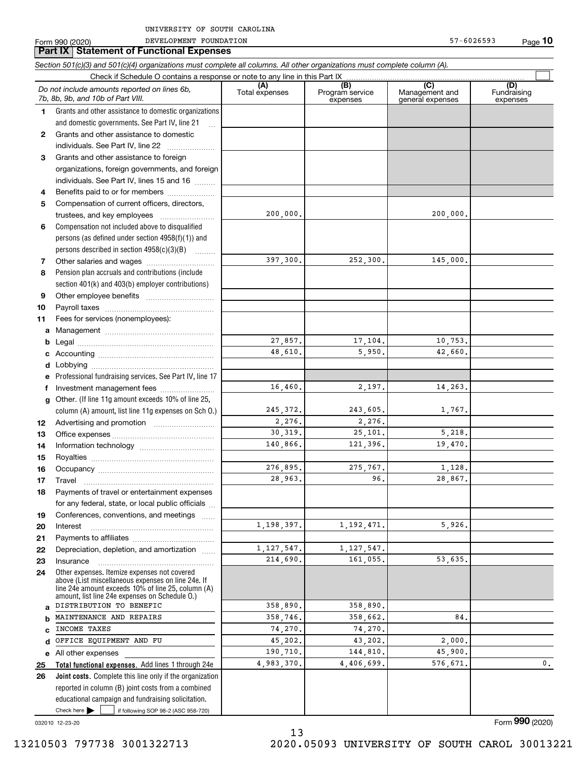|              | <b>Part IX   Statement of Functional Expenses</b><br>Section 501(c)(3) and 501(c)(4) organizations must complete all columns. All other organizations must complete column (A).                            |                       |                                    |                                           |                                |
|--------------|------------------------------------------------------------------------------------------------------------------------------------------------------------------------------------------------------------|-----------------------|------------------------------------|-------------------------------------------|--------------------------------|
|              | Check if Schedule O contains a response or note to any line in this Part IX                                                                                                                                |                       |                                    |                                           |                                |
|              | Do not include amounts reported on lines 6b,<br>7b, 8b, 9b, and 10b of Part VIII.                                                                                                                          | (A)<br>Total expenses | (B)<br>Program service<br>expenses | (C)<br>Management and<br>general expenses | (D)<br>Fundraising<br>expenses |
| 1.           | Grants and other assistance to domestic organizations                                                                                                                                                      |                       |                                    |                                           |                                |
|              | and domestic governments. See Part IV, line 21<br>$\mathbf{r}$                                                                                                                                             |                       |                                    |                                           |                                |
| $\mathbf{2}$ | Grants and other assistance to domestic                                                                                                                                                                    |                       |                                    |                                           |                                |
|              | individuals. See Part IV, line 22                                                                                                                                                                          |                       |                                    |                                           |                                |
| 3            | Grants and other assistance to foreign                                                                                                                                                                     |                       |                                    |                                           |                                |
|              | organizations, foreign governments, and foreign                                                                                                                                                            |                       |                                    |                                           |                                |
|              | individuals. See Part IV, lines 15 and 16                                                                                                                                                                  |                       |                                    |                                           |                                |
| 4            | Benefits paid to or for members                                                                                                                                                                            |                       |                                    |                                           |                                |
| 5            | Compensation of current officers, directors,                                                                                                                                                               |                       |                                    |                                           |                                |
|              | trustees, and key employees                                                                                                                                                                                | 200,000.              |                                    | 200,000.                                  |                                |
| 6            | Compensation not included above to disqualified                                                                                                                                                            |                       |                                    |                                           |                                |
|              | persons (as defined under section $4958(f)(1)$ ) and                                                                                                                                                       |                       |                                    |                                           |                                |
|              | persons described in section $4958(c)(3)(B)$                                                                                                                                                               |                       |                                    |                                           |                                |
| 7            |                                                                                                                                                                                                            | 397,300.              | 252,300.                           | 145,000.                                  |                                |
| 8            | Pension plan accruals and contributions (include                                                                                                                                                           |                       |                                    |                                           |                                |
|              | section 401(k) and 403(b) employer contributions)                                                                                                                                                          |                       |                                    |                                           |                                |
| 9            |                                                                                                                                                                                                            |                       |                                    |                                           |                                |
| 10           |                                                                                                                                                                                                            |                       |                                    |                                           |                                |
| 11           | Fees for services (nonemployees):                                                                                                                                                                          |                       |                                    |                                           |                                |
| а            |                                                                                                                                                                                                            |                       |                                    |                                           |                                |
| b            |                                                                                                                                                                                                            | 27,857.               | 17,104.                            | 10,753.                                   |                                |
|              |                                                                                                                                                                                                            | 48,610.               | 5,950.                             | 42,660.                                   |                                |
| d            |                                                                                                                                                                                                            |                       |                                    |                                           |                                |
|              | Professional fundraising services. See Part IV, line 17                                                                                                                                                    |                       |                                    |                                           |                                |
| f            | Investment management fees                                                                                                                                                                                 | 16,460.               | 2,197.                             | 14,263.                                   |                                |
| g            | Other. (If line 11g amount exceeds 10% of line 25,                                                                                                                                                         |                       |                                    |                                           |                                |
|              | column (A) amount, list line 11g expenses on Sch O.)                                                                                                                                                       | 245, 372.<br>2,276.   | 243,605.<br>2,276.                 | 1,767.                                    |                                |
| 12           |                                                                                                                                                                                                            | 30,319.               | 25,101.                            | 5,218.                                    |                                |
| 13           |                                                                                                                                                                                                            | 140,866.              | 121,396.                           | 19,470.                                   |                                |
| 14           |                                                                                                                                                                                                            |                       |                                    |                                           |                                |
| 15<br>16     | Occupancy                                                                                                                                                                                                  | 276.895.              | 275.767.                           | 1,128.                                    |                                |
| 17           | Travel                                                                                                                                                                                                     | 28,963.               | 96.                                | 28,867.                                   |                                |
| 18           | Payments of travel or entertainment expenses                                                                                                                                                               |                       |                                    |                                           |                                |
|              | for any federal, state, or local public officials                                                                                                                                                          |                       |                                    |                                           |                                |
| 19           | Conferences, conventions, and meetings                                                                                                                                                                     |                       |                                    |                                           |                                |
| 20           | Interest                                                                                                                                                                                                   | 1,198,397.            | 1, 192, 471.                       | 5,926.                                    |                                |
| 21           |                                                                                                                                                                                                            |                       |                                    |                                           |                                |
| 22           | Depreciation, depletion, and amortization                                                                                                                                                                  | 1, 127, 547.          | 1, 127, 547.                       |                                           |                                |
| 23           | Insurance                                                                                                                                                                                                  | 214,690.              | 161,055.                           | 53,635.                                   |                                |
| 24           | Other expenses. Itemize expenses not covered<br>above (List miscellaneous expenses on line 24e. If<br>line 24e amount exceeds 10% of line 25, column (A)<br>amount, list line 24e expenses on Schedule 0.) |                       |                                    |                                           |                                |
| a            | DISTRIBUTION TO BENEFIC                                                                                                                                                                                    | 358,890.              | 358,890.                           |                                           |                                |
|              | MAINTENANCE AND REPAIRS                                                                                                                                                                                    | 358,746.              | 358,662.                           | 84.                                       |                                |
|              | INCOME TAXES                                                                                                                                                                                               | 74,270.               | 74,270.                            |                                           |                                |
| d            | OFFICE EQUIPMENT AND FU                                                                                                                                                                                    | 45,202.               | 43,202.                            | 2,000.<br>45,900.                         |                                |
|              | e All other expenses                                                                                                                                                                                       | 190,710.              | 144,810.                           | 576,671.                                  | 0.                             |
| 25           | Total functional expenses. Add lines 1 through 24e                                                                                                                                                         | 4,983,370.            | 4,406,699.                         |                                           |                                |
| 26           | Joint costs. Complete this line only if the organization                                                                                                                                                   |                       |                                    |                                           |                                |
|              | reported in column (B) joint costs from a combined                                                                                                                                                         |                       |                                    |                                           |                                |
|              | educational campaign and fundraising solicitation.<br>Check here $\blacktriangleright$<br>if following SOP 98-2 (ASC 958-720)                                                                              |                       |                                    |                                           |                                |

13

032010 12-23-20

Form (2020) **990**

**10**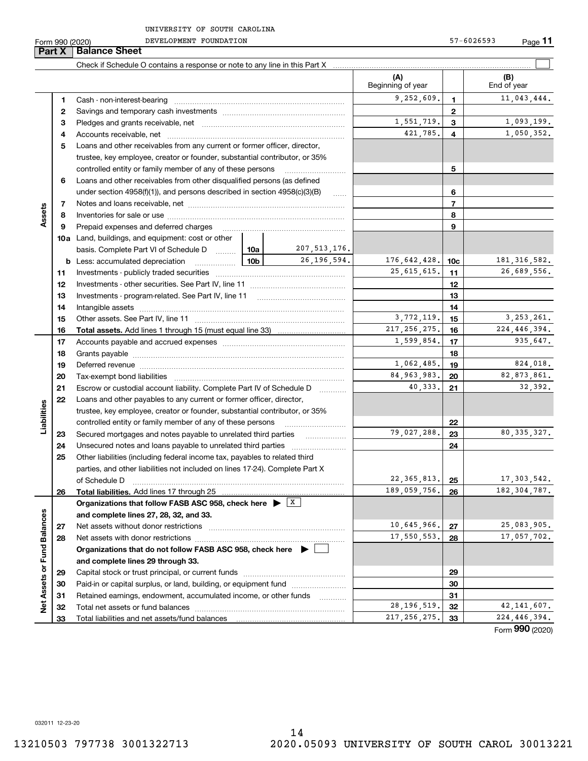DEVELOPMENT FOUNDATION 57-6026593

|                             | Part X | <b>Balance Sheet</b>                                                                                                                                                                                                           |                 |                   |                               |                 |                                 |
|-----------------------------|--------|--------------------------------------------------------------------------------------------------------------------------------------------------------------------------------------------------------------------------------|-----------------|-------------------|-------------------------------|-----------------|---------------------------------|
|                             |        |                                                                                                                                                                                                                                |                 |                   |                               |                 |                                 |
|                             |        |                                                                                                                                                                                                                                |                 |                   | (A)<br>Beginning of year      |                 | (B)<br>End of year              |
|                             | 1      |                                                                                                                                                                                                                                |                 |                   | 9,252,609.                    | 1.              | 11,043,444.                     |
|                             | 2      |                                                                                                                                                                                                                                |                 |                   | $\mathbf{2}$                  |                 |                                 |
|                             | З      |                                                                                                                                                                                                                                | 1,551,719.      | 3                 | 1,093,199.                    |                 |                                 |
|                             | 4      |                                                                                                                                                                                                                                |                 |                   | 421,785.                      | 4               | 1,050,352.                      |
|                             | 5      | Loans and other receivables from any current or former officer, director,                                                                                                                                                      |                 |                   |                               |                 |                                 |
|                             |        | trustee, key employee, creator or founder, substantial contributor, or 35%                                                                                                                                                     |                 |                   |                               |                 |                                 |
|                             |        | controlled entity or family member of any of these persons                                                                                                                                                                     |                 |                   |                               | 5               |                                 |
|                             | 6      | Loans and other receivables from other disqualified persons (as defined                                                                                                                                                        |                 |                   |                               |                 |                                 |
|                             |        | under section $4958(f)(1)$ , and persons described in section $4958(c)(3)(B)$                                                                                                                                                  |                 | 1.1.1.1           |                               | 6               |                                 |
|                             | 7      |                                                                                                                                                                                                                                |                 |                   |                               | $\overline{7}$  |                                 |
| Assets                      | 8      |                                                                                                                                                                                                                                |                 |                   |                               | 8               |                                 |
|                             | 9      | Prepaid expenses and deferred charges                                                                                                                                                                                          |                 |                   |                               | 9               |                                 |
|                             |        | <b>10a</b> Land, buildings, and equipment: cost or other                                                                                                                                                                       |                 |                   |                               |                 |                                 |
|                             |        | basis. Complete Part VI of Schedule D  10a                                                                                                                                                                                     |                 | 207, 513, 176.    |                               |                 |                                 |
|                             |        | <b>b</b> Less: accumulated depreciation                                                                                                                                                                                        | 10 <sub>b</sub> | 26, 196, 594.     | 176,642,428.                  | 10 <sub>c</sub> | 181, 316, 582.                  |
|                             | 11     |                                                                                                                                                                                                                                |                 |                   | 25, 615, 615.                 | 11              | 26,689,556.                     |
|                             | 12     |                                                                                                                                                                                                                                |                 |                   |                               | 12              |                                 |
|                             | 13     |                                                                                                                                                                                                                                |                 |                   |                               | 13              |                                 |
|                             | 14     |                                                                                                                                                                                                                                |                 |                   |                               | 14              |                                 |
|                             | 15     |                                                                                                                                                                                                                                | 3,772,119.      | 15                | 3, 253, 261.                  |                 |                                 |
|                             | 16     |                                                                                                                                                                                                                                |                 |                   | 217, 256, 275.                | 16              | 224, 446, 394.                  |
|                             | 17     |                                                                                                                                                                                                                                |                 |                   | 1,599,854.                    | 17              | 935,647.                        |
|                             | 18     |                                                                                                                                                                                                                                |                 |                   |                               | 18              |                                 |
|                             | 19     | Deferred revenue manual contracts and contracts are all the contracts and contracts are contracted and contracts are contracted and contract are contracted and contract are contracted and contract are contracted and contra |                 |                   | 1,062,485.                    | 19              | 824,018.                        |
|                             | 20     |                                                                                                                                                                                                                                |                 |                   | 84, 963, 983.                 | 20              | 82,873,861.                     |
|                             | 21     | Escrow or custodial account liability. Complete Part IV of Schedule D                                                                                                                                                          |                 | 1.1.1.1.1.1.1.1.1 | 40,333.                       | 21              | 32,392.                         |
|                             | 22     | Loans and other payables to any current or former officer, director,                                                                                                                                                           |                 |                   |                               |                 |                                 |
|                             |        | trustee, key employee, creator or founder, substantial contributor, or 35%                                                                                                                                                     |                 |                   |                               |                 |                                 |
| Liabilities                 |        | controlled entity or family member of any of these persons                                                                                                                                                                     |                 |                   |                               | 22              |                                 |
|                             | 23     | Secured mortgages and notes payable to unrelated third parties                                                                                                                                                                 |                 |                   | 79,027,288.                   | 23              | 80, 335, 327.                   |
|                             | 24     | Unsecured notes and loans payable to unrelated third parties                                                                                                                                                                   |                 |                   |                               | 24              |                                 |
|                             | 25     | Other liabilities (including federal income tax, payables to related third                                                                                                                                                     |                 |                   |                               |                 |                                 |
|                             |        | parties, and other liabilities not included on lines 17-24). Complete Part X                                                                                                                                                   |                 |                   |                               |                 |                                 |
|                             |        | of Schedule D                                                                                                                                                                                                                  |                 |                   | 22, 365, 813.<br>189,059,756. | 25              | 17, 303, 542.<br>182, 304, 787. |
|                             | 26     | Total liabilities. Add lines 17 through 25                                                                                                                                                                                     |                 |                   |                               | 26              |                                 |
|                             |        | Organizations that follow FASB ASC 958, check here $\blacktriangleright$ $\boxed{\text{X}}$<br>and complete lines 27, 28, 32, and 33.                                                                                          |                 |                   |                               |                 |                                 |
|                             | 27     |                                                                                                                                                                                                                                |                 |                   | 10,645,966.                   | 27              | 25,083,905.                     |
|                             | 28     | Net assets with donor restrictions                                                                                                                                                                                             |                 |                   | 17,550,553.                   | 28              | 17,057,702.                     |
|                             |        | Organizations that do not follow FASB ASC 958, check here $\blacktriangleright$                                                                                                                                                |                 |                   |                               |                 |                                 |
|                             |        | and complete lines 29 through 33.                                                                                                                                                                                              |                 |                   |                               |                 |                                 |
| Net Assets or Fund Balances | 29     |                                                                                                                                                                                                                                |                 |                   |                               | 29              |                                 |
|                             | 30     | Paid-in or capital surplus, or land, building, or equipment fund                                                                                                                                                               |                 |                   |                               | 30              |                                 |
|                             | 31     | Retained earnings, endowment, accumulated income, or other funds                                                                                                                                                               |                 | .                 |                               | 31              |                                 |
|                             | 32     |                                                                                                                                                                                                                                |                 |                   | 28, 196, 519.                 | 32              | 42, 141, 607.                   |
|                             | 33     |                                                                                                                                                                                                                                |                 |                   | 217, 256, 275.                | 33              | 224, 446, 394.                  |
|                             |        |                                                                                                                                                                                                                                |                 |                   |                               |                 |                                 |

Form (2020) **990**

032011 12-23-20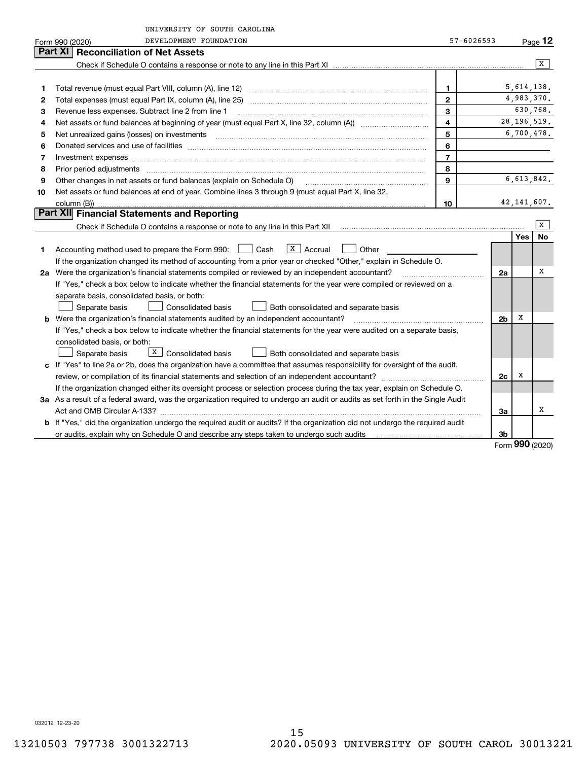|    | UNIVERSITY OF SOUTH CAROLINA                                                                                                    |                |                |     |                |  |
|----|---------------------------------------------------------------------------------------------------------------------------------|----------------|----------------|-----|----------------|--|
|    | DEVELOPMENT FOUNDATION<br>Form 990 (2020)                                                                                       | 57-6026593     |                |     | Page 12        |  |
|    | Part XI   Reconciliation of Net Assets                                                                                          |                |                |     |                |  |
|    |                                                                                                                                 |                |                |     | $\overline{X}$ |  |
|    |                                                                                                                                 |                |                |     |                |  |
| 1  |                                                                                                                                 | $\mathbf{1}$   |                |     | 5,614,138.     |  |
| 2  |                                                                                                                                 | $\overline{2}$ |                |     | 4,983,370.     |  |
| 3  | Revenue less expenses. Subtract line 2 from line 1                                                                              | 3              |                |     | 630,768.       |  |
| 4  |                                                                                                                                 | 4              |                |     | 28, 196, 519.  |  |
| 5  |                                                                                                                                 | 5              |                |     | 6,700,478.     |  |
| 6  |                                                                                                                                 | 6              |                |     |                |  |
| 7  |                                                                                                                                 | $\overline{7}$ |                |     |                |  |
| 8  |                                                                                                                                 | 8              |                |     |                |  |
| 9  | Other changes in net assets or fund balances (explain on Schedule O)                                                            | 9              |                |     | 6,613,842.     |  |
| 10 | Net assets or fund balances at end of year. Combine lines 3 through 9 (must equal Part X, line 32,                              |                |                |     |                |  |
|    | column (B))                                                                                                                     | 10             |                |     | 42, 141, 607.  |  |
|    | Part XII Financial Statements and Reporting                                                                                     |                |                |     |                |  |
|    |                                                                                                                                 |                |                |     | X              |  |
|    |                                                                                                                                 |                |                | Yes | <b>No</b>      |  |
| 1  | Accounting method used to prepare the Form 990: <u>I</u> Cash<br>$ X $ Accrual<br>Other                                         |                |                |     |                |  |
|    | If the organization changed its method of accounting from a prior year or checked "Other," explain in Schedule O.               |                |                |     |                |  |
|    | 2a Were the organization's financial statements compiled or reviewed by an independent accountant?                              |                | 2a             |     | х              |  |
|    | If "Yes," check a box below to indicate whether the financial statements for the year were compiled or reviewed on a            |                |                |     |                |  |
|    | separate basis, consolidated basis, or both:                                                                                    |                |                |     |                |  |
|    | <b>Consolidated basis</b><br>Separate basis<br>Both consolidated and separate basis                                             |                | 2 <sub>b</sub> | X   |                |  |
| b  | Were the organization's financial statements audited by an independent accountant?                                              |                |                |     |                |  |
|    | If "Yes," check a box below to indicate whether the financial statements for the year were audited on a separate basis,         |                |                |     |                |  |
|    | consolidated basis, or both:                                                                                                    |                |                |     |                |  |
|    | $\boxed{\text{X}}$ Consolidated basis<br>Separate basis<br><b>Both consolidated and separate basis</b>                          |                |                |     |                |  |
|    | c If "Yes" to line 2a or 2b, does the organization have a committee that assumes responsibility for oversight of the audit,     |                |                |     |                |  |
|    |                                                                                                                                 |                | 2c             | х   |                |  |
|    | If the organization changed either its oversight process or selection process during the tax year, explain on Schedule O.       |                |                |     |                |  |
|    | 3a As a result of a federal award, was the organization required to undergo an audit or audits as set forth in the Single Audit |                |                |     |                |  |
|    |                                                                                                                                 |                | За             |     | х              |  |
|    | b If "Yes," did the organization undergo the required audit or audits? If the organization did not undergo the required audit   |                |                |     |                |  |
|    |                                                                                                                                 |                | 3b             | ההה |                |  |

Form (2020) **990**

032012 12-23-20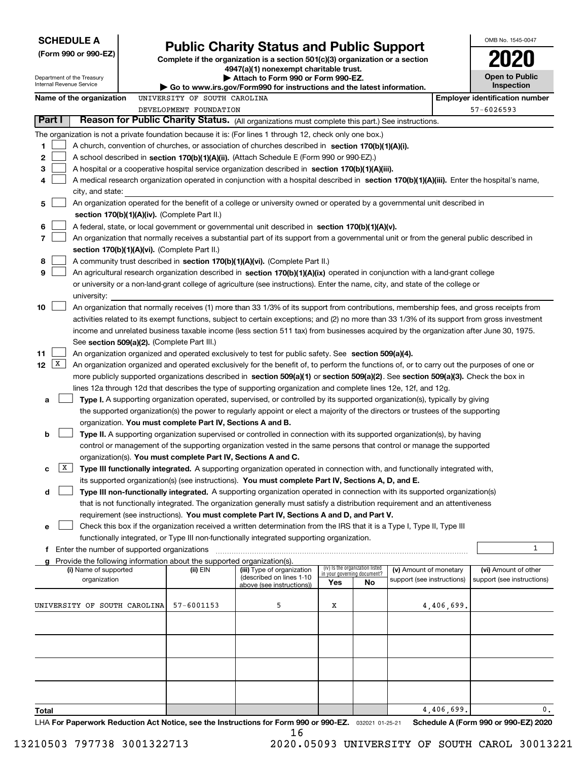| <b>SCHEDULE A</b><br>(Form 990 or 990-EZ)                                                                                                                                                                                                               |                                                                                                                                                 | <b>Public Charity Status and Public Support</b><br>Complete if the organization is a section 501(c)(3) organization or a section                                                                                                |                             |                                 |                            |            | OMB No. 1545-0047                    |
|---------------------------------------------------------------------------------------------------------------------------------------------------------------------------------------------------------------------------------------------------------|-------------------------------------------------------------------------------------------------------------------------------------------------|---------------------------------------------------------------------------------------------------------------------------------------------------------------------------------------------------------------------------------|-----------------------------|---------------------------------|----------------------------|------------|--------------------------------------|
| Department of the Treasury<br>Internal Revenue Service                                                                                                                                                                                                  |                                                                                                                                                 | 4947(a)(1) nonexempt charitable trust.<br>Attach to Form 990 or Form 990-EZ.                                                                                                                                                    |                             |                                 |                            |            | <b>Open to Public</b><br>Inspection  |
| Name of the organization                                                                                                                                                                                                                                | Go to www.irs.gov/Form990 for instructions and the latest information.<br><b>Employer identification number</b><br>UNIVERSITY OF SOUTH CAROLINA |                                                                                                                                                                                                                                 |                             |                                 |                            |            |                                      |
|                                                                                                                                                                                                                                                         | DEVELOPMENT FOUNDATION                                                                                                                          |                                                                                                                                                                                                                                 |                             |                                 |                            |            | 57-6026593                           |
| Part I                                                                                                                                                                                                                                                  |                                                                                                                                                 | Reason for Public Charity Status. (All organizations must complete this part.) See instructions.                                                                                                                                |                             |                                 |                            |            |                                      |
| The organization is not a private foundation because it is: (For lines 1 through 12, check only one box.)                                                                                                                                               |                                                                                                                                                 |                                                                                                                                                                                                                                 |                             |                                 |                            |            |                                      |
| 1<br>A church, convention of churches, or association of churches described in section 170(b)(1)(A)(i).                                                                                                                                                 |                                                                                                                                                 |                                                                                                                                                                                                                                 |                             |                                 |                            |            |                                      |
| 2<br>A school described in section 170(b)(1)(A)(ii). (Attach Schedule E (Form 990 or 990-EZ).)                                                                                                                                                          |                                                                                                                                                 |                                                                                                                                                                                                                                 |                             |                                 |                            |            |                                      |
| 3<br>A hospital or a cooperative hospital service organization described in section 170(b)(1)(A)(iii).                                                                                                                                                  |                                                                                                                                                 |                                                                                                                                                                                                                                 |                             |                                 |                            |            |                                      |
| A medical research organization operated in conjunction with a hospital described in section 170(b)(1)(A)(iii). Enter the hospital's name,<br>4                                                                                                         |                                                                                                                                                 |                                                                                                                                                                                                                                 |                             |                                 |                            |            |                                      |
| city, and state:                                                                                                                                                                                                                                        |                                                                                                                                                 |                                                                                                                                                                                                                                 |                             |                                 |                            |            |                                      |
| An organization operated for the benefit of a college or university owned or operated by a governmental unit described in<br>5                                                                                                                          |                                                                                                                                                 |                                                                                                                                                                                                                                 |                             |                                 |                            |            |                                      |
| section 170(b)(1)(A)(iv). (Complete Part II.)                                                                                                                                                                                                           |                                                                                                                                                 |                                                                                                                                                                                                                                 |                             |                                 |                            |            |                                      |
| 6<br>A federal, state, or local government or governmental unit described in section 170(b)(1)(A)(v).<br>7<br>An organization that normally receives a substantial part of its support from a governmental unit or from the general public described in |                                                                                                                                                 |                                                                                                                                                                                                                                 |                             |                                 |                            |            |                                      |
| section 170(b)(1)(A)(vi). (Complete Part II.)                                                                                                                                                                                                           |                                                                                                                                                 |                                                                                                                                                                                                                                 |                             |                                 |                            |            |                                      |
| 8<br>A community trust described in section 170(b)(1)(A)(vi). (Complete Part II.)                                                                                                                                                                       |                                                                                                                                                 |                                                                                                                                                                                                                                 |                             |                                 |                            |            |                                      |
| 9<br>An agricultural research organization described in section 170(b)(1)(A)(ix) operated in conjunction with a land-grant college                                                                                                                      |                                                                                                                                                 |                                                                                                                                                                                                                                 |                             |                                 |                            |            |                                      |
| or university or a non-land-grant college of agriculture (see instructions). Enter the name, city, and state of the college or                                                                                                                          |                                                                                                                                                 |                                                                                                                                                                                                                                 |                             |                                 |                            |            |                                      |
| university:                                                                                                                                                                                                                                             |                                                                                                                                                 |                                                                                                                                                                                                                                 |                             |                                 |                            |            |                                      |
| 10<br>An organization that normally receives (1) more than 33 1/3% of its support from contributions, membership fees, and gross receipts from                                                                                                          |                                                                                                                                                 |                                                                                                                                                                                                                                 |                             |                                 |                            |            |                                      |
| activities related to its exempt functions, subject to certain exceptions; and (2) no more than 33 1/3% of its support from gross investment                                                                                                            |                                                                                                                                                 |                                                                                                                                                                                                                                 |                             |                                 |                            |            |                                      |
| income and unrelated business taxable income (less section 511 tax) from businesses acquired by the organization after June 30, 1975.                                                                                                                   |                                                                                                                                                 |                                                                                                                                                                                                                                 |                             |                                 |                            |            |                                      |
| See section 509(a)(2). (Complete Part III.)                                                                                                                                                                                                             |                                                                                                                                                 |                                                                                                                                                                                                                                 |                             |                                 |                            |            |                                      |
| 11<br>An organization organized and operated exclusively to test for public safety. See section 509(a)(4).                                                                                                                                              |                                                                                                                                                 |                                                                                                                                                                                                                                 |                             |                                 |                            |            |                                      |
| $\mathbf{X}$<br>12<br>An organization organized and operated exclusively for the benefit of, to perform the functions of, or to carry out the purposes of one or                                                                                        |                                                                                                                                                 |                                                                                                                                                                                                                                 |                             |                                 |                            |            |                                      |
| more publicly supported organizations described in section 509(a)(1) or section 509(a)(2). See section 509(a)(3). Check the box in                                                                                                                      |                                                                                                                                                 |                                                                                                                                                                                                                                 |                             |                                 |                            |            |                                      |
| lines 12a through 12d that describes the type of supporting organization and complete lines 12e, 12f, and 12g.                                                                                                                                          |                                                                                                                                                 |                                                                                                                                                                                                                                 |                             |                                 |                            |            |                                      |
| a                                                                                                                                                                                                                                                       |                                                                                                                                                 | Type I. A supporting organization operated, supervised, or controlled by its supported organization(s), typically by giving                                                                                                     |                             |                                 |                            |            |                                      |
|                                                                                                                                                                                                                                                         |                                                                                                                                                 | the supported organization(s) the power to regularly appoint or elect a majority of the directors or trustees of the supporting                                                                                                 |                             |                                 |                            |            |                                      |
| organization. You must complete Part IV, Sections A and B.                                                                                                                                                                                              |                                                                                                                                                 |                                                                                                                                                                                                                                 |                             |                                 |                            |            |                                      |
| b                                                                                                                                                                                                                                                       |                                                                                                                                                 | Type II. A supporting organization supervised or controlled in connection with its supported organization(s), by having                                                                                                         |                             |                                 |                            |            |                                      |
|                                                                                                                                                                                                                                                         |                                                                                                                                                 | control or management of the supporting organization vested in the same persons that control or manage the supported                                                                                                            |                             |                                 |                            |            |                                      |
| organization(s). You must complete Part IV, Sections A and C.                                                                                                                                                                                           |                                                                                                                                                 |                                                                                                                                                                                                                                 |                             |                                 |                            |            |                                      |
| X <br>с                                                                                                                                                                                                                                                 |                                                                                                                                                 | Type III functionally integrated. A supporting organization operated in connection with, and functionally integrated with,                                                                                                      |                             |                                 |                            |            |                                      |
| d                                                                                                                                                                                                                                                       |                                                                                                                                                 | its supported organization(s) (see instructions). You must complete Part IV, Sections A, D, and E.<br>Type III non-functionally integrated. A supporting organization operated in connection with its supported organization(s) |                             |                                 |                            |            |                                      |
|                                                                                                                                                                                                                                                         |                                                                                                                                                 | that is not functionally integrated. The organization generally must satisfy a distribution requirement and an attentiveness                                                                                                    |                             |                                 |                            |            |                                      |
|                                                                                                                                                                                                                                                         |                                                                                                                                                 | requirement (see instructions). You must complete Part IV, Sections A and D, and Part V.                                                                                                                                        |                             |                                 |                            |            |                                      |
| е                                                                                                                                                                                                                                                       |                                                                                                                                                 | Check this box if the organization received a written determination from the IRS that it is a Type I, Type II, Type III                                                                                                         |                             |                                 |                            |            |                                      |
|                                                                                                                                                                                                                                                         |                                                                                                                                                 | functionally integrated, or Type III non-functionally integrated supporting organization.                                                                                                                                       |                             |                                 |                            |            |                                      |
| f Enter the number of supported organizations                                                                                                                                                                                                           |                                                                                                                                                 |                                                                                                                                                                                                                                 |                             |                                 |                            |            | 1                                    |
| Provide the following information about the supported organization(s).                                                                                                                                                                                  |                                                                                                                                                 |                                                                                                                                                                                                                                 |                             |                                 |                            |            |                                      |
| (i) Name of supported                                                                                                                                                                                                                                   | (ii) EIN                                                                                                                                        | (iii) Type of organization                                                                                                                                                                                                      | in your governing document? | (iv) Is the organization listed | (v) Amount of monetary     |            | (vi) Amount of other                 |
| organization                                                                                                                                                                                                                                            |                                                                                                                                                 | (described on lines 1-10)<br>above (see instructions))                                                                                                                                                                          | Yes                         | No                              | support (see instructions) |            | support (see instructions)           |
|                                                                                                                                                                                                                                                         |                                                                                                                                                 |                                                                                                                                                                                                                                 |                             |                                 |                            |            |                                      |
| UNIVERSITY OF SOUTH CAROLINA                                                                                                                                                                                                                            | 57-6001153                                                                                                                                      | 5                                                                                                                                                                                                                               | Х                           |                                 |                            | 4,406,699. |                                      |
|                                                                                                                                                                                                                                                         |                                                                                                                                                 |                                                                                                                                                                                                                                 |                             |                                 |                            |            |                                      |
|                                                                                                                                                                                                                                                         |                                                                                                                                                 |                                                                                                                                                                                                                                 |                             |                                 |                            |            |                                      |
|                                                                                                                                                                                                                                                         |                                                                                                                                                 |                                                                                                                                                                                                                                 |                             |                                 |                            |            |                                      |
|                                                                                                                                                                                                                                                         |                                                                                                                                                 |                                                                                                                                                                                                                                 |                             |                                 |                            |            |                                      |
|                                                                                                                                                                                                                                                         |                                                                                                                                                 |                                                                                                                                                                                                                                 |                             |                                 |                            |            |                                      |
|                                                                                                                                                                                                                                                         |                                                                                                                                                 |                                                                                                                                                                                                                                 |                             |                                 |                            |            |                                      |
|                                                                                                                                                                                                                                                         |                                                                                                                                                 |                                                                                                                                                                                                                                 |                             |                                 |                            |            |                                      |
| Total                                                                                                                                                                                                                                                   |                                                                                                                                                 |                                                                                                                                                                                                                                 |                             |                                 |                            | 4,406,699. | 0.                                   |
| LHA For Paperwork Reduction Act Notice, see the Instructions for Form 990 or 990-EZ. 032021 01-25-21                                                                                                                                                    |                                                                                                                                                 |                                                                                                                                                                                                                                 |                             |                                 |                            |            | Schedule A (Form 990 or 990-EZ) 2020 |

16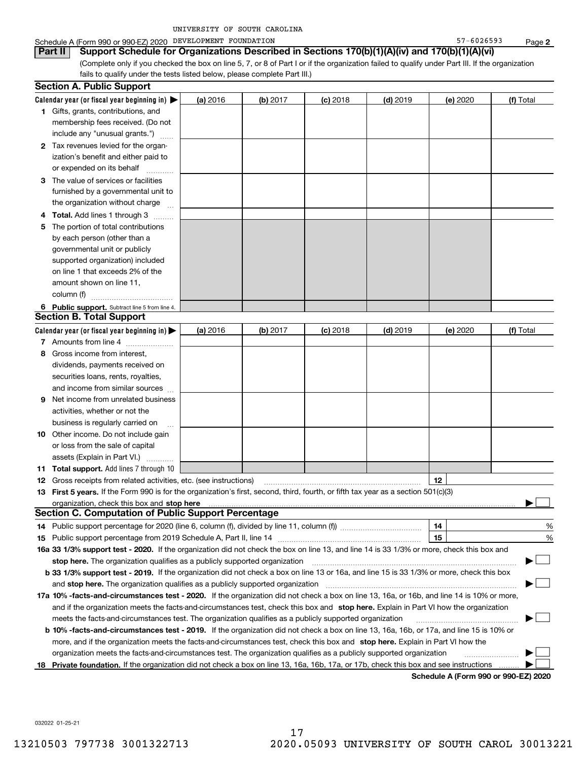| FOUNDATION<br>DEVELOPMENT<br>Schedule A (Form 990 or 990-EZ) 2020 | -6026593 | Paɑe |
|-------------------------------------------------------------------|----------|------|
|-------------------------------------------------------------------|----------|------|

**2**

| Part II  Support Schedule for Organizations Described in Sections 170(b)(1)(A)(iv) and 170(b)(1)(A)(vi)                                         |
|-------------------------------------------------------------------------------------------------------------------------------------------------|
| (Complete only if you checked the box on line 5, 7, or 8 of Part I or if the organization failed to qualify under Part III. If the organization |
| fails to qualify under the tests listed below, please complete Part III.)                                                                       |

|     | <b>Section A. Public Support</b>                                                                                                                                                                                              |          |          |            |            |          |                                      |
|-----|-------------------------------------------------------------------------------------------------------------------------------------------------------------------------------------------------------------------------------|----------|----------|------------|------------|----------|--------------------------------------|
|     | Calendar year (or fiscal year beginning in) $\blacktriangleright$                                                                                                                                                             | (a) 2016 | (b) 2017 | $(c)$ 2018 | $(d)$ 2019 | (e) 2020 | (f) Total                            |
|     | 1 Gifts, grants, contributions, and                                                                                                                                                                                           |          |          |            |            |          |                                      |
|     | membership fees received. (Do not                                                                                                                                                                                             |          |          |            |            |          |                                      |
|     | include any "unusual grants.")                                                                                                                                                                                                |          |          |            |            |          |                                      |
|     | 2 Tax revenues levied for the organ-                                                                                                                                                                                          |          |          |            |            |          |                                      |
|     | ization's benefit and either paid to                                                                                                                                                                                          |          |          |            |            |          |                                      |
|     | or expended on its behalf                                                                                                                                                                                                     |          |          |            |            |          |                                      |
|     | 3 The value of services or facilities                                                                                                                                                                                         |          |          |            |            |          |                                      |
|     | furnished by a governmental unit to                                                                                                                                                                                           |          |          |            |            |          |                                      |
|     | the organization without charge                                                                                                                                                                                               |          |          |            |            |          |                                      |
| 4   | <b>Total.</b> Add lines 1 through 3                                                                                                                                                                                           |          |          |            |            |          |                                      |
| 5   | The portion of total contributions                                                                                                                                                                                            |          |          |            |            |          |                                      |
|     | by each person (other than a                                                                                                                                                                                                  |          |          |            |            |          |                                      |
|     | governmental unit or publicly                                                                                                                                                                                                 |          |          |            |            |          |                                      |
|     | supported organization) included                                                                                                                                                                                              |          |          |            |            |          |                                      |
|     | on line 1 that exceeds 2% of the                                                                                                                                                                                              |          |          |            |            |          |                                      |
|     | amount shown on line 11,                                                                                                                                                                                                      |          |          |            |            |          |                                      |
|     | column (f)                                                                                                                                                                                                                    |          |          |            |            |          |                                      |
|     | 6 Public support. Subtract line 5 from line 4.                                                                                                                                                                                |          |          |            |            |          |                                      |
|     | <b>Section B. Total Support</b>                                                                                                                                                                                               |          |          |            |            |          |                                      |
|     | Calendar year (or fiscal year beginning in) $\blacktriangleright$                                                                                                                                                             | (a) 2016 | (b) 2017 | $(c)$ 2018 | $(d)$ 2019 | (e) 2020 | (f) Total                            |
|     | 7 Amounts from line 4                                                                                                                                                                                                         |          |          |            |            |          |                                      |
| 8   | Gross income from interest,                                                                                                                                                                                                   |          |          |            |            |          |                                      |
|     | dividends, payments received on                                                                                                                                                                                               |          |          |            |            |          |                                      |
|     | securities loans, rents, royalties,                                                                                                                                                                                           |          |          |            |            |          |                                      |
|     | and income from similar sources                                                                                                                                                                                               |          |          |            |            |          |                                      |
| 9   | Net income from unrelated business                                                                                                                                                                                            |          |          |            |            |          |                                      |
|     | activities, whether or not the                                                                                                                                                                                                |          |          |            |            |          |                                      |
|     | business is regularly carried on                                                                                                                                                                                              |          |          |            |            |          |                                      |
|     | <b>10</b> Other income. Do not include gain                                                                                                                                                                                   |          |          |            |            |          |                                      |
|     | or loss from the sale of capital                                                                                                                                                                                              |          |          |            |            |          |                                      |
|     | assets (Explain in Part VI.)                                                                                                                                                                                                  |          |          |            |            |          |                                      |
|     | <b>11 Total support.</b> Add lines 7 through 10                                                                                                                                                                               |          |          |            |            |          |                                      |
|     | <b>12</b> Gross receipts from related activities, etc. (see instructions)                                                                                                                                                     |          |          |            |            | 12       |                                      |
|     | 13 First 5 years. If the Form 990 is for the organization's first, second, third, fourth, or fifth tax year as a section 501(c)(3)                                                                                            |          |          |            |            |          |                                      |
|     | organization, check this box and stop here manufactured and state and state and state and state and state and stop here and stop here are all and state and state and state and state and state and state and state and state |          |          |            |            |          |                                      |
|     | <b>Section C. Computation of Public Support Percentage</b>                                                                                                                                                                    |          |          |            |            |          |                                      |
|     |                                                                                                                                                                                                                               |          |          |            |            | 14       | %                                    |
|     |                                                                                                                                                                                                                               |          |          |            |            | 15       | %                                    |
|     | 16a 33 1/3% support test - 2020. If the organization did not check the box on line 13, and line 14 is 33 1/3% or more, check this box and                                                                                     |          |          |            |            |          |                                      |
|     | stop here. The organization qualifies as a publicly supported organization                                                                                                                                                    |          |          |            |            |          |                                      |
|     | b 33 1/3% support test - 2019. If the organization did not check a box on line 13 or 16a, and line 15 is 33 1/3% or more, check this box                                                                                      |          |          |            |            |          |                                      |
|     | and stop here. The organization qualifies as a publicly supported organization                                                                                                                                                |          |          |            |            |          |                                      |
|     | 17a 10% -facts-and-circumstances test - 2020. If the organization did not check a box on line 13, 16a, or 16b, and line 14 is 10% or more,                                                                                    |          |          |            |            |          |                                      |
|     | and if the organization meets the facts-and-circumstances test, check this box and stop here. Explain in Part VI how the organization                                                                                         |          |          |            |            |          |                                      |
|     | meets the facts-and-circumstances test. The organization qualifies as a publicly supported organization                                                                                                                       |          |          |            |            |          |                                      |
|     | <b>b 10% -facts-and-circumstances test - 2019.</b> If the organization did not check a box on line 13, 16a, 16b, or 17a, and line 15 is 10% or                                                                                |          |          |            |            |          |                                      |
|     | more, and if the organization meets the facts-and-circumstances test, check this box and stop here. Explain in Part VI how the                                                                                                |          |          |            |            |          |                                      |
|     | organization meets the facts-and-circumstances test. The organization qualifies as a publicly supported organization                                                                                                          |          |          |            |            |          |                                      |
| 18. | Private foundation. If the organization did not check a box on line 13, 16a, 16b, 17a, or 17b, check this box and see instructions                                                                                            |          |          |            |            |          |                                      |
|     |                                                                                                                                                                                                                               |          |          |            |            |          | Schedule A (Form 990 or 990-F7) 2020 |

**Schedule A (Form 990 or 990-EZ) 2020**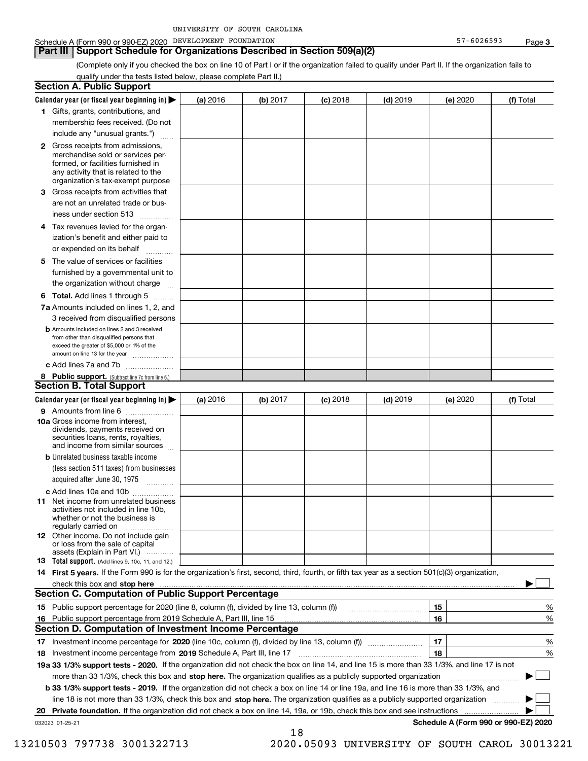**Part III Support Schedule for Organizations Described in Section 509(a)(2)** 

(Complete only if you checked the box on line 10 of Part I or if the organization failed to qualify under Part II. If the organization fails to qualify under the tests listed below, please complete Part II.)

|    | <b>Section A. Public Support</b>                                                                                                                                                                |          |          |            |            |          |                                      |
|----|-------------------------------------------------------------------------------------------------------------------------------------------------------------------------------------------------|----------|----------|------------|------------|----------|--------------------------------------|
|    | Calendar year (or fiscal year beginning in)                                                                                                                                                     | (a) 2016 | (b) 2017 | $(c)$ 2018 | $(d)$ 2019 | (e) 2020 | (f) Total                            |
|    | 1 Gifts, grants, contributions, and                                                                                                                                                             |          |          |            |            |          |                                      |
|    | membership fees received. (Do not                                                                                                                                                               |          |          |            |            |          |                                      |
|    | include any "unusual grants.")                                                                                                                                                                  |          |          |            |            |          |                                      |
|    | <b>2</b> Gross receipts from admissions,<br>merchandise sold or services per-<br>formed, or facilities furnished in<br>any activity that is related to the<br>organization's tax-exempt purpose |          |          |            |            |          |                                      |
| З. | Gross receipts from activities that<br>are not an unrelated trade or bus-                                                                                                                       |          |          |            |            |          |                                      |
|    | iness under section 513                                                                                                                                                                         |          |          |            |            |          |                                      |
|    | 4 Tax revenues levied for the organ-<br>ization's benefit and either paid to                                                                                                                    |          |          |            |            |          |                                      |
|    | or expended on its behalf<br>.                                                                                                                                                                  |          |          |            |            |          |                                      |
| 5  | The value of services or facilities<br>furnished by a governmental unit to<br>the organization without charge                                                                                   |          |          |            |            |          |                                      |
|    | <b>6 Total.</b> Add lines 1 through 5                                                                                                                                                           |          |          |            |            |          |                                      |
|    | 7a Amounts included on lines 1, 2, and<br>3 received from disqualified persons                                                                                                                  |          |          |            |            |          |                                      |
|    | <b>b</b> Amounts included on lines 2 and 3 received<br>from other than disqualified persons that<br>exceed the greater of \$5,000 or 1% of the<br>amount on line 13 for the year                |          |          |            |            |          |                                      |
|    | c Add lines 7a and 7b                                                                                                                                                                           |          |          |            |            |          |                                      |
|    | 8 Public support. (Subtract line 7c from line 6.)<br><b>Section B. Total Support</b>                                                                                                            |          |          |            |            |          |                                      |
|    | Calendar year (or fiscal year beginning in)                                                                                                                                                     | (a) 2016 | (b) 2017 | $(c)$ 2018 | $(d)$ 2019 | (e) 2020 | (f) Total                            |
|    | 9 Amounts from line 6                                                                                                                                                                           |          |          |            |            |          |                                      |
|    | <b>10a</b> Gross income from interest,<br>dividends, payments received on<br>securities loans, rents, royalties,<br>and income from similar sources                                             |          |          |            |            |          |                                      |
|    | <b>b</b> Unrelated business taxable income<br>(less section 511 taxes) from businesses                                                                                                          |          |          |            |            |          |                                      |
|    | acquired after June 30, 1975                                                                                                                                                                    |          |          |            |            |          |                                      |
|    | c Add lines 10a and 10b<br>11 Net income from unrelated business<br>activities not included in line 10b.<br>whether or not the business is<br>regularly carried on                              |          |          |            |            |          |                                      |
|    | <b>12</b> Other income. Do not include gain<br>or loss from the sale of capital<br>assets (Explain in Part VI.)                                                                                 |          |          |            |            |          |                                      |
|    | <b>13</b> Total support. (Add lines 9, 10c, 11, and 12.)                                                                                                                                        |          |          |            |            |          |                                      |
|    | 14 First 5 years. If the Form 990 is for the organization's first, second, third, fourth, or fifth tax year as a section 501(c)(3) organization,                                                |          |          |            |            |          |                                      |
|    | check this box and stop here www.communications.communications.communications.com                                                                                                               |          |          |            |            |          |                                      |
|    | <b>Section C. Computation of Public Support Percentage</b>                                                                                                                                      |          |          |            |            |          |                                      |
|    | 15 Public support percentage for 2020 (line 8, column (f), divided by line 13, column (f))                                                                                                      |          |          |            |            | 15       | %                                    |
|    | 16 Public support percentage from 2019 Schedule A, Part III, line 15                                                                                                                            |          |          |            |            | 16       | %                                    |
|    | <b>Section D. Computation of Investment Income Percentage</b>                                                                                                                                   |          |          |            |            |          |                                      |
| 17 | Investment income percentage for 2020 (line 10c, column (f), divided by line 13, column (f))                                                                                                    |          |          |            |            | 17       | %                                    |
| 18 | Investment income percentage from 2019 Schedule A, Part III, line 17                                                                                                                            |          |          |            |            | 18       | %                                    |
|    | 19a 33 1/3% support tests - 2020. If the organization did not check the box on line 14, and line 15 is more than 33 1/3%, and line 17 is not                                                    |          |          |            |            |          |                                      |
|    | more than 33 1/3%, check this box and stop here. The organization qualifies as a publicly supported organization                                                                                |          |          |            |            |          | $\sim$ 1                             |
|    | b 33 1/3% support tests - 2019. If the organization did not check a box on line 14 or line 19a, and line 16 is more than 33 1/3%, and                                                           |          |          |            |            |          |                                      |
|    | line 18 is not more than 33 1/3%, check this box and stop here. The organization qualifies as a publicly supported organization                                                                 |          |          |            |            |          |                                      |
|    | 20 Private foundation. If the organization did not check a box on line 14, 19a, or 19b, check this box and see instructions                                                                     |          |          |            |            |          | .                                    |
|    | 032023 01-25-21                                                                                                                                                                                 |          | 18       |            |            |          | Schedule A (Form 990 or 990-EZ) 2020 |

13210503 797738 3001322713 2020.05093 UNIVERSITY OF SOUTH CAROL 30013221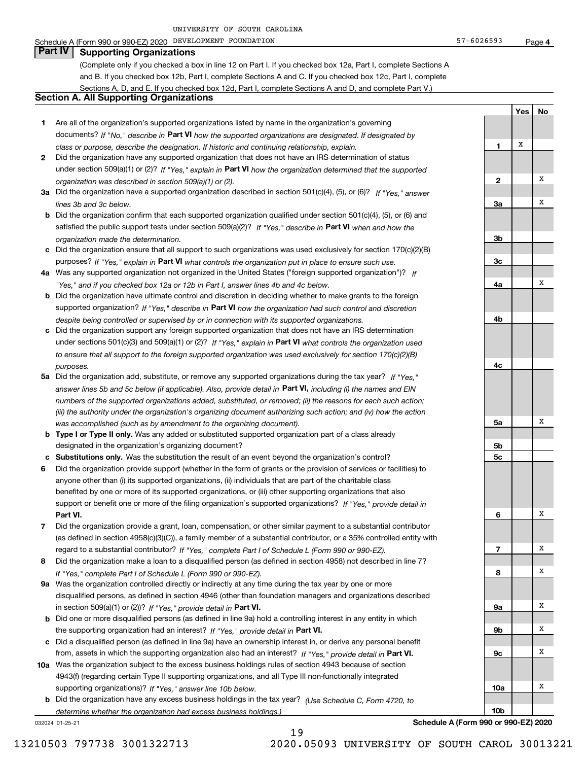### Schedule A (Form 990 or 990-EZ) 2020 Page DEVELOPMENT FOUNDATION 57-6026593

**Part IV Supporting Organizations**

(Complete only if you checked a box in line 12 on Part I. If you checked box 12a, Part I, complete Sections A and B. If you checked box 12b, Part I, complete Sections A and C. If you checked box 12c, Part I, complete Sections A, D, and E. If you checked box 12d, Part I, complete Sections A and D, and complete Part V.)

### **Section A. All Supporting Organizations**

- **1** Are all of the organization's supported organizations listed by name in the organization's governing documents? If "No," describe in **Part VI** how the supported organizations are designated. If designated by *class or purpose, describe the designation. If historic and continuing relationship, explain.*
- **2** Did the organization have any supported organization that does not have an IRS determination of status under section 509(a)(1) or (2)? If "Yes," explain in Part VI how the organization determined that the supported *organization was described in section 509(a)(1) or (2).*
- **3a** Did the organization have a supported organization described in section 501(c)(4), (5), or (6)? If "Yes," answer *lines 3b and 3c below.*
- **b** Did the organization confirm that each supported organization qualified under section 501(c)(4), (5), or (6) and satisfied the public support tests under section 509(a)(2)? If "Yes," describe in **Part VI** when and how the *organization made the determination.*
- **c**Did the organization ensure that all support to such organizations was used exclusively for section 170(c)(2)(B) purposes? If "Yes," explain in **Part VI** what controls the organization put in place to ensure such use.
- **4a***If* Was any supported organization not organized in the United States ("foreign supported organization")? *"Yes," and if you checked box 12a or 12b in Part I, answer lines 4b and 4c below.*
- **b** Did the organization have ultimate control and discretion in deciding whether to make grants to the foreign supported organization? If "Yes," describe in **Part VI** how the organization had such control and discretion *despite being controlled or supervised by or in connection with its supported organizations.*
- **c** Did the organization support any foreign supported organization that does not have an IRS determination under sections 501(c)(3) and 509(a)(1) or (2)? If "Yes," explain in **Part VI** what controls the organization used *to ensure that all support to the foreign supported organization was used exclusively for section 170(c)(2)(B) purposes.*
- **5a***If "Yes,"* Did the organization add, substitute, or remove any supported organizations during the tax year? answer lines 5b and 5c below (if applicable). Also, provide detail in **Part VI,** including (i) the names and EIN *numbers of the supported organizations added, substituted, or removed; (ii) the reasons for each such action; (iii) the authority under the organization's organizing document authorizing such action; and (iv) how the action was accomplished (such as by amendment to the organizing document).*
- **b** Type I or Type II only. Was any added or substituted supported organization part of a class already designated in the organization's organizing document?
- **cSubstitutions only.**  Was the substitution the result of an event beyond the organization's control?
- **6** Did the organization provide support (whether in the form of grants or the provision of services or facilities) to **Part VI.** *If "Yes," provide detail in* support or benefit one or more of the filing organization's supported organizations? anyone other than (i) its supported organizations, (ii) individuals that are part of the charitable class benefited by one or more of its supported organizations, or (iii) other supporting organizations that also
- **7**Did the organization provide a grant, loan, compensation, or other similar payment to a substantial contributor *If "Yes," complete Part I of Schedule L (Form 990 or 990-EZ).* regard to a substantial contributor? (as defined in section 4958(c)(3)(C)), a family member of a substantial contributor, or a 35% controlled entity with
- **8** Did the organization make a loan to a disqualified person (as defined in section 4958) not described in line 7? *If "Yes," complete Part I of Schedule L (Form 990 or 990-EZ).*
- **9a** Was the organization controlled directly or indirectly at any time during the tax year by one or more in section 509(a)(1) or (2))? If "Yes," *provide detail in* <code>Part VI.</code> disqualified persons, as defined in section 4946 (other than foundation managers and organizations described
- **b**the supporting organization had an interest? If "Yes," provide detail in P**art VI**. Did one or more disqualified persons (as defined in line 9a) hold a controlling interest in any entity in which
- **c**Did a disqualified person (as defined in line 9a) have an ownership interest in, or derive any personal benefit from, assets in which the supporting organization also had an interest? If "Yes," provide detail in P**art VI.**
- **10a** Was the organization subject to the excess business holdings rules of section 4943 because of section supporting organizations)? If "Yes," answer line 10b below. 4943(f) (regarding certain Type II supporting organizations, and all Type III non-functionally integrated
- **b** Did the organization have any excess business holdings in the tax year? (Use Schedule C, Form 4720, to *determine whether the organization had excess business holdings.)*

19

032024 01-25-21

**4b4c5a 5b5c6789a 9b9c10a10b**XXXXXXXX

**Schedule A (Form 990 or 990-EZ) 2020**

13210503 797738 3001322713 2020.05093 UNIVERSITY OF SOUTH CAROL 30013221

**1**

**2**

**3a**

**3b**

**3c**

**4a**

**YesNo**

X

X

X

X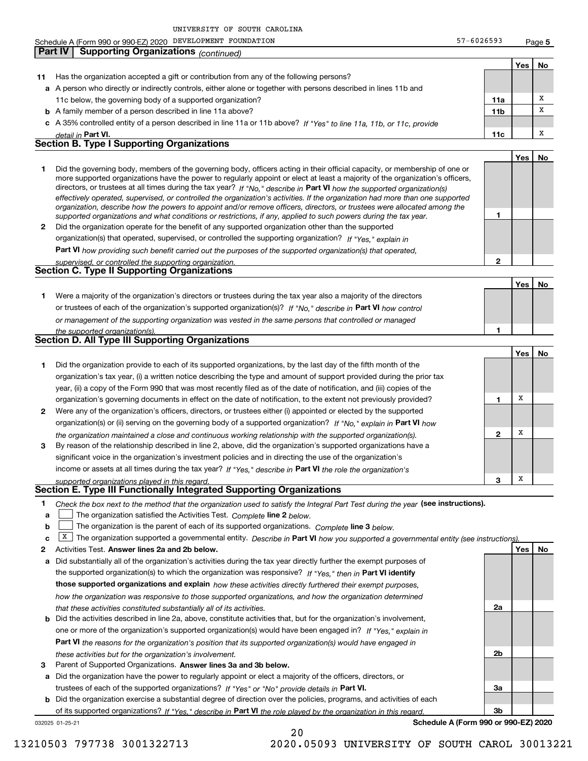**5Yes No 11** Has the organization accepted a gift or contribution from any of the following persons? **a**A person who directly or indirectly controls, either alone or together with persons described in lines 11b and **b** A family member of a person described in line 11a above? **c** A 35% controlled entity of a person described in line 11a or 11b above? If "Yes" to line 11a, 11b, or 11c, provide **11a11bPart VI. 11c Yes No 12** Did the organization operate for the benefit of any supported organization other than the supported directors, or trustees at all times during the tax year? If "No," describe in **Part VI** how the supported organization(s) **12Part VI**  *how providing such benefit carried out the purposes of the supported organization(s) that operated,* **Yes No 1** Were a majority of the organization's directors or trustees during the tax year also a majority of the directors or trustees of each of the organization's supported organization(s)? If "No," describe in **Part VI** how control **1Yes No 1** Did the organization provide to each of its supported organizations, by the last day of the fifth month of the **2** Were any of the organization's officers, directors, or trustees either (i) appointed or elected by the supported **3123**organization(s) or (ii) serving on the governing body of a supported organization? If "No," explain in **Part VI** how income or assets at all times during the tax year? If "Yes," describe in **Part VI** the role the organization's **12Answer lines 2a and 2b below. Yes No** Activities Test. **3**Check the box next to the method that the organization used to satisfy the Integral Part Test during the year (see instructions). **abclinupy** The organization satisfied the Activities Test. Complete line 2 below. The organization is the parent of each of its supported organizations. *Complete* line 3 *below.* **X** The organization supported a governmental entity. Describe in Part VI how you supported a governmental entity (see instructions). **a** Did substantially all of the organization's activities during the tax year directly further the exempt purposes of **b** Did the activities described in line 2a, above, constitute activities that, but for the organization's involvement, the supported organization(s) to which the organization was responsive? If "Yes," then in **Part VI identify those supported organizations and explain**  *how these activities directly furthered their exempt purposes,* **2a 2bPart VI**  *the reasons for the organization's position that its supported organization(s) would have engaged in* Parent of Supported Organizations. Answer lines 3a and 3b below. *detail in effectively operated, supervised, or controlled the organization's activities. If the organization had more than one supported organization, describe how the powers to appoint and/or remove officers, directors, or trustees were allocated among the supported organizations and what conditions or restrictions, if any, applied to such powers during the tax year. If "Yes," explain in* organization(s) that operated, supervised, or controlled the supporting organization? *supervised, or controlled the supporting organization. or management of the supporting organization was vested in the same persons that controlled or managed the supported organization(s). the organization maintained a close and continuous working relationship with the supported organization(s). supported organizations played in this regard. how the organization was responsive to those supported organizations, and how the organization determined that these activities constituted substantially all of its activities.* one or more of the organization's supported organization(s) would have been engaged in? If "Yes," e*xplain in these activities but for the organization's involvement.* Schedule A (Form 990 or 990-EZ) 2020 Page DEVELOPMENT FOUNDATION 57-6026593 11c below, the governing body of a supported organization? Did the governing body, members of the governing body, officers acting in their official capacity, or membership of one or more supported organizations have the power to regularly appoint or elect at least a majority of the organization's officers, organization's tax year, (i) a written notice describing the type and amount of support provided during the prior tax year, (ii) a copy of the Form 990 that was most recently filed as of the date of notification, and (iii) copies of the organization's governing documents in effect on the date of notification, to the extent not previously provided? By reason of the relationship described in line 2, above, did the organization's supported organizations have a significant voice in the organization's investment policies and in directing the use of the organization's **Part IV Supporting Organizations** *(continued)* **Section B. Type I Supporting Organizations Section C. Type II Supporting Organizations Section D. All Type III Supporting Organizations Section E. Type III Functionally Integrated Supporting Organizations**  $\mathcal{L}^{\text{max}}$ XXXXXX

**a** Did the organization have the power to regularly appoint or elect a majority of the officers, directors, or trustees of each of the supported organizations? If "Yes" or "No" provide details in P**art VI.** 

**b** Did the organization exercise a substantial degree of direction over the policies, programs, and activities of each of its supported organizations? If "Yes," describe in Part VI the role played by the organization in this regard.

20

032025 01-25-21

**Schedule A (Form 990 or 990-EZ) 2020**

**3a**

**3b**

13210503 797738 3001322713 2020.05093 UNIVERSITY OF SOUTH CAROL 30013221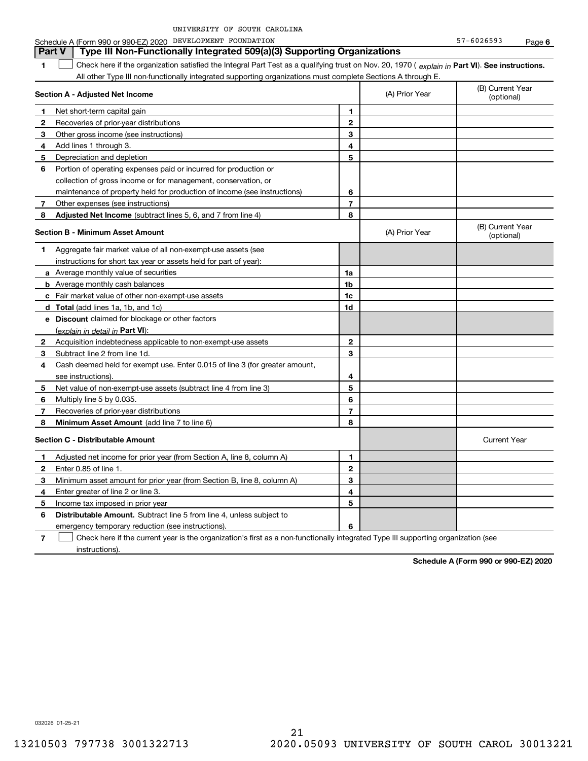| UNIVERSITY OF SOUTH CAROLINA |  |  |
|------------------------------|--|--|
|------------------------------|--|--|

**1Part VI** Check here if the organization satisfied the Integral Part Test as a qualifying trust on Nov. 20, 1970 ( *explain in* Part **VI**). See instructions. **Section A - Adjusted Net Income 12** Recoveries of prior-year distributions **3** Other gross income (see instructions) **4**Add lines 1 through 3. **56** Portion of operating expenses paid or incurred for production or **7** Other expenses (see instructions) **8** Adjusted Net Income (subtract lines 5, 6, and 7 from line 4) **8 8 1234567Section B - Minimum Asset Amount 1**Aggregate fair market value of all non-exempt-use assets (see **2**Acquisition indebtedness applicable to non-exempt-use assets **3** Subtract line 2 from line 1d. **4**Cash deemed held for exempt use. Enter 0.015 of line 3 (for greater amount, **5** Net value of non-exempt-use assets (subtract line 4 from line 3) **678a** Average monthly value of securities **b** Average monthly cash balances **c**Fair market value of other non-exempt-use assets **dTotal**  (add lines 1a, 1b, and 1c) **eDiscount** claimed for blockage or other factors **1a1b1c1d2345678**(explain in detail in Part VI): **Minimum Asset Amount**  (add line 7 to line 6) **Section C - Distributable Amount 1**Adjusted net income for prior year (from Section A, line 8, column A) **2**Enter 0.85 of line 1. **3**Minimum asset amount for prior year (from Section B, line 8, column A) **456** Distributable Amount. Subtract line 5 from line 4, unless subject to **123456**All other Type III non-functionally integrated supporting organizations must complete Sections A through E. (B) Current Year (optional)(A) Prior Year Net short-term capital gain Depreciation and depletion collection of gross income or for management, conservation, or maintenance of property held for production of income (see instructions) (B) Current Year (optional)(A) Prior Year instructions for short tax year or assets held for part of year): see instructions). Multiply line 5 by 0.035. Recoveries of prior-year distributions Current Year Enter greater of line 2 or line 3. Income tax imposed in prior year emergency temporary reduction (see instructions). **Part V** Type III Non-Functionally Integrated 509(a)(3) Supporting Organizations  $\mathcal{L}^{\text{max}}$ 

**7**Check here if the current year is the organization's first as a non-functionally integrated Type III supporting organization (see instructions). $\mathcal{L}^{\text{max}}$ 

**Schedule A (Form 990 or 990-EZ) 2020**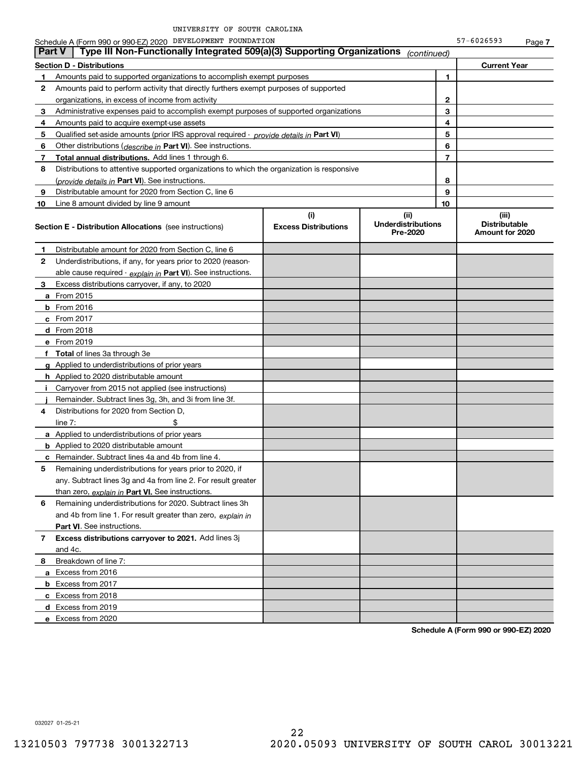|                                                                                                                                                       | Schedule A (Form 990 or 990-EZ) 2020 DEVELOPMENT FOUNDATION                                |  |             |   | 57-6026593                                       | Page 7 |
|-------------------------------------------------------------------------------------------------------------------------------------------------------|--------------------------------------------------------------------------------------------|--|-------------|---|--------------------------------------------------|--------|
| <b>Part V</b>                                                                                                                                         | Type III Non-Functionally Integrated 509(a)(3) Supporting Organizations                    |  | (continued) |   |                                                  |        |
|                                                                                                                                                       | <b>Section D - Distributions</b>                                                           |  |             |   | <b>Current Year</b>                              |        |
| 1                                                                                                                                                     | Amounts paid to supported organizations to accomplish exempt purposes                      |  |             | 1 |                                                  |        |
| 2                                                                                                                                                     | Amounts paid to perform activity that directly furthers exempt purposes of supported       |  |             |   |                                                  |        |
|                                                                                                                                                       | organizations, in excess of income from activity                                           |  |             | 2 |                                                  |        |
| 3                                                                                                                                                     | Administrative expenses paid to accomplish exempt purposes of supported organizations      |  |             | 3 |                                                  |        |
| 4                                                                                                                                                     | Amounts paid to acquire exempt-use assets                                                  |  |             | 4 |                                                  |        |
| 5                                                                                                                                                     | Qualified set-aside amounts (prior IRS approval required - provide details in Part VI)     |  | 5           |   |                                                  |        |
| 6                                                                                                                                                     | Other distributions (describe in Part VI). See instructions.                               |  | 6           |   |                                                  |        |
| 7                                                                                                                                                     | <b>Total annual distributions.</b> Add lines 1 through 6.                                  |  | 7           |   |                                                  |        |
| 8                                                                                                                                                     | Distributions to attentive supported organizations to which the organization is responsive |  |             |   |                                                  |        |
|                                                                                                                                                       | (provide details in Part VI). See instructions.                                            |  |             | 8 |                                                  |        |
| 9                                                                                                                                                     | Distributable amount for 2020 from Section C, line 6                                       |  |             | 9 |                                                  |        |
| 10                                                                                                                                                    | Line 8 amount divided by line 9 amount                                                     |  | 10          |   |                                                  |        |
| (i)<br>(ii)<br><b>Underdistributions</b><br><b>Excess Distributions</b><br><b>Section E - Distribution Allocations</b> (see instructions)<br>Pre-2020 |                                                                                            |  |             |   | (iii)<br><b>Distributable</b><br>Amount for 2020 |        |
| 1                                                                                                                                                     | Distributable amount for 2020 from Section C, line 6                                       |  |             |   |                                                  |        |
| 2                                                                                                                                                     | Underdistributions, if any, for years prior to 2020 (reason-                               |  |             |   |                                                  |        |
|                                                                                                                                                       | able cause required - explain in Part VI). See instructions.                               |  |             |   |                                                  |        |
| 3                                                                                                                                                     | Excess distributions carryover, if any, to 2020                                            |  |             |   |                                                  |        |
|                                                                                                                                                       | <b>a</b> From 2015                                                                         |  |             |   |                                                  |        |
|                                                                                                                                                       | <b>b</b> From $2016$                                                                       |  |             |   |                                                  |        |
|                                                                                                                                                       | $c$ From 2017                                                                              |  |             |   |                                                  |        |
|                                                                                                                                                       | <b>d</b> From 2018                                                                         |  |             |   |                                                  |        |
|                                                                                                                                                       | e From 2019                                                                                |  |             |   |                                                  |        |
|                                                                                                                                                       | f Total of lines 3a through 3e                                                             |  |             |   |                                                  |        |
|                                                                                                                                                       | g Applied to underdistributions of prior years                                             |  |             |   |                                                  |        |
|                                                                                                                                                       | <b>h</b> Applied to 2020 distributable amount                                              |  |             |   |                                                  |        |
| J.                                                                                                                                                    | Carryover from 2015 not applied (see instructions)                                         |  |             |   |                                                  |        |
|                                                                                                                                                       | Remainder. Subtract lines 3g, 3h, and 3i from line 3f.                                     |  |             |   |                                                  |        |
| 4                                                                                                                                                     | Distributions for 2020 from Section D,                                                     |  |             |   |                                                  |        |
|                                                                                                                                                       | \$<br>line $7:$                                                                            |  |             |   |                                                  |        |
|                                                                                                                                                       | <b>a</b> Applied to underdistributions of prior years                                      |  |             |   |                                                  |        |
|                                                                                                                                                       | <b>b</b> Applied to 2020 distributable amount                                              |  |             |   |                                                  |        |
|                                                                                                                                                       | <b>c</b> Remainder. Subtract lines 4a and 4b from line 4.                                  |  |             |   |                                                  |        |
|                                                                                                                                                       | Remaining underdistributions for years prior to 2020, if                                   |  |             |   |                                                  |        |
|                                                                                                                                                       | any. Subtract lines 3q and 4a from line 2. For result greater                              |  |             |   |                                                  |        |
|                                                                                                                                                       | than zero, explain in Part VI. See instructions.                                           |  |             |   |                                                  |        |
| 6                                                                                                                                                     | Remaining underdistributions for 2020. Subtract lines 3h                                   |  |             |   |                                                  |        |
|                                                                                                                                                       | and 4b from line 1. For result greater than zero, explain in                               |  |             |   |                                                  |        |
|                                                                                                                                                       | <b>Part VI.</b> See instructions.                                                          |  |             |   |                                                  |        |
| 7                                                                                                                                                     | Excess distributions carryover to 2021. Add lines 3j                                       |  |             |   |                                                  |        |
|                                                                                                                                                       | and 4c.                                                                                    |  |             |   |                                                  |        |
| 8                                                                                                                                                     | Breakdown of line 7:                                                                       |  |             |   |                                                  |        |
|                                                                                                                                                       | a Excess from 2016                                                                         |  |             |   |                                                  |        |
|                                                                                                                                                       | <b>b</b> Excess from 2017                                                                  |  |             |   |                                                  |        |
|                                                                                                                                                       | c Excess from 2018                                                                         |  |             |   |                                                  |        |
|                                                                                                                                                       | d Excess from 2019                                                                         |  |             |   |                                                  |        |
|                                                                                                                                                       | e Excess from 2020                                                                         |  |             |   |                                                  |        |
|                                                                                                                                                       |                                                                                            |  |             |   |                                                  |        |

**Schedule A (Form 990 or 990-EZ) 2020**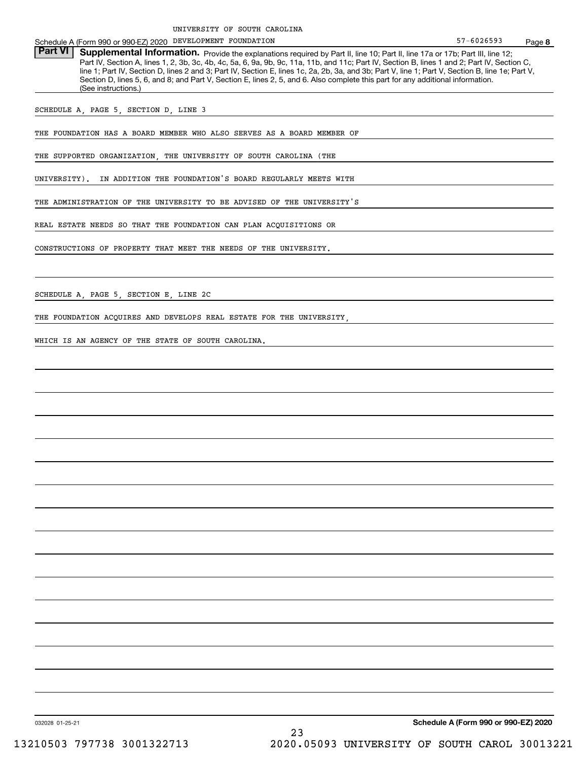Schedule A (Form 990 or 990-EZ) 2020 Page DEVELOPMENT FOUNDATION

Part VI | Supplemental Information. Provide the explanations required by Part II, line 10; Part II, line 17a or 17b; Part III, line 12; Part IV, Section A, lines 1, 2, 3b, 3c, 4b, 4c, 5a, 6, 9a, 9b, 9c, 11a, 11b, and 11c; Part IV, Section B, lines 1 and 2; Part IV, Section C, line 1; Part IV, Section D, lines 2 and 3; Part IV, Section E, lines 1c, 2a, 2b, 3a, and 3b; Part V, line 1; Part V, Section B, line 1e; Part V, Section D, lines 5, 6, and 8; and Part V, Section E, lines 2, 5, and 6. Also complete this part for any additional information. (See instructions.)

SCHEDULE A, PAGE 5, SECTION D, LINE 3

THE FOUNDATION HAS A BOARD MEMBER WHO ALSO SERVES AS A BOARD MEMBER OF

THE SUPPORTED ORGANIZATION, THE UNIVERSITY OF SOUTH CAROLINA (THE

UNIVERSITY). IN ADDITION THE FOUNDATION'S BOARD REGULARLY MEETS WITH

THE ADMINISTRATION OF THE UNIVERSITY TO BE ADVISED OF THE UNIVERSITY'S

REAL ESTATE NEEDS SO THAT THE FOUNDATION CAN PLAN ACQUISITIONS OR

CONSTRUCTIONS OF PROPERTY THAT MEET THE NEEDS OF THE UNIVERSITY.

SCHEDULE A, PAGE 5, SECTION E, LINE 2C

THE FOUNDATION ACQUIRES AND DEVELOPS REAL ESTATE FOR THE UNIVERSITY,

WHICH IS AN AGENCY OF THE STATE OF SOUTH CAROLINA.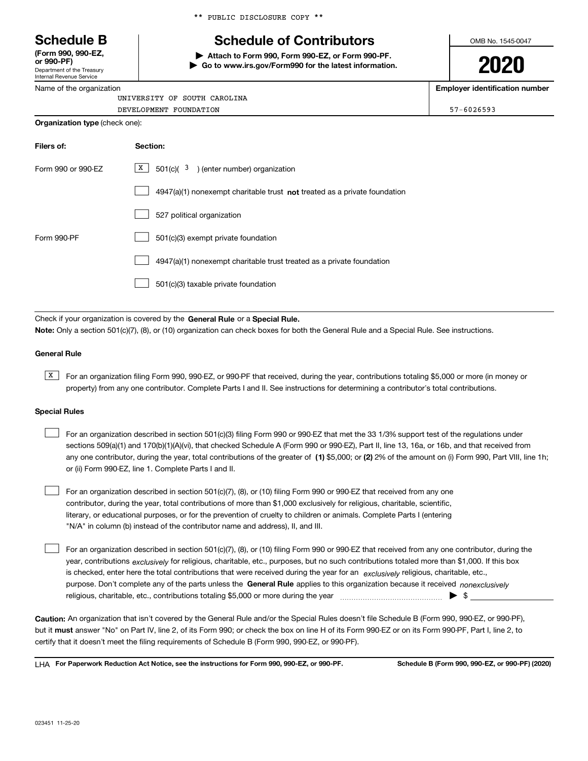Department of the Treasury **(Form 990, 990-EZ, or 990-PF)**

Internal Revenue Service

Name of the organization

# **Schedule B Schedule of Contributors**

**| Attach to Form 990, Form 990-EZ, or Form 990-PF. | Go to www.irs.gov/Form990 for the latest information.** OMB No. 1545-0047

# **2020**

**Employer identification number**

| UNIVERSITY OF SOUTH CAROLINA          |                |
|---------------------------------------|----------------|
| DEVELOPMENT FOUNDATION                | $57 - 6026593$ |
| <b>Organization type</b> (check one): |                |

| Filers of:         | Section:                                                                  |
|--------------------|---------------------------------------------------------------------------|
| Form 990 or 990-EZ | $\mathbf{X}$<br>$501(c)$ $(3)$ (enter number) organization                |
|                    | 4947(a)(1) nonexempt charitable trust not treated as a private foundation |
|                    | 527 political organization                                                |
| Form 990-PF        | 501(c)(3) exempt private foundation                                       |
|                    | 4947(a)(1) nonexempt charitable trust treated as a private foundation     |
|                    | 501(c)(3) taxable private foundation                                      |

Check if your organization is covered by the **General Rule** or a **Special Rule. Note:**  Only a section 501(c)(7), (8), or (10) organization can check boxes for both the General Rule and a Special Rule. See instructions.

#### **General Rule**

 $\overline{X}$  For an organization filing Form 990, 990-EZ, or 990-PF that received, during the year, contributions totaling \$5,000 or more (in money or property) from any one contributor. Complete Parts I and II. See instructions for determining a contributor's total contributions.

#### **Special Rules**

| For an organization described in section 501(c)(3) filing Form 990 or 990-EZ that met the 33 1/3% support test of the regulations under               |
|-------------------------------------------------------------------------------------------------------------------------------------------------------|
| sections 509(a)(1) and 170(b)(1)(A)(vi), that checked Schedule A (Form 990 or 990-EZ), Part II, line 13, 16a, or 16b, and that received from          |
| any one contributor, during the year, total contributions of the greater of (1) \$5,000; or (2) 2% of the amount on (i) Form 990, Part VIII, line 1h; |
| or (ii) Form 990-EZ, line 1. Complete Parts I and II.                                                                                                 |

For an organization described in section 501(c)(7), (8), or (10) filing Form 990 or 990-EZ that received from any one contributor, during the year, total contributions of more than \$1,000 exclusively for religious, charitable, scientific, literary, or educational purposes, or for the prevention of cruelty to children or animals. Complete Parts I (entering "N/A" in column (b) instead of the contributor name and address), II, and III.  $\mathcal{L}^{\text{max}}$ 

purpose. Don't complete any of the parts unless the **General Rule** applies to this organization because it received *nonexclusively* year, contributions <sub>exclusively</sub> for religious, charitable, etc., purposes, but no such contributions totaled more than \$1,000. If this box is checked, enter here the total contributions that were received during the year for an  $\;$ exclusively religious, charitable, etc., For an organization described in section 501(c)(7), (8), or (10) filing Form 990 or 990-EZ that received from any one contributor, during the religious, charitable, etc., contributions totaling \$5,000 or more during the year  $\Box$ — $\Box$   $\Box$  $\mathcal{L}^{\text{max}}$ 

**Caution:**  An organization that isn't covered by the General Rule and/or the Special Rules doesn't file Schedule B (Form 990, 990-EZ, or 990-PF),  **must** but it answer "No" on Part IV, line 2, of its Form 990; or check the box on line H of its Form 990-EZ or on its Form 990-PF, Part I, line 2, to certify that it doesn't meet the filing requirements of Schedule B (Form 990, 990-EZ, or 990-PF).

**For Paperwork Reduction Act Notice, see the instructions for Form 990, 990-EZ, or 990-PF. Schedule B (Form 990, 990-EZ, or 990-PF) (2020)** LHA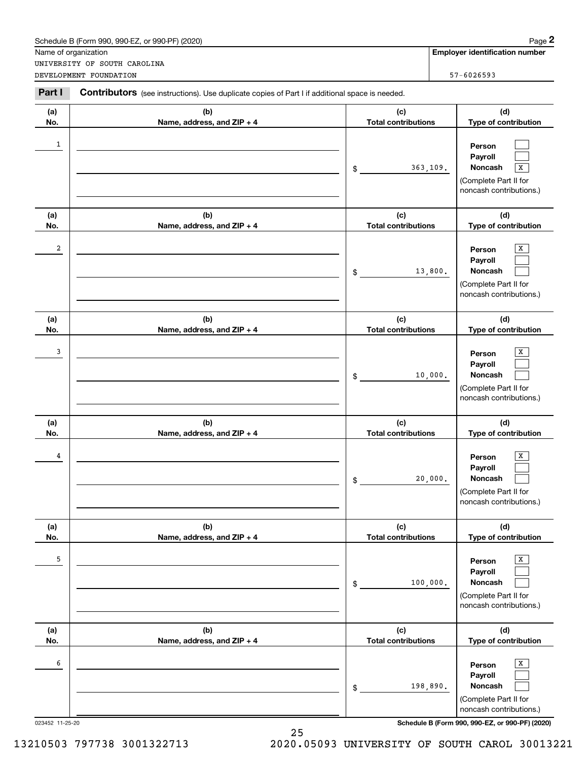|              | Schedule B (Form 990, 990-EZ, or 990-PF) (2020)                                                       |                                   |                | Page 2                                                                                                      |  |
|--------------|-------------------------------------------------------------------------------------------------------|-----------------------------------|----------------|-------------------------------------------------------------------------------------------------------------|--|
|              | Name of organization                                                                                  |                                   |                | <b>Employer identification number</b>                                                                       |  |
|              | UNIVERSITY OF SOUTH CAROLINA<br>DEVELOPMENT FOUNDATION                                                |                                   | $57 - 6026593$ |                                                                                                             |  |
|              |                                                                                                       |                                   |                |                                                                                                             |  |
| Part I       | <b>Contributors</b> (see instructions). Use duplicate copies of Part I if additional space is needed. |                                   |                |                                                                                                             |  |
| (a)          | (b)                                                                                                   | (d)                               |                |                                                                                                             |  |
| No.          | Name, address, and ZIP + 4                                                                            | <b>Total contributions</b>        |                | Type of contribution                                                                                        |  |
| $\mathbf{1}$ |                                                                                                       | \$                                | 363, 109.      | Person<br>Payroll<br>Noncash<br>$\overline{\mathbf{x}}$<br>(Complete Part II for<br>noncash contributions.) |  |
| (a)          | (b)                                                                                                   | (c)                               |                | (d)                                                                                                         |  |
| No.          | Name, address, and ZIP + 4                                                                            | <b>Total contributions</b>        |                | Type of contribution                                                                                        |  |
| 2            |                                                                                                       | \$                                | 13,800.        | х<br>Person<br>Payroll<br>Noncash<br>(Complete Part II for<br>noncash contributions.)                       |  |
| (a)          | (b)                                                                                                   | (c)                               |                | (d)                                                                                                         |  |
| No.          | Name, address, and ZIP + 4                                                                            | <b>Total contributions</b>        |                | Type of contribution                                                                                        |  |
| 3            |                                                                                                       | \$                                | 10,000.        | х<br>Person<br>Payroll<br>Noncash<br>(Complete Part II for<br>noncash contributions.)                       |  |
| (a)<br>No.   | (b)<br>Name, address, and ZIP + 4                                                                     | (c)<br><b>Total contributions</b> |                | (d)<br>Type of contribution                                                                                 |  |
| 4            |                                                                                                       | \$                                | 20,000.        | х<br>Person<br>Payroll<br>Noncash<br>(Complete Part II for<br>noncash contributions.)                       |  |
| (a)<br>No.   | (b)<br>Name, address, and ZIP + 4                                                                     | (c)<br><b>Total contributions</b> |                | (d)<br>Type of contribution                                                                                 |  |
| 5            |                                                                                                       | \$                                | 100,000.       | X<br>Person<br>Payroll<br>Noncash<br>(Complete Part II for<br>noncash contributions.)                       |  |
| (a)          | (b)                                                                                                   | (c)                               |                | (d)                                                                                                         |  |
| No.          | Name, address, and ZIP + 4                                                                            | <b>Total contributions</b>        |                | Type of contribution                                                                                        |  |
| 6            |                                                                                                       | \$                                | 198,890.       | х<br>Person<br>Payroll<br>Noncash<br>(Complete Part II for<br>noncash contributions.)                       |  |

023452 11-25-20 **Schedule B (Form 990, 990-EZ, or 990-PF) (2020)**

25 13210503 797738 3001322713 2020.05093 UNIVERSITY OF SOUTH CAROL 30013221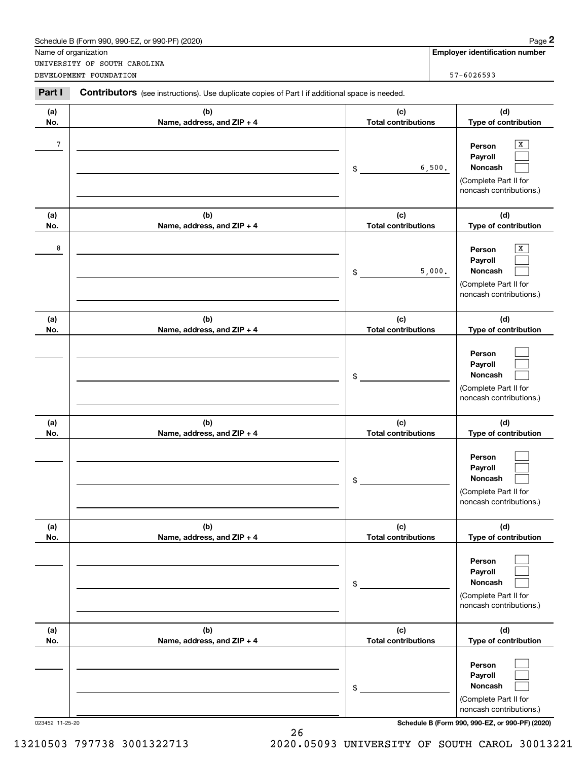|            | Schedule B (Form 990, 990-EZ, or 990-PF) (2020)                                                       |                                   | Page 2                                                                                          |
|------------|-------------------------------------------------------------------------------------------------------|-----------------------------------|-------------------------------------------------------------------------------------------------|
|            | Name of organization<br>UNIVERSITY OF SOUTH CAROLINA                                                  |                                   | <b>Employer identification number</b>                                                           |
|            | DEVELOPMENT FOUNDATION                                                                                |                                   | $57 - 6026593$                                                                                  |
| Part I     | <b>Contributors</b> (see instructions). Use duplicate copies of Part I if additional space is needed. |                                   |                                                                                                 |
| (a)<br>No. | (b)<br>Name, address, and ZIP + 4                                                                     | (c)<br><b>Total contributions</b> | (d)<br>Type of contribution                                                                     |
| 7          |                                                                                                       | \$                                | х<br>Person<br>Payroll<br>6,500.<br>Noncash<br>(Complete Part II for<br>noncash contributions.) |
| (a)<br>No. | (b)<br>Name, address, and ZIP + 4                                                                     | (c)<br><b>Total contributions</b> | (d)<br>Type of contribution                                                                     |
| 8          |                                                                                                       | \$                                | х<br>Person<br>Payroll<br>Noncash<br>5,000.<br>(Complete Part II for<br>noncash contributions.) |
| (a)<br>No. | (b)<br>Name, address, and ZIP + 4                                                                     | (c)<br><b>Total contributions</b> | (d)<br>Type of contribution                                                                     |
|            |                                                                                                       | \$                                | Person<br>Payroll<br>Noncash<br>(Complete Part II for<br>noncash contributions.)                |
| (a)<br>No. | (b)<br>Name, address, and ZIP + 4                                                                     | (c)<br><b>Total contributions</b> | (d)<br>Type of contribution                                                                     |
|            |                                                                                                       | \$                                | Person<br>Payroll<br>Noncash<br>(Complete Part II for<br>noncash contributions.)                |
| (a)<br>No. | (b)<br>Name, address, and ZIP + 4                                                                     | (c)<br><b>Total contributions</b> | (d)<br>Type of contribution                                                                     |
|            |                                                                                                       | \$                                | Person<br>Payroll<br>Noncash<br>(Complete Part II for<br>noncash contributions.)                |
| (a)<br>No. | (b)<br>Name, address, and ZIP + 4                                                                     | (c)<br><b>Total contributions</b> | (d)<br>Type of contribution                                                                     |
|            |                                                                                                       | \$                                | Person<br>Payroll<br>Noncash<br>(Complete Part II for<br>noncash contributions.)                |

023452 11-25-20 **Schedule B (Form 990, 990-EZ, or 990-PF) (2020)**

26 13210503 797738 3001322713 2020.05093 UNIVERSITY OF SOUTH CAROL 30013221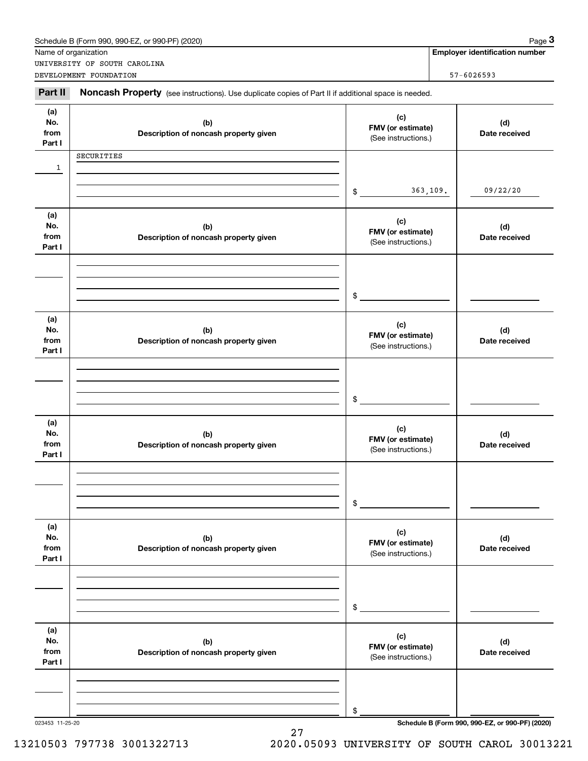|                              | Schedule B (Form 990, 990-EZ, or 990-PF) (2020)<br>Name of organization                             |                                                 | Page 3<br><b>Employer identification number</b> |
|------------------------------|-----------------------------------------------------------------------------------------------------|-------------------------------------------------|-------------------------------------------------|
|                              | UNIVERSITY OF SOUTH CAROLINA                                                                        |                                                 |                                                 |
|                              | DEVELOPMENT FOUNDATION                                                                              |                                                 | 57-6026593                                      |
| Part II                      | Noncash Property (see instructions). Use duplicate copies of Part II if additional space is needed. |                                                 |                                                 |
| (a)<br>No.<br>from<br>Part I | (c)<br>(b)<br>FMV (or estimate)<br>Description of noncash property given<br>(See instructions.)     |                                                 | (d)<br>Date received                            |
|                              | SECURITIES                                                                                          |                                                 |                                                 |
| 1                            |                                                                                                     | \$                                              | 09/22/20<br>363, 109.                           |
|                              |                                                                                                     |                                                 |                                                 |
| (a)<br>No.<br>from<br>Part I | (b)<br>Description of noncash property given                                                        | (c)<br>FMV (or estimate)<br>(See instructions.) | (d)<br>Date received                            |
|                              |                                                                                                     |                                                 |                                                 |
|                              |                                                                                                     | \$                                              |                                                 |
| (a)<br>No.<br>from<br>Part I | (b)<br>Description of noncash property given                                                        | (c)<br>FMV (or estimate)<br>(See instructions.) | (d)<br>Date received                            |
|                              |                                                                                                     |                                                 |                                                 |
|                              |                                                                                                     | \$                                              |                                                 |
| (a)<br>No.<br>from<br>Part I | (b)<br>Description of noncash property given                                                        | (c)<br>FMV (or estimate)<br>(See instructions.) | (d)<br>Date received                            |
|                              |                                                                                                     |                                                 |                                                 |
|                              |                                                                                                     | \$                                              |                                                 |
| (a)<br>No.<br>from<br>Part I | (b)<br>Description of noncash property given                                                        | (c)<br>FMV (or estimate)<br>(See instructions.) | (d)<br>Date received                            |
|                              |                                                                                                     |                                                 |                                                 |
|                              |                                                                                                     | \$                                              |                                                 |
| (a)<br>No.<br>from<br>Part I | (b)<br>Description of noncash property given                                                        | (c)<br>FMV (or estimate)<br>(See instructions.) | (d)<br>Date received                            |
|                              |                                                                                                     |                                                 |                                                 |
|                              |                                                                                                     | \$                                              |                                                 |
| 023453 11-25-20              |                                                                                                     |                                                 | Schedule B (Form 990, 990-EZ, or 990-PF) (2020) |

27

Schedule B (Form 990, 990-EZ, or 990-PF) (2020) Page 3

13210503 797738 3001322713 2020.05093 UNIVERSITY OF SOUTH CAROL 30013221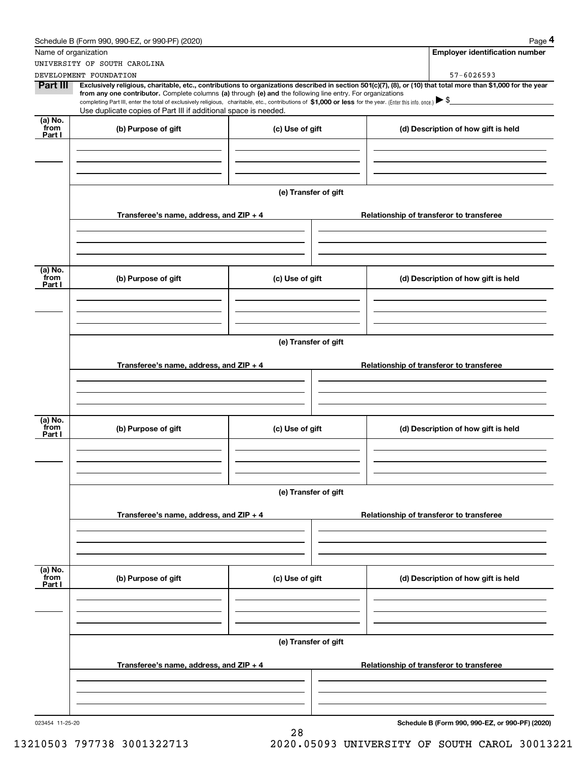|                           | Schedule B (Form 990, 990-EZ, or 990-PF) (2020)                                                                                                                                                                                                      |                                                                                       |  | Page 4                                          |  |  |
|---------------------------|------------------------------------------------------------------------------------------------------------------------------------------------------------------------------------------------------------------------------------------------------|---------------------------------------------------------------------------------------|--|-------------------------------------------------|--|--|
| Name of organization      |                                                                                                                                                                                                                                                      |                                                                                       |  | <b>Employer identification number</b>           |  |  |
|                           | UNIVERSITY OF SOUTH CAROLINA                                                                                                                                                                                                                         |                                                                                       |  |                                                 |  |  |
| Part III                  | DEVELOPMENT FOUNDATION<br>Exclusively religious, charitable, etc., contributions to organizations described in section 501(c)(7), (8), or (10) that total more than \$1,000 for the year                                                             |                                                                                       |  | 57-6026593                                      |  |  |
|                           | from any one contributor. Complete columns (a) through (e) and the following line entry. For organizations                                                                                                                                           |                                                                                       |  |                                                 |  |  |
|                           | completing Part III, enter the total of exclusively religious, charitable, etc., contributions of \$1,000 or less for the year. (Enter this info. once.) $\blacktriangleright$ \$<br>Use duplicate copies of Part III if additional space is needed. |                                                                                       |  |                                                 |  |  |
|                           |                                                                                                                                                                                                                                                      |                                                                                       |  |                                                 |  |  |
| (a) No.<br>from<br>Part I | (b) Purpose of gift                                                                                                                                                                                                                                  | (c) Use of gift                                                                       |  | (d) Description of how gift is held             |  |  |
|                           |                                                                                                                                                                                                                                                      |                                                                                       |  |                                                 |  |  |
|                           |                                                                                                                                                                                                                                                      |                                                                                       |  |                                                 |  |  |
|                           |                                                                                                                                                                                                                                                      |                                                                                       |  |                                                 |  |  |
|                           |                                                                                                                                                                                                                                                      |                                                                                       |  |                                                 |  |  |
|                           |                                                                                                                                                                                                                                                      | (e) Transfer of gift                                                                  |  |                                                 |  |  |
|                           |                                                                                                                                                                                                                                                      |                                                                                       |  |                                                 |  |  |
|                           | Transferee's name, address, and $ZIP + 4$                                                                                                                                                                                                            |                                                                                       |  | Relationship of transferor to transferee        |  |  |
|                           |                                                                                                                                                                                                                                                      |                                                                                       |  |                                                 |  |  |
|                           |                                                                                                                                                                                                                                                      |                                                                                       |  |                                                 |  |  |
|                           |                                                                                                                                                                                                                                                      |                                                                                       |  |                                                 |  |  |
| (a) No.<br>from           |                                                                                                                                                                                                                                                      |                                                                                       |  |                                                 |  |  |
| Part I                    | (b) Purpose of gift                                                                                                                                                                                                                                  | (c) Use of gift                                                                       |  | (d) Description of how gift is held             |  |  |
|                           |                                                                                                                                                                                                                                                      |                                                                                       |  |                                                 |  |  |
|                           |                                                                                                                                                                                                                                                      |                                                                                       |  |                                                 |  |  |
|                           |                                                                                                                                                                                                                                                      |                                                                                       |  |                                                 |  |  |
|                           |                                                                                                                                                                                                                                                      |                                                                                       |  |                                                 |  |  |
|                           | (e) Transfer of gift                                                                                                                                                                                                                                 |                                                                                       |  |                                                 |  |  |
|                           |                                                                                                                                                                                                                                                      | Transferee's name, address, and $ZIP + 4$<br>Relationship of transferor to transferee |  |                                                 |  |  |
|                           |                                                                                                                                                                                                                                                      |                                                                                       |  |                                                 |  |  |
|                           |                                                                                                                                                                                                                                                      |                                                                                       |  |                                                 |  |  |
|                           |                                                                                                                                                                                                                                                      |                                                                                       |  |                                                 |  |  |
|                           |                                                                                                                                                                                                                                                      |                                                                                       |  |                                                 |  |  |
| (a) No.<br>from           | (b) Purpose of gift                                                                                                                                                                                                                                  | (c) Use of gift                                                                       |  | (d) Description of how gift is held             |  |  |
| Part I                    |                                                                                                                                                                                                                                                      |                                                                                       |  |                                                 |  |  |
|                           |                                                                                                                                                                                                                                                      |                                                                                       |  |                                                 |  |  |
|                           |                                                                                                                                                                                                                                                      |                                                                                       |  |                                                 |  |  |
|                           |                                                                                                                                                                                                                                                      |                                                                                       |  |                                                 |  |  |
|                           |                                                                                                                                                                                                                                                      | (e) Transfer of gift                                                                  |  |                                                 |  |  |
|                           |                                                                                                                                                                                                                                                      |                                                                                       |  |                                                 |  |  |
|                           | Transferee's name, address, and ZIP + 4                                                                                                                                                                                                              |                                                                                       |  | Relationship of transferor to transferee        |  |  |
|                           |                                                                                                                                                                                                                                                      |                                                                                       |  |                                                 |  |  |
|                           |                                                                                                                                                                                                                                                      |                                                                                       |  |                                                 |  |  |
|                           |                                                                                                                                                                                                                                                      |                                                                                       |  |                                                 |  |  |
| (a) No.<br>from           |                                                                                                                                                                                                                                                      |                                                                                       |  |                                                 |  |  |
| Part I                    | (b) Purpose of gift                                                                                                                                                                                                                                  | (c) Use of gift                                                                       |  | (d) Description of how gift is held             |  |  |
|                           |                                                                                                                                                                                                                                                      |                                                                                       |  |                                                 |  |  |
|                           |                                                                                                                                                                                                                                                      |                                                                                       |  |                                                 |  |  |
|                           |                                                                                                                                                                                                                                                      |                                                                                       |  |                                                 |  |  |
|                           |                                                                                                                                                                                                                                                      |                                                                                       |  |                                                 |  |  |
|                           |                                                                                                                                                                                                                                                      | (e) Transfer of gift                                                                  |  |                                                 |  |  |
|                           |                                                                                                                                                                                                                                                      |                                                                                       |  |                                                 |  |  |
|                           | Transferee's name, address, and $ZIP + 4$                                                                                                                                                                                                            |                                                                                       |  | Relationship of transferor to transferee        |  |  |
|                           |                                                                                                                                                                                                                                                      |                                                                                       |  |                                                 |  |  |
|                           |                                                                                                                                                                                                                                                      |                                                                                       |  |                                                 |  |  |
|                           |                                                                                                                                                                                                                                                      |                                                                                       |  |                                                 |  |  |
| 023454 11-25-20           |                                                                                                                                                                                                                                                      |                                                                                       |  | Schedule B (Form 990, 990-EZ, or 990-PF) (2020) |  |  |
|                           |                                                                                                                                                                                                                                                      | $\Omega$                                                                              |  |                                                 |  |  |

28 13210503 797738 3001322713 2020.05093 UNIVERSITY OF SOUTH CAROL 30013221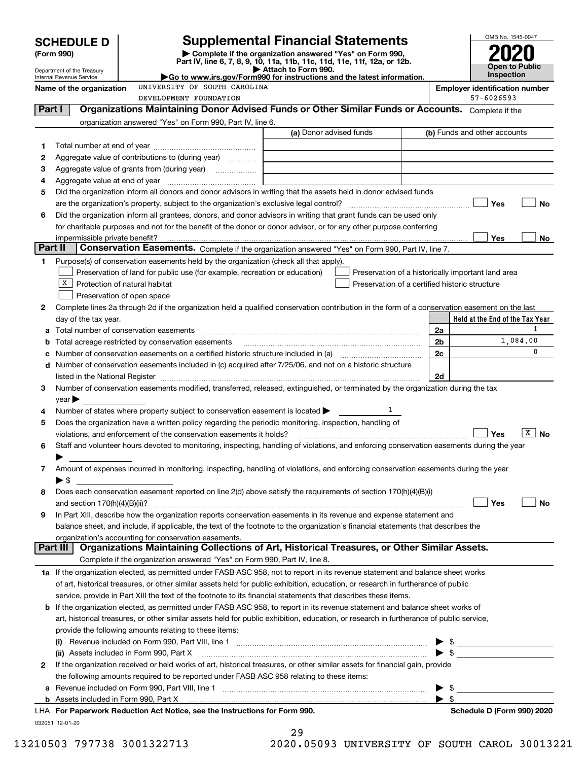|         | <b>SCHEDULE D</b>                                                      |                                                                                                                                                                                                                               | <b>Supplemental Financial Statements</b>                                                        |  |    | OMB No. 1545-0047                                   |
|---------|------------------------------------------------------------------------|-------------------------------------------------------------------------------------------------------------------------------------------------------------------------------------------------------------------------------|-------------------------------------------------------------------------------------------------|--|----|-----------------------------------------------------|
|         | Complete if the organization answered "Yes" on Form 990,<br>(Form 990) |                                                                                                                                                                                                                               |                                                                                                 |  |    |                                                     |
|         | Department of the Treasury                                             |                                                                                                                                                                                                                               | Part IV, line 6, 7, 8, 9, 10, 11a, 11b, 11c, 11d, 11e, 11f, 12a, or 12b.<br>Attach to Form 990. |  |    | Open to Public                                      |
|         | Internal Revenue Service                                               |                                                                                                                                                                                                                               | Go to www.irs.gov/Form990 for instructions and the latest information.                          |  |    | Inspection                                          |
|         | Name of the organization                                               | UNIVERSITY OF SOUTH CAROLINA<br>DEVELOPMENT FOUNDATION                                                                                                                                                                        |                                                                                                 |  |    | <b>Employer identification number</b><br>57-6026593 |
| Part I  |                                                                        | Organizations Maintaining Donor Advised Funds or Other Similar Funds or Accounts. Complete if the                                                                                                                             |                                                                                                 |  |    |                                                     |
|         |                                                                        | organization answered "Yes" on Form 990, Part IV, line 6.                                                                                                                                                                     |                                                                                                 |  |    |                                                     |
|         |                                                                        |                                                                                                                                                                                                                               | (a) Donor advised funds                                                                         |  |    | (b) Funds and other accounts                        |
| 1       |                                                                        |                                                                                                                                                                                                                               |                                                                                                 |  |    |                                                     |
| 2       |                                                                        | Aggregate value of contributions to (during year)                                                                                                                                                                             |                                                                                                 |  |    |                                                     |
| з       |                                                                        |                                                                                                                                                                                                                               |                                                                                                 |  |    |                                                     |
| 4       |                                                                        |                                                                                                                                                                                                                               |                                                                                                 |  |    |                                                     |
| 5       |                                                                        | Did the organization inform all donors and donor advisors in writing that the assets held in donor advised funds                                                                                                              |                                                                                                 |  |    |                                                     |
|         |                                                                        |                                                                                                                                                                                                                               |                                                                                                 |  |    | Yes<br>No                                           |
| 6       |                                                                        | Did the organization inform all grantees, donors, and donor advisors in writing that grant funds can be used only                                                                                                             |                                                                                                 |  |    |                                                     |
|         |                                                                        | for charitable purposes and not for the benefit of the donor or donor advisor, or for any other purpose conferring                                                                                                            |                                                                                                 |  |    |                                                     |
|         | impermissible private benefit?                                         |                                                                                                                                                                                                                               |                                                                                                 |  |    | Yes<br>No                                           |
| Part II |                                                                        | Conservation Easements. Complete if the organization answered "Yes" on Form 990, Part IV, line 7.                                                                                                                             |                                                                                                 |  |    |                                                     |
| 1.      |                                                                        | Purpose(s) of conservation easements held by the organization (check all that apply).                                                                                                                                         |                                                                                                 |  |    |                                                     |
|         |                                                                        | Preservation of land for public use (for example, recreation or education)                                                                                                                                                    | Preservation of a historically important land area                                              |  |    |                                                     |
|         | x                                                                      | Protection of natural habitat                                                                                                                                                                                                 | Preservation of a certified historic structure                                                  |  |    |                                                     |
|         |                                                                        | Preservation of open space                                                                                                                                                                                                    |                                                                                                 |  |    |                                                     |
| 2       | day of the tax year.                                                   | Complete lines 2a through 2d if the organization held a qualified conservation contribution in the form of a conservation easement on the last                                                                                |                                                                                                 |  |    | Held at the End of the Tax Year                     |
|         |                                                                        | Total number of conservation easements                                                                                                                                                                                        |                                                                                                 |  | 2a | 1                                                   |
|         |                                                                        | Total acreage restricted by conservation easements                                                                                                                                                                            |                                                                                                 |  | 2b | 1,084,00                                            |
|         |                                                                        | Number of conservation easements on a certified historic structure included in (a) manufacture of conservation                                                                                                                |                                                                                                 |  | 2c | $\Omega$                                            |
| d       |                                                                        | Number of conservation easements included in (c) acquired after 7/25/06, and not on a historic structure                                                                                                                      |                                                                                                 |  |    |                                                     |
|         |                                                                        | listed in the National Register [111] increases and the National Property of the National Register [11] increases and the National Register [11] increases and the National Register [11] increases and the National Register |                                                                                                 |  | 2d |                                                     |
| 3       |                                                                        | Number of conservation easements modified, transferred, released, extinguished, or terminated by the organization during the tax                                                                                              |                                                                                                 |  |    |                                                     |
|         | $\vee$ ear                                                             |                                                                                                                                                                                                                               |                                                                                                 |  |    |                                                     |
| 4       |                                                                        | Number of states where property subject to conservation easement is located >                                                                                                                                                 |                                                                                                 |  |    |                                                     |
| 5       |                                                                        | Does the organization have a written policy regarding the periodic monitoring, inspection, handling of                                                                                                                        |                                                                                                 |  |    |                                                     |
|         |                                                                        | violations, and enforcement of the conservation easements it holds?                                                                                                                                                           |                                                                                                 |  |    | х<br><b>No</b><br>Yes                               |
| 6       |                                                                        | Staff and volunteer hours devoted to monitoring, inspecting, handling of violations, and enforcing conservation easements during the year                                                                                     |                                                                                                 |  |    |                                                     |
|         |                                                                        |                                                                                                                                                                                                                               |                                                                                                 |  |    |                                                     |
| 7       |                                                                        | Amount of expenses incurred in monitoring, inspecting, handling of violations, and enforcing conservation easements during the year                                                                                           |                                                                                                 |  |    |                                                     |
|         | $\blacktriangleright$ \$                                               | Does each conservation easement reported on line 2(d) above satisfy the requirements of section 170(h)(4)(B)(i)                                                                                                               |                                                                                                 |  |    |                                                     |
| 8       |                                                                        |                                                                                                                                                                                                                               |                                                                                                 |  |    | Yes<br>No                                           |
| 9       |                                                                        | In Part XIII, describe how the organization reports conservation easements in its revenue and expense statement and                                                                                                           |                                                                                                 |  |    |                                                     |
|         |                                                                        | balance sheet, and include, if applicable, the text of the footnote to the organization's financial statements that describes the                                                                                             |                                                                                                 |  |    |                                                     |
|         |                                                                        | organization's accounting for conservation easements.                                                                                                                                                                         |                                                                                                 |  |    |                                                     |
|         | Part III                                                               | Organizations Maintaining Collections of Art, Historical Treasures, or Other Similar Assets.                                                                                                                                  |                                                                                                 |  |    |                                                     |
|         |                                                                        | Complete if the organization answered "Yes" on Form 990, Part IV, line 8.                                                                                                                                                     |                                                                                                 |  |    |                                                     |
|         |                                                                        | 1a If the organization elected, as permitted under FASB ASC 958, not to report in its revenue statement and balance sheet works                                                                                               |                                                                                                 |  |    |                                                     |
|         |                                                                        | of art, historical treasures, or other similar assets held for public exhibition, education, or research in furtherance of public                                                                                             |                                                                                                 |  |    |                                                     |
|         |                                                                        | service, provide in Part XIII the text of the footnote to its financial statements that describes these items.                                                                                                                |                                                                                                 |  |    |                                                     |
|         |                                                                        | <b>b</b> If the organization elected, as permitted under FASB ASC 958, to report in its revenue statement and balance sheet works of                                                                                          |                                                                                                 |  |    |                                                     |
|         |                                                                        | art, historical treasures, or other similar assets held for public exhibition, education, or research in furtherance of public service,                                                                                       |                                                                                                 |  |    |                                                     |
|         | provide the following amounts relating to these items:                 |                                                                                                                                                                                                                               |                                                                                                 |  |    |                                                     |
|         |                                                                        |                                                                                                                                                                                                                               |                                                                                                 |  |    |                                                     |
|         |                                                                        | (ii) Assets included in Form 990, Part X                                                                                                                                                                                      |                                                                                                 |  |    | $\triangleright$ \$                                 |
| 2       |                                                                        | If the organization received or held works of art, historical treasures, or other similar assets for financial gain, provide                                                                                                  |                                                                                                 |  |    |                                                     |
|         |                                                                        | the following amounts required to be reported under FASB ASC 958 relating to these items:                                                                                                                                     |                                                                                                 |  |    |                                                     |
| а       |                                                                        |                                                                                                                                                                                                                               |                                                                                                 |  |    |                                                     |
| b       |                                                                        | Assets included in Form 990, Part X [11, 2008] [2010] [2010] [2010] [2010] [2010] [2010] [2010] [2010] [2010] [                                                                                                               |                                                                                                 |  |    |                                                     |
|         |                                                                        | LHA For Paperwork Reduction Act Notice, see the Instructions for Form 990.                                                                                                                                                    |                                                                                                 |  |    | Schedule D (Form 990) 2020                          |

032051 12-01-20

|   | 29 |                             |  |
|---|----|-----------------------------|--|
| . |    | $\sim$ $\sim$ $\sim$ $\sim$ |  |

13210503 797738 3001322713 2020.05093 UNIVERSITY OF SOUTH CAROL 30013221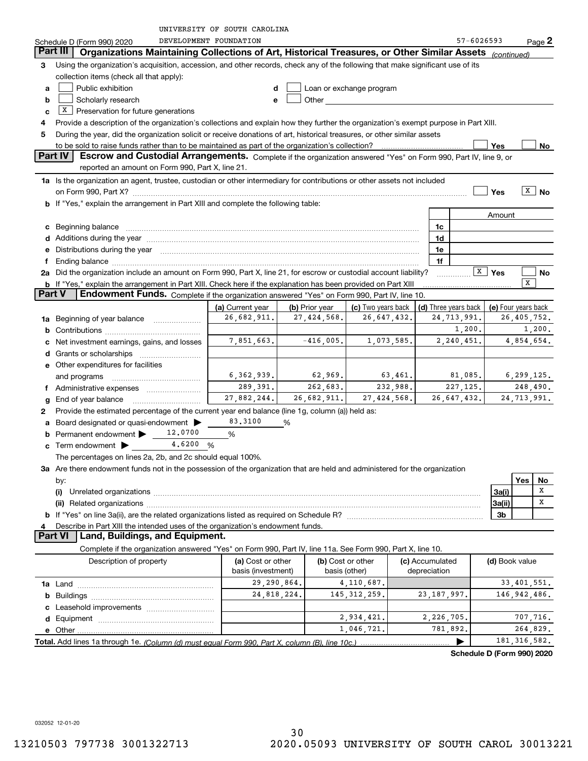|                |                                                                                                                                                                                                                                | UNIVERSITY OF SOUTH CAROLINA    |                               |                                                                                                                                                                                                                                |                 |                                       |                                      |               |                   |
|----------------|--------------------------------------------------------------------------------------------------------------------------------------------------------------------------------------------------------------------------------|---------------------------------|-------------------------------|--------------------------------------------------------------------------------------------------------------------------------------------------------------------------------------------------------------------------------|-----------------|---------------------------------------|--------------------------------------|---------------|-------------------|
|                | Schedule D (Form 990) 2020                                                                                                                                                                                                     | DEVELOPMENT FOUNDATION          |                               |                                                                                                                                                                                                                                |                 | 57-6026593                            |                                      |               | $Page$ 2          |
| Part III       | Organizations Maintaining Collections of Art, Historical Treasures, or Other Similar Assets                                                                                                                                    |                                 |                               |                                                                                                                                                                                                                                |                 |                                       | (continued)                          |               |                   |
| З              | Using the organization's acquisition, accession, and other records, check any of the following that make significant use of its                                                                                                |                                 |                               |                                                                                                                                                                                                                                |                 |                                       |                                      |               |                   |
|                | collection items (check all that apply):                                                                                                                                                                                       |                                 |                               |                                                                                                                                                                                                                                |                 |                                       |                                      |               |                   |
| a              | Public exhibition                                                                                                                                                                                                              |                                 |                               | Loan or exchange program                                                                                                                                                                                                       |                 |                                       |                                      |               |                   |
| b              | Scholarly research                                                                                                                                                                                                             | е                               |                               | Other and the control of the control of the control of the control of the control of the control of the control of the control of the control of the control of the control of the control of the control of the control of th |                 |                                       |                                      |               |                   |
| c              | $X$ Preservation for future generations                                                                                                                                                                                        |                                 |                               |                                                                                                                                                                                                                                |                 |                                       |                                      |               |                   |
|                | Provide a description of the organization's collections and explain how they further the organization's exempt purpose in Part XIII.                                                                                           |                                 |                               |                                                                                                                                                                                                                                |                 |                                       |                                      |               |                   |
| 5              | During the year, did the organization solicit or receive donations of art, historical treasures, or other similar assets                                                                                                       |                                 |                               |                                                                                                                                                                                                                                |                 |                                       |                                      |               |                   |
|                | to be sold to raise funds rather than to be maintained as part of the organization's collection?                                                                                                                               |                                 |                               |                                                                                                                                                                                                                                | . <u>.</u>      |                                       | Yes                                  |               | No                |
| Part IV        | Escrow and Custodial Arrangements. Complete if the organization answered "Yes" on Form 990, Part IV, line 9, or                                                                                                                |                                 |                               |                                                                                                                                                                                                                                |                 |                                       |                                      |               |                   |
|                | reported an amount on Form 990, Part X, line 21.                                                                                                                                                                               |                                 |                               |                                                                                                                                                                                                                                |                 |                                       |                                      |               |                   |
|                | 1a Is the organization an agent, trustee, custodian or other intermediary for contributions or other assets not included                                                                                                       |                                 |                               |                                                                                                                                                                                                                                |                 |                                       |                                      |               |                   |
|                | on Form 990, Part X? [11] matter contracts and contracts and contracts are contracted and contracts are contracted and contract and contract of the set of the set of the set of the set of the set of the set of the set of t |                                 |                               |                                                                                                                                                                                                                                |                 |                                       | Yes                                  |               | $\overline{X}$ No |
|                | b If "Yes," explain the arrangement in Part XIII and complete the following table:                                                                                                                                             |                                 |                               |                                                                                                                                                                                                                                |                 |                                       |                                      |               |                   |
|                |                                                                                                                                                                                                                                |                                 |                               |                                                                                                                                                                                                                                |                 |                                       | Amount                               |               |                   |
|                |                                                                                                                                                                                                                                |                                 |                               |                                                                                                                                                                                                                                | 1c              |                                       |                                      |               |                   |
|                |                                                                                                                                                                                                                                |                                 |                               |                                                                                                                                                                                                                                | 1d              |                                       |                                      |               |                   |
|                |                                                                                                                                                                                                                                |                                 |                               |                                                                                                                                                                                                                                |                 |                                       |                                      |               |                   |
|                | e Distributions during the year manufactured and continuum and contact the year manufactured and contact the year manufactured and contact the year manufactured and contact the year manufactured and contact the year manufa |                                 |                               |                                                                                                                                                                                                                                | 1e              |                                       |                                      |               |                   |
|                | Ending balance manufactured and contract and contract of the contract of the contract of the contract of the contract of the contract of the contract of the contract of the contract of the contract of the contract of the c |                                 |                               |                                                                                                                                                                                                                                | 1f              |                                       | $\boxed{\text{X}}$ Yes               |               |                   |
|                | 2a Did the organization include an amount on Form 990, Part X, line 21, for escrow or custodial account liability?                                                                                                             |                                 |                               |                                                                                                                                                                                                                                |                 |                                       |                                      | x             | No                |
| <b>Part V</b>  | <b>b</b> If "Yes," explain the arrangement in Part XIII. Check here if the explanation has been provided on Part XIII<br>Endowment Funds. Complete if the organization answered "Yes" on Form 990, Part IV, line 10.           |                                 |                               |                                                                                                                                                                                                                                |                 |                                       |                                      |               |                   |
|                |                                                                                                                                                                                                                                |                                 |                               |                                                                                                                                                                                                                                |                 |                                       |                                      |               |                   |
|                |                                                                                                                                                                                                                                | (a) Current year<br>26,682,911. | (b) Prior year<br>27,424,568. | (c) Two years back<br>26,647,432.                                                                                                                                                                                              |                 | (d) Three years back  <br>24,713,991. | (e) Four years back<br>26, 405, 752. |               |                   |
| 1a             | Beginning of year balance                                                                                                                                                                                                      |                                 |                               |                                                                                                                                                                                                                                |                 | 1,200.                                |                                      |               |                   |
|                |                                                                                                                                                                                                                                |                                 |                               |                                                                                                                                                                                                                                |                 |                                       |                                      |               | 1,200.            |
|                | Net investment earnings, gains, and losses                                                                                                                                                                                     | 7,851,663.                      | $-416,005.$                   | 1,073,585.                                                                                                                                                                                                                     |                 | 2,240,451.                            |                                      | 4,854,654.    |                   |
|                | <b>d</b> Grants or scholarships                                                                                                                                                                                                |                                 |                               |                                                                                                                                                                                                                                |                 |                                       |                                      |               |                   |
|                | e Other expenditures for facilities                                                                                                                                                                                            |                                 |                               |                                                                                                                                                                                                                                |                 |                                       |                                      |               |                   |
|                | and programs                                                                                                                                                                                                                   | 6, 362, 939.                    | 62,969.                       | 63,461.                                                                                                                                                                                                                        |                 | 81,085.                               | 6, 299, 125.                         |               |                   |
|                | Administrative expenses                                                                                                                                                                                                        | 289,391.                        | 262,683.                      | 232,988.                                                                                                                                                                                                                       |                 | 227, 125.                             |                                      |               | 248,490.          |
|                | End of year balance                                                                                                                                                                                                            | 27,882,244.                     | 26,682,911.                   | 27,424,568.                                                                                                                                                                                                                    |                 | 26, 647, 432.                         |                                      | 24, 713, 991. |                   |
| 2              | Provide the estimated percentage of the current year end balance (line 1g, column (a)) held as:                                                                                                                                |                                 |                               |                                                                                                                                                                                                                                |                 |                                       |                                      |               |                   |
|                | Board designated or quasi-endowment >                                                                                                                                                                                          | 83.3100                         | %                             |                                                                                                                                                                                                                                |                 |                                       |                                      |               |                   |
|                | 12,0700<br>Permanent endowment >                                                                                                                                                                                               | %                               |                               |                                                                                                                                                                                                                                |                 |                                       |                                      |               |                   |
|                | <b>c</b> Term endowment $\bullet$ _ 4.6200                                                                                                                                                                                     | %                               |                               |                                                                                                                                                                                                                                |                 |                                       |                                      |               |                   |
|                | The percentages on lines 2a, 2b, and 2c should equal 100%.                                                                                                                                                                     |                                 |                               |                                                                                                                                                                                                                                |                 |                                       |                                      |               |                   |
|                | 3a Are there endowment funds not in the possession of the organization that are held and administered for the organization                                                                                                     |                                 |                               |                                                                                                                                                                                                                                |                 |                                       |                                      |               |                   |
|                | by:                                                                                                                                                                                                                            |                                 |                               |                                                                                                                                                                                                                                |                 |                                       |                                      | Yes           | No                |
|                | (i)                                                                                                                                                                                                                            |                                 |                               |                                                                                                                                                                                                                                |                 |                                       | 3a(i)                                |               | x                 |
|                |                                                                                                                                                                                                                                |                                 |                               |                                                                                                                                                                                                                                |                 |                                       | 3a(ii)                               |               | X                 |
|                |                                                                                                                                                                                                                                |                                 |                               |                                                                                                                                                                                                                                |                 |                                       | 3b                                   |               |                   |
|                | Describe in Part XIII the intended uses of the organization's endowment funds.                                                                                                                                                 |                                 |                               |                                                                                                                                                                                                                                |                 |                                       |                                      |               |                   |
| <b>Part VI</b> | Land, Buildings, and Equipment.                                                                                                                                                                                                |                                 |                               |                                                                                                                                                                                                                                |                 |                                       |                                      |               |                   |
|                | Complete if the organization answered "Yes" on Form 990, Part IV, line 11a. See Form 990, Part X, line 10.                                                                                                                     |                                 |                               |                                                                                                                                                                                                                                |                 |                                       |                                      |               |                   |
|                | Description of property                                                                                                                                                                                                        | (a) Cost or other               |                               | (b) Cost or other                                                                                                                                                                                                              | (c) Accumulated |                                       | (d) Book value                       |               |                   |
|                |                                                                                                                                                                                                                                | basis (investment)              |                               | basis (other)                                                                                                                                                                                                                  | depreciation    |                                       |                                      |               |                   |
|                |                                                                                                                                                                                                                                | 29,290,864.                     |                               | 4, 110, 687.                                                                                                                                                                                                                   |                 |                                       |                                      | 33, 401, 551. |                   |
|                |                                                                                                                                                                                                                                | 24,818,224.                     |                               | 145, 312, 259.                                                                                                                                                                                                                 | 23, 187, 997.   |                                       | 146, 942, 486.                       |               |                   |
|                |                                                                                                                                                                                                                                |                                 |                               |                                                                                                                                                                                                                                |                 |                                       |                                      |               |                   |
|                |                                                                                                                                                                                                                                |                                 |                               | 2,934,421.                                                                                                                                                                                                                     | 2,226,705.      |                                       |                                      | 707,716.      |                   |
|                | $e$ Other $\Box$                                                                                                                                                                                                               |                                 |                               | 1,046,721.                                                                                                                                                                                                                     | 781,892.        |                                       |                                      | 264,829.      |                   |
|                |                                                                                                                                                                                                                                |                                 |                               |                                                                                                                                                                                                                                |                 |                                       | 181, 316, 582.                       |               |                   |
|                |                                                                                                                                                                                                                                |                                 |                               |                                                                                                                                                                                                                                |                 | Schedule D (Form 990) 2020            |                                      |               |                   |
|                |                                                                                                                                                                                                                                |                                 |                               |                                                                                                                                                                                                                                |                 |                                       |                                      |               |                   |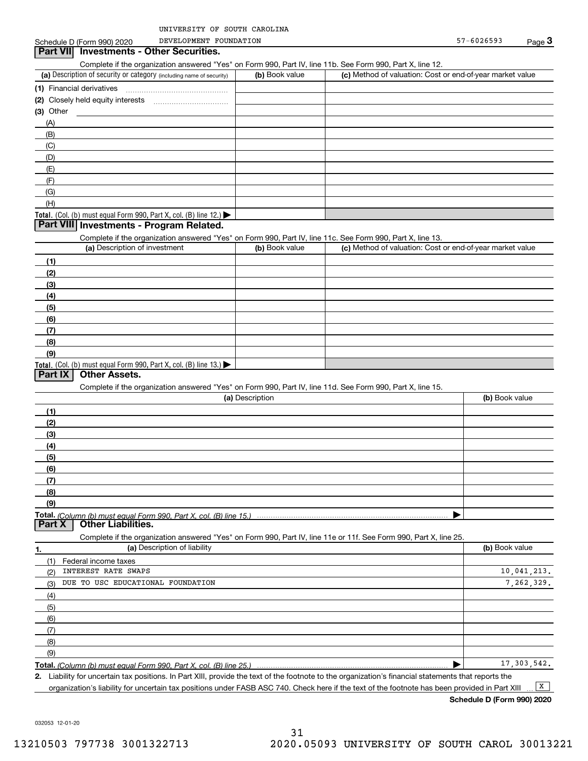DEVELOPMENT FOUNDATION

#### (a) Description of security or category (including name of security)  $\vert$  (b) Book value  $\vert$  (c) Total. (Col. (b) must equal Form 990, Part X, col. (B) line 12.) Total. (Col. (b) must equal Form 990, Part X, col. (B) line 13.) **(1)** Financial derivatives ~~~~~~~~~~~~~~~**(2)** Closely held equity interests **(3)** Other (a) Description of investment **b (b)** Book value **(1)(2) (3)(4) (5) (6)(7)(8)(9)(a) (b)**  Description**(1)(2) (3)(4)(5) (6)(7) (8)(9)Total.**  *(Column (b) must equal Form 990, Part X, col. (B) line 15.)* **1.(a)** Description of liability **Book value** Book value Book value Book value Book value **Total.**  *(Column (b) must equal Form 990, Part X, col. (B) line 25.)* Complete if the organization answered "Yes" on Form 990, Part IV, line 11b. See Form 990, Part X, line 12.  $(b)$  Book value  $\vert$  (c) Method of valuation: Cost or end-of-year market value (A)(B)(C)(D)(E)(F)(G)(H)Complete if the organization answered "Yes" on Form 990, Part IV, line 11c. See Form 990, Part X, line 13. (c) Method of valuation: Cost or end-of-year market value Complete if the organization answered "Yes" on Form 990, Part IV, line 11d. See Form 990, Part X, line 15. (b) Book value  $\blacktriangleright$ Complete if the organization answered "Yes" on Form 990, Part IV, line 11e or 11f. See Form 990, Part X, line 25. (1)(2)(3)(4)(5)(6)(7)(8)(9)Federal income taxes  $\blacktriangleright$ **Part VII Investments - Other Securities. Part VIII Investments - Program Related. Part IX Other Assets. Part X Other Liabilities.** INTEREST RATE SWAPS DUE TO USC EDUCATIONAL FOUNDATION 10,041,213. 7,262,329. 17,303,542.

**2.**Liability for uncertain tax positions. In Part XIII, provide the text of the footnote to the organization's financial statements that reports the

organization's liability for uncertain tax positions under FASB ASC 740. Check here if the text of the footnote has been provided in Part XIII  $\boxed{\mathbf{X}}$ 

**Schedule D (Form 990) 2020**

032053 12-01-20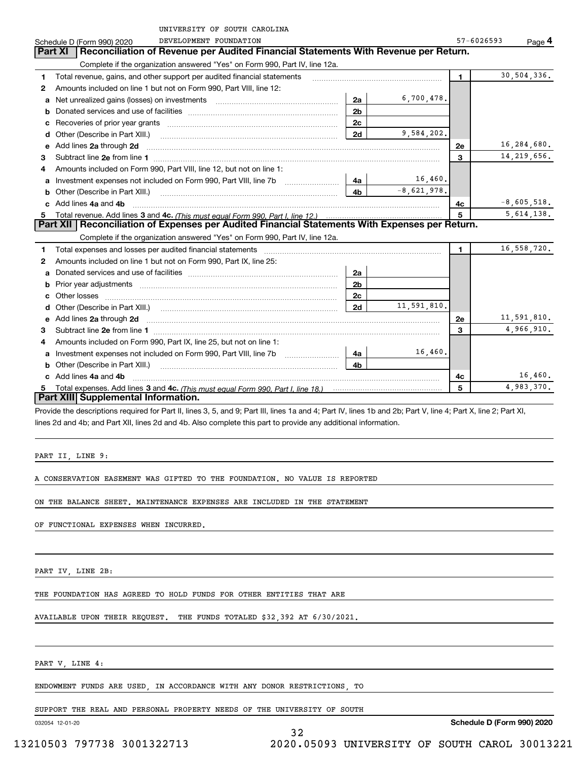|    | UNIVERSITY OF SOUTH CAROLINA                                                                                                                                                                                                        |                |               |                |               |
|----|-------------------------------------------------------------------------------------------------------------------------------------------------------------------------------------------------------------------------------------|----------------|---------------|----------------|---------------|
|    | DEVELOPMENT FOUNDATION<br>Schedule D (Form 990) 2020                                                                                                                                                                                |                |               | 57-6026593     | Page 4        |
|    | Reconciliation of Revenue per Audited Financial Statements With Revenue per Return.<br>Part XI                                                                                                                                      |                |               |                |               |
|    | Complete if the organization answered "Yes" on Form 990, Part IV, line 12a.                                                                                                                                                         |                |               |                |               |
| 1  | Total revenue, gains, and other support per audited financial statements                                                                                                                                                            |                |               | $\blacksquare$ | 30,504,336.   |
| 2  | Amounts included on line 1 but not on Form 990, Part VIII, line 12:                                                                                                                                                                 |                |               |                |               |
| a  | Net unrealized gains (losses) on investments [11] matter contracts and the unrealized gains (losses) on investments                                                                                                                 | 2a             | 6,700,478.    |                |               |
| b  |                                                                                                                                                                                                                                     | 2 <sub>b</sub> |               |                |               |
|    |                                                                                                                                                                                                                                     | 2 <sub>c</sub> |               |                |               |
| d  | Other (Describe in Part XIII.) <b>COLOGIST:</b> (2010)                                                                                                                                                                              | 2d             | 9,584,202.    |                |               |
| e  | Add lines 2a through 2d                                                                                                                                                                                                             |                |               | 2е             | 16,284,680.   |
| 3  |                                                                                                                                                                                                                                     |                |               | 3              | 14, 219, 656. |
| 4  | Amounts included on Form 990, Part VIII, line 12, but not on line 1:                                                                                                                                                                |                |               |                |               |
| a  |                                                                                                                                                                                                                                     | 4a             | $16,460$ .    |                |               |
| b  | Other (Describe in Part XIII.) <b>Construction Contract Construction</b> Chemical Construction Chemical Chemical Chemical Chemical Chemical Chemical Chemical Chemical Chemical Chemical Chemical Chemical Chemical Chemical Chemic | 4b.            | $-8,621,978.$ |                |               |
|    | Add lines 4a and 4b                                                                                                                                                                                                                 |                |               | 4c             | $-8,605,518.$ |
| 5. |                                                                                                                                                                                                                                     | 5              | 5,614,138.    |                |               |
|    | Part XII   Reconciliation of Expenses per Audited Financial Statements With Expenses per Return.                                                                                                                                    |                |               |                |               |
|    | Complete if the organization answered "Yes" on Form 990, Part IV, line 12a.                                                                                                                                                         |                |               |                |               |
| 1  |                                                                                                                                                                                                                                     |                |               | $\mathbf{1}$   | 16,558,720.   |
| 2  | Amounts included on line 1 but not on Form 990, Part IX, line 25:                                                                                                                                                                   |                |               |                |               |
| a  |                                                                                                                                                                                                                                     | 2a             |               |                |               |
| b  |                                                                                                                                                                                                                                     | 2 <sub>b</sub> |               |                |               |
|    |                                                                                                                                                                                                                                     | 2c             |               |                |               |
| d  |                                                                                                                                                                                                                                     | 2d             | 11,591,810.   |                |               |
| е  | Add lines 2a through 2d                                                                                                                                                                                                             |                |               | 2е             | 11,591,810.   |
| з  | Subtract line 2e from line 1                                                                                                                                                                                                        |                |               | 3              | 4,966,910.    |
| 4  | Amounts included on Form 990, Part IX, line 25, but not on line 1:                                                                                                                                                                  |                |               |                |               |
| a  |                                                                                                                                                                                                                                     | 4a             | 16,460.       |                |               |
| b  | Other (Describe in Part XIII.)                                                                                                                                                                                                      | 4b             |               |                |               |
|    | Add lines 4a and 4b                                                                                                                                                                                                                 |                |               | 4c             | 16,460.       |
|    |                                                                                                                                                                                                                                     |                |               | 5              | 4,983,370.    |
|    | Part XIII Supplemental Information.                                                                                                                                                                                                 |                |               |                |               |

Provide the descriptions required for Part II, lines 3, 5, and 9; Part III, lines 1a and 4; Part IV, lines 1b and 2b; Part V, line 4; Part X, line 2; Part XI, lines 2d and 4b; and Part XII, lines 2d and 4b. Also complete this part to provide any additional information.

32

PART II, LINE 9:

A CONSERVATION EASEMENT WAS GIFTED TO THE FOUNDATION. NO VALUE IS REPORTED

ON THE BALANCE SHEET. MAINTENANCE EXPENSES ARE INCLUDED IN THE STATEMENT

OF FUNCTIONAL EXPENSES WHEN INCURRED.

PART IV, LINE 2B:

THE FOUNDATION HAS AGREED TO HOLD FUNDS FOR OTHER ENTITIES THAT ARE

AVAILABLE UPON THEIR REQUEST. THE FUNDS TOTALED \$32,392 AT 6/30/2021.

PART V, LINE 4:

ENDOWMENT FUNDS ARE USED, IN ACCORDANCE WITH ANY DONOR RESTRICTIONS, TO

SUPPORT THE REAL AND PERSONAL PROPERTY NEEDS OF THE UNIVERSITY OF SOUTH

032054 12-01-20

13210503 797738 3001322713 2020.05093 UNIVERSITY OF SOUTH CAROL 30013221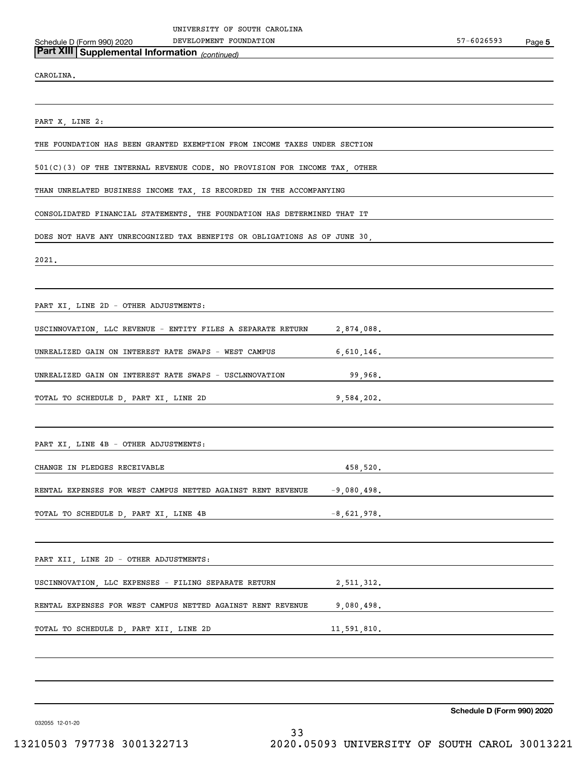*(continued)* **Part XIII Supplemental Information** 

CAROLINA.

PART X, LINE 2:

THE FOUNDATION HAS BEEN GRANTED EXEMPTION FROM INCOME TAXES UNDER SECTION

501(C)(3) OF THE INTERNAL REVENUE CODE. NO PROVISION FOR INCOME TAX, OTHER

THAN UNRELATED BUSINESS INCOME TAX, IS RECORDED IN THE ACCOMPANYING

CONSOLIDATED FINANCIAL STATEMENTS. THE FOUNDATION HAS DETERMINED THAT IT

DOES NOT HAVE ANY UNRECOGNIZED TAX BENEFITS OR OBLIGATIONS AS OF JUNE 30,

2021.

PART XI, LINE 2D - OTHER ADJUSTMENTS:

USCINNOVATION, LLC REVENUE - ENTITY FILES A SEPARATE RETURN 2,874,088.

UNREALIZED GAIN ON INTEREST RATE SWAPS - WEST CAMPUS 6,610,146.

UNREALIZED GAIN ON INTEREST RATE SWAPS - USCLNNOVATION 99,968.

TOTAL TO SCHEDULE D, PART XI, LINE 2D 9,584,202.

PART XI, LINE 4B - OTHER ADJUSTMENTS:

CHANGE IN PLEDGES RECEIVABLE 458,520.

RENTAL EXPENSES FOR WEST CAMPUS NETTED AGAINST RENT REVENUE -9,080,498.

TOTAL TO SCHEDULE D, PART XI, LINE 4B  $-8,621,978$ .

PART XII, LINE 2D - OTHER ADJUSTMENTS:

RENTAL EXPENSES FOR WEST CAMPUS NETTED AGAINST RENT REVENUE 9,080,498.

USCINNOVATION, LLC EXPENSES - FILING SEPARATE RETURN 2,511,312.

TOTAL TO SCHEDULE D, PART XII, LINE 2D 11,591,810.

**Schedule D (Form 990) 2020**

032055 12-01-20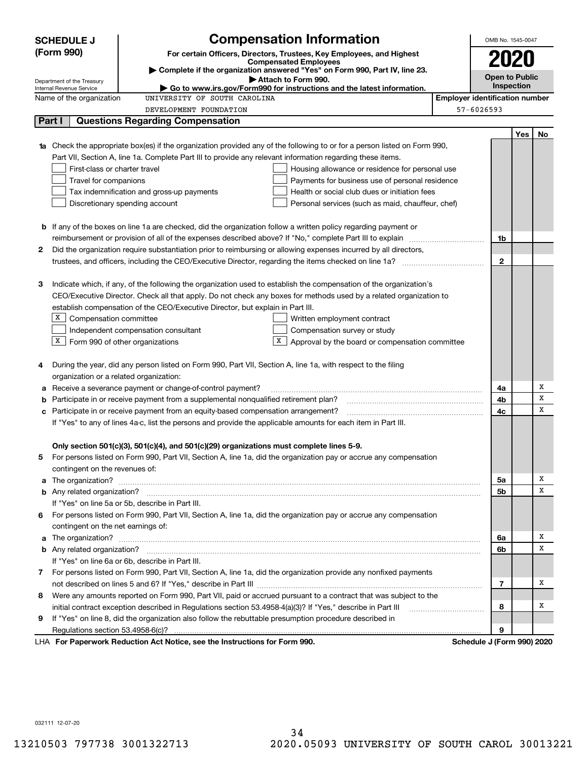|    | <b>SCHEDULE J</b>                                                                                                                      |                                                                                                               | <b>Compensation Information</b>                                                                                                  |                                       | OMB No. 1545-0047          |     |    |
|----|----------------------------------------------------------------------------------------------------------------------------------------|---------------------------------------------------------------------------------------------------------------|----------------------------------------------------------------------------------------------------------------------------------|---------------------------------------|----------------------------|-----|----|
|    | (Form 990)                                                                                                                             |                                                                                                               | For certain Officers, Directors, Trustees, Key Employees, and Highest                                                            |                                       | 2020                       |     |    |
|    | <b>Compensated Employees</b><br>Complete if the organization answered "Yes" on Form 990, Part IV, line 23.                             |                                                                                                               |                                                                                                                                  |                                       |                            |     |    |
|    | <b>Open to Public</b><br>Attach to Form 990.<br>Department of the Treasury                                                             |                                                                                                               |                                                                                                                                  |                                       |                            |     |    |
|    | Inspection<br>Internal Revenue Service<br>$\blacktriangleright$ Go to www.irs.gov/Form990 for instructions and the latest information. |                                                                                                               |                                                                                                                                  |                                       |                            |     |    |
|    | Name of the organization                                                                                                               | UNIVERSITY OF SOUTH CAROLINA                                                                                  |                                                                                                                                  | <b>Employer identification number</b> |                            |     |    |
|    |                                                                                                                                        | DEVELOPMENT FOUNDATION                                                                                        |                                                                                                                                  |                                       | 57-6026593                 |     |    |
|    | Part I                                                                                                                                 | <b>Questions Regarding Compensation</b>                                                                       |                                                                                                                                  |                                       |                            |     |    |
|    |                                                                                                                                        |                                                                                                               |                                                                                                                                  |                                       |                            | Yes | No |
|    |                                                                                                                                        |                                                                                                               | <b>1a</b> Check the appropriate box(es) if the organization provided any of the following to or for a person listed on Form 990, |                                       |                            |     |    |
|    |                                                                                                                                        | Part VII, Section A, line 1a. Complete Part III to provide any relevant information regarding these items.    |                                                                                                                                  |                                       |                            |     |    |
|    | First-class or charter travel                                                                                                          |                                                                                                               | Housing allowance or residence for personal use                                                                                  |                                       |                            |     |    |
|    | Travel for companions                                                                                                                  |                                                                                                               | Payments for business use of personal residence                                                                                  |                                       |                            |     |    |
|    |                                                                                                                                        | Tax indemnification and gross-up payments                                                                     | Health or social club dues or initiation fees                                                                                    |                                       |                            |     |    |
|    |                                                                                                                                        | Discretionary spending account                                                                                | Personal services (such as maid, chauffeur, chef)                                                                                |                                       |                            |     |    |
|    |                                                                                                                                        |                                                                                                               |                                                                                                                                  |                                       |                            |     |    |
|    |                                                                                                                                        |                                                                                                               | <b>b</b> If any of the boxes on line 1a are checked, did the organization follow a written policy regarding payment or           |                                       |                            |     |    |
|    |                                                                                                                                        |                                                                                                               |                                                                                                                                  |                                       | 1b                         |     |    |
| 2  |                                                                                                                                        |                                                                                                               | Did the organization require substantiation prior to reimbursing or allowing expenses incurred by all directors,                 |                                       | $\mathbf{2}$               |     |    |
|    |                                                                                                                                        |                                                                                                               |                                                                                                                                  |                                       |                            |     |    |
| з  |                                                                                                                                        |                                                                                                               | Indicate which, if any, of the following the organization used to establish the compensation of the organization's               |                                       |                            |     |    |
|    |                                                                                                                                        |                                                                                                               | CEO/Executive Director. Check all that apply. Do not check any boxes for methods used by a related organization to               |                                       |                            |     |    |
|    |                                                                                                                                        | establish compensation of the CEO/Executive Director, but explain in Part III.                                |                                                                                                                                  |                                       |                            |     |    |
|    |                                                                                                                                        |                                                                                                               | Written employment contract                                                                                                      |                                       |                            |     |    |
|    | $X$ Compensation committee<br>Independent compensation consultant<br>Compensation survey or study                                      |                                                                                                               |                                                                                                                                  |                                       |                            |     |    |
|    | $X$ Form 990 of other organizations<br>X  <br>Approval by the board or compensation committee                                          |                                                                                                               |                                                                                                                                  |                                       |                            |     |    |
|    |                                                                                                                                        |                                                                                                               |                                                                                                                                  |                                       |                            |     |    |
| 4  |                                                                                                                                        | During the year, did any person listed on Form 990, Part VII, Section A, line 1a, with respect to the filing  |                                                                                                                                  |                                       |                            |     |    |
|    | organization or a related organization:                                                                                                |                                                                                                               |                                                                                                                                  |                                       |                            |     |    |
| а  |                                                                                                                                        | Receive a severance payment or change-of-control payment?                                                     |                                                                                                                                  |                                       | 4a                         |     | Х  |
| b  |                                                                                                                                        | Participate in or receive payment from a supplemental nonqualified retirement plan?                           |                                                                                                                                  |                                       | 4b                         |     | х  |
| с  |                                                                                                                                        | Participate in or receive payment from an equity-based compensation arrangement?                              |                                                                                                                                  |                                       | 4c                         |     | x  |
|    |                                                                                                                                        | If "Yes" to any of lines 4a-c, list the persons and provide the applicable amounts for each item in Part III. |                                                                                                                                  |                                       |                            |     |    |
|    |                                                                                                                                        |                                                                                                               |                                                                                                                                  |                                       |                            |     |    |
|    |                                                                                                                                        | Only section 501(c)(3), 501(c)(4), and 501(c)(29) organizations must complete lines 5-9.                      |                                                                                                                                  |                                       |                            |     |    |
|    |                                                                                                                                        |                                                                                                               | For persons listed on Form 990, Part VII, Section A, line 1a, did the organization pay or accrue any compensation                |                                       |                            |     |    |
|    | contingent on the revenues of:                                                                                                         |                                                                                                               |                                                                                                                                  |                                       |                            |     |    |
|    |                                                                                                                                        |                                                                                                               |                                                                                                                                  |                                       | 5a                         |     | х  |
|    |                                                                                                                                        |                                                                                                               |                                                                                                                                  |                                       | 5b                         |     | х  |
|    |                                                                                                                                        | If "Yes" on line 5a or 5b, describe in Part III.                                                              |                                                                                                                                  |                                       |                            |     |    |
| 6. |                                                                                                                                        |                                                                                                               | For persons listed on Form 990, Part VII, Section A, line 1a, did the organization pay or accrue any compensation                |                                       |                            |     |    |
|    | contingent on the net earnings of:                                                                                                     |                                                                                                               |                                                                                                                                  |                                       |                            |     |    |
| a  |                                                                                                                                        |                                                                                                               | The organization? <b>With the organization? Constitution of the organization</b> of the organization?                            |                                       | 6a                         |     | х  |
|    |                                                                                                                                        |                                                                                                               |                                                                                                                                  |                                       | 6b                         |     | x  |
|    |                                                                                                                                        | If "Yes" on line 6a or 6b, describe in Part III.                                                              |                                                                                                                                  |                                       |                            |     |    |
|    |                                                                                                                                        |                                                                                                               | 7 For persons listed on Form 990, Part VII, Section A, line 1a, did the organization provide any nonfixed payments               |                                       |                            |     |    |
|    |                                                                                                                                        |                                                                                                               |                                                                                                                                  |                                       | 7                          |     | x  |
| 8  |                                                                                                                                        |                                                                                                               | Were any amounts reported on Form 990, Part VII, paid or accrued pursuant to a contract that was subject to the                  |                                       |                            |     |    |
|    |                                                                                                                                        | initial contract exception described in Regulations section 53.4958-4(a)(3)? If "Yes," describe in Part III   |                                                                                                                                  |                                       | 8                          |     | x  |
| 9  |                                                                                                                                        | If "Yes" on line 8, did the organization also follow the rebuttable presumption procedure described in        |                                                                                                                                  |                                       |                            |     |    |
|    |                                                                                                                                        |                                                                                                               |                                                                                                                                  |                                       | 9                          |     |    |
|    |                                                                                                                                        | LHA For Paperwork Reduction Act Notice, see the Instructions for Form 990.                                    |                                                                                                                                  |                                       | Schedule J (Form 990) 2020 |     |    |

032111 12-07-20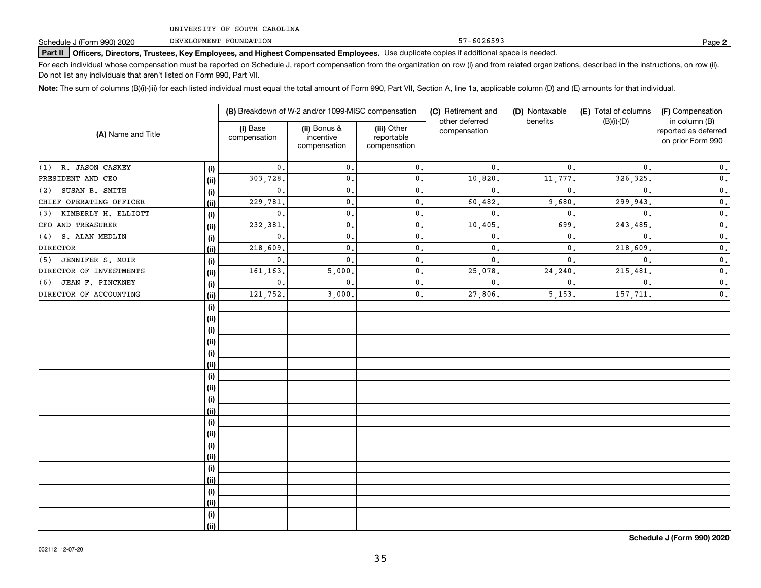DEVELOPMENT FOUNDATION

**Part II Officers, Directors, Trustees, Key Employees, and Highest Compensated Employees.**  Schedule J (Form 990) 2020 Page Use duplicate copies if additional space is needed.

For each individual whose compensation must be reported on Schedule J, report compensation from the organization on row (i) and from related organizations, described in the instructions, on row (ii). Do not list any individuals that aren't listed on Form 990, Part VII.

**Note:**  The sum of columns (B)(i)-(iii) for each listed individual must equal the total amount of Form 990, Part VII, Section A, line 1a, applicable column (D) and (E) amounts for that individual.

|                            |      |                          | (B) Breakdown of W-2 and/or 1099-MISC compensation |                                           | (C) Retirement and<br>other deferred | (D) Nontaxable<br>benefits | (E) Total of columns<br>$(B)(i)-(D)$ | (F) Compensation<br>in column (B)         |
|----------------------------|------|--------------------------|----------------------------------------------------|-------------------------------------------|--------------------------------------|----------------------------|--------------------------------------|-------------------------------------------|
| (A) Name and Title         |      | (i) Base<br>compensation | (ii) Bonus &<br>incentive<br>compensation          | (iii) Other<br>reportable<br>compensation | compensation                         |                            |                                      | reported as deferred<br>on prior Form 990 |
| (1) R. JASON CASKEY        | (i)  | $\mathbf{0}$ .           | $\mathbf{0}$ .                                     | $\mathbf{0}$ .                            | $\mathbf{0}$ .                       | $\mathbf{0}$ .             | $\mathbf{0}$ .                       | $\mathbf 0$ .                             |
| PRESIDENT AND CEO          | (ii) | 303,728.                 | 0.                                                 | $\mathbf{0}$ .                            | 10,820                               | 11,777.                    | 326, 325.                            | $\mathbf 0$ .                             |
| SUSAN B. SMITH<br>(2)      | (i)  | $\mathbf{0}$ .           | 0.                                                 | 0.                                        | $\mathbf{0}$ .                       | $\mathbf{0}$ .             | $\mathbf{0}$ .                       | $\mathbf 0$ .                             |
| CHIEF OPERATING OFFICER    | (ii) | 229,781.                 | 0.                                                 | $\mathbf{0}$ .                            | 60,482                               | 9,680                      | 299,943.                             | $\mathbf 0$ .                             |
| KIMBERLY H. ELLIOTT<br>(3) | (i)  | $\mathbf{0}$ .           | 0.                                                 | $\mathbf{0}$ .                            | $\mathbf{0}$                         | $\mathbf{0}$ .             | $\mathbf{0}$ .                       | $\mathbf 0$ .                             |
| CFO AND TREASURER          | (ii) | 232,381                  | 0.                                                 | $\mathbf{0}$ .                            | 10,405                               | 699                        | 243,485.                             | $\mathbf 0$ .                             |
| S. ALAN MEDLIN<br>(4)      | (i)  | $\mathbf{0}$ .           | $\mathbf 0$ .                                      | $\mathbf{0}$ .                            | $\mathbf{0}$                         | 0.                         | $\mathbf{0}$ .                       | $\mathbf 0$ .                             |
| <b>DIRECTOR</b>            | (ii) | 218,609.                 | $\mathbf 0$ .                                      | $\mathbf{0}$ .                            | $\mathbf{0}$                         | 0.                         | 218,609.                             | $\mathbf 0$ .                             |
| JENNIFER S. MUIR<br>(5)    | (i)  | $\mathbf{0}$ .           | $\mathbf 0$ .                                      | $\mathbf{0}$ .                            | $\mathbf{0}$                         | 0.                         | $\mathbf{0}$ .                       | $\mathbf 0$ .                             |
| DIRECTOR OF INVESTMENTS    | (ii) | 161,163.                 | 5,000                                              | $\mathbf{0}$ .                            | 25,078                               | 24,240.                    | 215,481.                             | $\mathbf 0$ .                             |
| JEAN F. PINCKNEY<br>(6)    | (i)  | $\mathbf{0}$ .           | $\mathbf{0}$ .                                     | $\mathbf{0}$ .                            | $\mathbf{0}$                         | $\mathbf{0}$ .             | $\mathbf{0}$ .                       | $\mathbf 0$ .                             |
| DIRECTOR OF ACCOUNTING     | (ii) | 121,752.                 | 3,000.                                             | $\mathsf{0}\,$ .                          | 27,806                               | 5, 153.                    | 157,711.                             | $\mathbf 0$ .                             |
|                            | (i)  |                          |                                                    |                                           |                                      |                            |                                      |                                           |
|                            | (ii) |                          |                                                    |                                           |                                      |                            |                                      |                                           |
|                            | (i)  |                          |                                                    |                                           |                                      |                            |                                      |                                           |
|                            | (ii) |                          |                                                    |                                           |                                      |                            |                                      |                                           |
|                            | (i)  |                          |                                                    |                                           |                                      |                            |                                      |                                           |
|                            | (ii) |                          |                                                    |                                           |                                      |                            |                                      |                                           |
|                            | (i)  |                          |                                                    |                                           |                                      |                            |                                      |                                           |
|                            | (ii) |                          |                                                    |                                           |                                      |                            |                                      |                                           |
|                            | (i)  |                          |                                                    |                                           |                                      |                            |                                      |                                           |
|                            | (ii) |                          |                                                    |                                           |                                      |                            |                                      |                                           |
|                            | (i)  |                          |                                                    |                                           |                                      |                            |                                      |                                           |
|                            | (ii) |                          |                                                    |                                           |                                      |                            |                                      |                                           |
|                            | (i)  |                          |                                                    |                                           |                                      |                            |                                      |                                           |
|                            | (ii) |                          |                                                    |                                           |                                      |                            |                                      |                                           |
|                            | (i)  |                          |                                                    |                                           |                                      |                            |                                      |                                           |
|                            | (ii) |                          |                                                    |                                           |                                      |                            |                                      |                                           |
|                            | (i)  |                          |                                                    |                                           |                                      |                            |                                      |                                           |
|                            | (ii) |                          |                                                    |                                           |                                      |                            |                                      |                                           |
|                            | (i)  |                          |                                                    |                                           |                                      |                            |                                      |                                           |
|                            | (ii) |                          |                                                    |                                           |                                      |                            |                                      |                                           |

57-6026593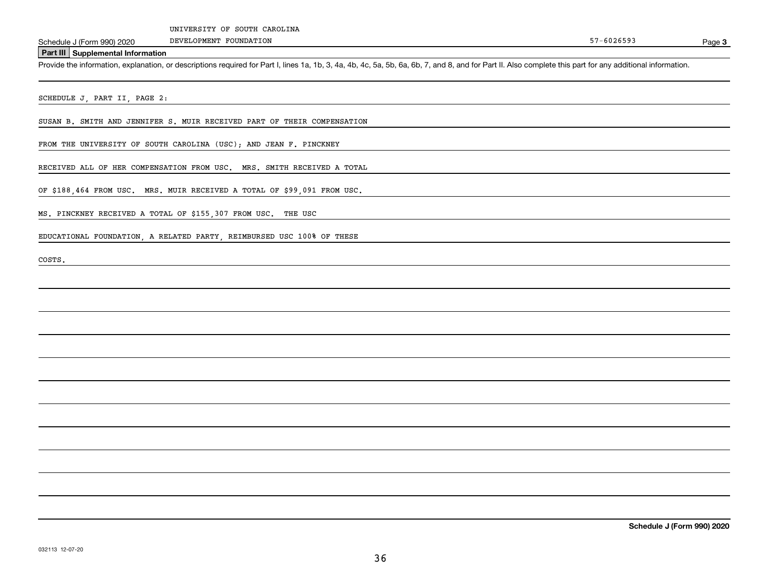DEVELOPMENT FOUNDATION

**3**

#### **Part III Supplemental Information**

Schedule J (Form 990) 2020 DEVELOPMENT FOUNDATION<br>Part III Supplemental Information<br>Provide the information, explanation, or descriptions required for Part I, lines 1a, 1b, 3, 4a, 4b, 4c, 5a, 5b, 6a, 6b, 7, and 8, and for

SCHEDULE J, PART II, PAGE 2:

SUSAN B. SMITH AND JENNIFER S. MUIR RECEIVED PART OF THEIR COMPENSATION

FROM THE UNIVERSITY OF SOUTH CAROLINA (USC); AND JEAN F. PINCKNEY

RECEIVED ALL OF HER COMPENSATION FROM USC. MRS. SMITH RECEIVED A TOTAL

OF \$188,464 FROM USC. MRS. MUIR RECEIVED A TOTAL OF \$99,091 FROM USC.

MS. PINCKNEY RECEIVED A TOTAL OF \$155,307 FROM USC. THE USC

EDUCATIONAL FOUNDATION, A RELATED PARTY, REIMBURSED USC 100% OF THESE

COSTS.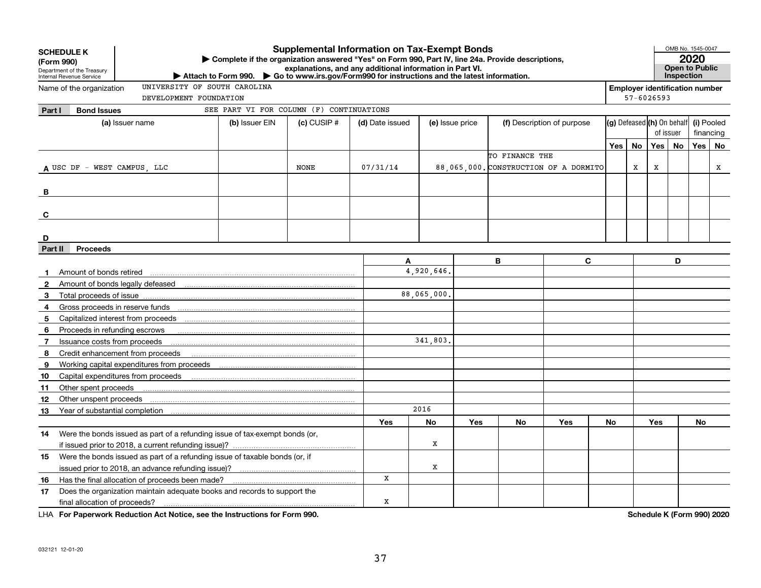|                | <b>Supplemental Information on Tax-Exempt Bonds</b><br><b>SCHEDULE K</b><br>Complete if the organization answered "Yes" on Form 990, Part IV, line 24a. Provide descriptions,<br>(Form 990)<br>explanations, and any additional information in Part VI.<br>Department of the Treasury<br>Attach to Form 990. Co to www.irs.gov/Form990 for instructions and the latest information.<br>Internal Revenue Service |                              |                                          |                 |                 |                 |     |                | OMB No. 1545-0047<br>2020<br>Open to Public<br>Inspection |     |    |                |                                       |            |    |
|----------------|-----------------------------------------------------------------------------------------------------------------------------------------------------------------------------------------------------------------------------------------------------------------------------------------------------------------------------------------------------------------------------------------------------------------|------------------------------|------------------------------------------|-----------------|-----------------|-----------------|-----|----------------|-----------------------------------------------------------|-----|----|----------------|---------------------------------------|------------|----|
|                | Name of the organization                                                                                                                                                                                                                                                                                                                                                                                        | UNIVERSITY OF SOUTH CAROLINA |                                          |                 |                 |                 |     |                |                                                           |     |    |                | <b>Employer identification number</b> |            |    |
|                |                                                                                                                                                                                                                                                                                                                                                                                                                 | DEVELOPMENT FOUNDATION       |                                          |                 |                 |                 |     |                |                                                           |     |    | $57 - 6026593$ |                                       |            |    |
| Part I         | <b>Bond Issues</b>                                                                                                                                                                                                                                                                                                                                                                                              |                              | SEE PART VI FOR COLUMN (F) CONTINUATIONS |                 |                 |                 |     |                |                                                           |     |    |                |                                       |            |    |
|                | (a) Issuer name                                                                                                                                                                                                                                                                                                                                                                                                 |                              | (b) Issuer EIN                           | $(c)$ CUSIP $#$ | (d) Date issued | (e) Issue price |     |                | (f) Description of purpose                                |     |    |                | (g) Defeased (h) On behalf            | (i) Pooled |    |
|                |                                                                                                                                                                                                                                                                                                                                                                                                                 |                              |                                          |                 |                 |                 |     |                |                                                           |     |    |                | of issuer                             | financing  |    |
|                |                                                                                                                                                                                                                                                                                                                                                                                                                 |                              |                                          |                 |                 |                 |     |                |                                                           | Yes | No | Yes            | No                                    | Yes        | No |
|                |                                                                                                                                                                                                                                                                                                                                                                                                                 |                              |                                          |                 |                 |                 |     | TO FINANCE THE |                                                           |     |    |                |                                       |            |    |
|                | A USC DF - WEST CAMPUS, LLC                                                                                                                                                                                                                                                                                                                                                                                     |                              |                                          | <b>NONE</b>     | 07/31/14        |                 |     |                | 88,065,000. CONSTRUCTION OF A DORMITO                     |     | X  | X              |                                       |            | х  |
|                |                                                                                                                                                                                                                                                                                                                                                                                                                 |                              |                                          |                 |                 |                 |     |                |                                                           |     |    |                |                                       |            |    |
| B              |                                                                                                                                                                                                                                                                                                                                                                                                                 |                              |                                          |                 |                 |                 |     |                |                                                           |     |    |                |                                       |            |    |
|                |                                                                                                                                                                                                                                                                                                                                                                                                                 |                              |                                          |                 |                 |                 |     |                |                                                           |     |    |                |                                       |            |    |
| C              |                                                                                                                                                                                                                                                                                                                                                                                                                 |                              |                                          |                 |                 |                 |     |                |                                                           |     |    |                |                                       |            |    |
|                |                                                                                                                                                                                                                                                                                                                                                                                                                 |                              |                                          |                 |                 |                 |     |                |                                                           |     |    |                |                                       |            |    |
| D              |                                                                                                                                                                                                                                                                                                                                                                                                                 |                              |                                          |                 |                 |                 |     |                |                                                           |     |    |                |                                       |            |    |
| Part II        | <b>Proceeds</b>                                                                                                                                                                                                                                                                                                                                                                                                 |                              |                                          |                 |                 |                 |     |                |                                                           |     |    |                |                                       |            |    |
|                |                                                                                                                                                                                                                                                                                                                                                                                                                 |                              |                                          |                 | A               |                 |     | B              | C.                                                        |     |    |                | D                                     |            |    |
| $\mathbf 1$    | Amount of bonds retired                                                                                                                                                                                                                                                                                                                                                                                         |                              |                                          |                 |                 | 4.920.646       |     |                |                                                           |     |    |                |                                       |            |    |
| $\mathbf{2}$   |                                                                                                                                                                                                                                                                                                                                                                                                                 |                              |                                          |                 |                 |                 |     |                |                                                           |     |    |                |                                       |            |    |
| 3              | Total proceeds of issue                                                                                                                                                                                                                                                                                                                                                                                         |                              |                                          |                 |                 | 88,065,000      |     |                |                                                           |     |    |                |                                       |            |    |
| 4              |                                                                                                                                                                                                                                                                                                                                                                                                                 |                              |                                          |                 |                 |                 |     |                |                                                           |     |    |                |                                       |            |    |
| 5              |                                                                                                                                                                                                                                                                                                                                                                                                                 |                              |                                          |                 |                 |                 |     |                |                                                           |     |    |                |                                       |            |    |
| 6              | Proceeds in refunding escrows                                                                                                                                                                                                                                                                                                                                                                                   |                              |                                          |                 |                 |                 |     |                |                                                           |     |    |                |                                       |            |    |
| $\overline{7}$ | Issuance costs from proceeds                                                                                                                                                                                                                                                                                                                                                                                    |                              |                                          |                 |                 | 341,803,        |     |                |                                                           |     |    |                |                                       |            |    |
| 8              | Credit enhancement from proceeds                                                                                                                                                                                                                                                                                                                                                                                |                              |                                          |                 |                 |                 |     |                |                                                           |     |    |                |                                       |            |    |
| 9              | Working capital expenditures from proceeds                                                                                                                                                                                                                                                                                                                                                                      |                              |                                          |                 |                 |                 |     |                |                                                           |     |    |                |                                       |            |    |
| 10             | Capital expenditures from proceeds                                                                                                                                                                                                                                                                                                                                                                              |                              |                                          |                 |                 |                 |     |                |                                                           |     |    |                |                                       |            |    |
| 11             | Other spent proceeds                                                                                                                                                                                                                                                                                                                                                                                            |                              |                                          |                 |                 |                 |     |                |                                                           |     |    |                |                                       |            |    |
| 12             | Other unspent proceeds                                                                                                                                                                                                                                                                                                                                                                                          |                              |                                          |                 |                 |                 |     |                |                                                           |     |    |                |                                       |            |    |
| 13             |                                                                                                                                                                                                                                                                                                                                                                                                                 |                              |                                          |                 |                 | 2016            |     |                |                                                           |     |    |                |                                       |            |    |
|                |                                                                                                                                                                                                                                                                                                                                                                                                                 |                              |                                          |                 | Yes             | No              | Yes | No             | Yes                                                       | No  |    | Yes            |                                       | No         |    |
| 14             | Were the bonds issued as part of a refunding issue of tax-exempt bonds (or,                                                                                                                                                                                                                                                                                                                                     |                              |                                          |                 |                 |                 |     |                |                                                           |     |    |                |                                       |            |    |
|                | if issued prior to 2018, a current refunding issue)?                                                                                                                                                                                                                                                                                                                                                            |                              |                                          |                 |                 | х               |     |                |                                                           |     |    |                |                                       |            |    |
| 15             | Were the bonds issued as part of a refunding issue of taxable bonds (or, if                                                                                                                                                                                                                                                                                                                                     |                              |                                          |                 |                 |                 |     |                |                                                           |     |    |                |                                       |            |    |
|                |                                                                                                                                                                                                                                                                                                                                                                                                                 |                              |                                          |                 |                 | X               |     |                |                                                           |     |    |                |                                       |            |    |
| 16             | Has the final allocation of proceeds been made?                                                                                                                                                                                                                                                                                                                                                                 |                              |                                          |                 | x               |                 |     |                |                                                           |     |    |                |                                       |            |    |
| 17             | Does the organization maintain adequate books and records to support the                                                                                                                                                                                                                                                                                                                                        |                              |                                          |                 |                 |                 |     |                |                                                           |     |    |                |                                       |            |    |
|                | final allocation of proceeds?                                                                                                                                                                                                                                                                                                                                                                                   |                              |                                          |                 | х               |                 |     |                |                                                           |     |    |                |                                       |            |    |

**For Paperwork Reduction Act Notice, see the Instructions for Form 990. Schedule K (Form 990) 2020** LHA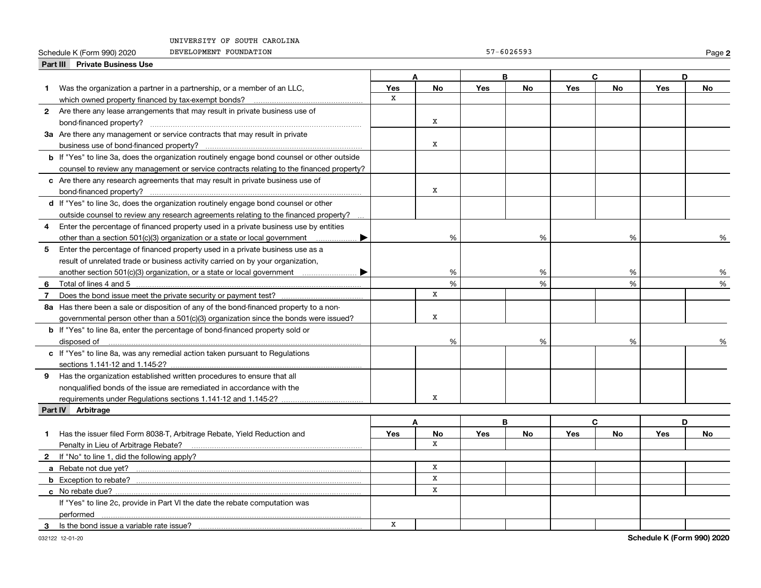|   | UNIVERSIII OF SOUIH CAROLINA                                                                       |     |           |     |                |              |           |     |               |
|---|----------------------------------------------------------------------------------------------------|-----|-----------|-----|----------------|--------------|-----------|-----|---------------|
|   | DEVELOPMENT FOUNDATION<br>Schedule K (Form 990) 2020                                               |     |           |     | $57 - 6026593$ |              |           |     | Page          |
|   | Part III Private Business Use                                                                      |     |           |     |                |              |           |     |               |
|   |                                                                                                    | A   |           | B   |                | $\mathbf{C}$ |           | D   |               |
|   | Was the organization a partner in a partnership, or a member of an LLC,                            | Yes | <b>No</b> | Yes | <b>No</b>      | <b>Yes</b>   | <b>No</b> | Yes | <b>No</b>     |
|   |                                                                                                    | X   |           |     |                |              |           |     |               |
|   | 2 Are there any lease arrangements that may result in private business use of                      |     |           |     |                |              |           |     |               |
|   | bond-financed property?                                                                            |     | X         |     |                |              |           |     |               |
|   | 3a Are there any management or service contracts that may result in private                        |     |           |     |                |              |           |     |               |
|   |                                                                                                    |     | x         |     |                |              |           |     |               |
|   | <b>b</b> If "Yes" to line 3a, does the organization routinely engage bond counsel or other outside |     |           |     |                |              |           |     |               |
|   | counsel to review any management or service contracts relating to the financed property?           |     |           |     |                |              |           |     |               |
|   | c Are there any research agreements that may result in private business use of                     |     |           |     |                |              |           |     |               |
|   |                                                                                                    |     | х         |     |                |              |           |     |               |
|   | d If "Yes" to line 3c, does the organization routinely engage bond counsel or other                |     |           |     |                |              |           |     |               |
|   | outside counsel to review any research agreements relating to the financed property?               |     |           |     |                |              |           |     |               |
| 4 | Enter the percentage of financed property used in a private business use by entities               |     |           |     |                |              |           |     |               |
|   | other than a section 501(c)(3) organization or a state or local government                         |     | %         |     | %              |              | %         |     |               |
| 5 | Enter the percentage of financed property used in a private business use as a                      |     |           |     |                |              |           |     |               |
|   | result of unrelated trade or business activity carried on by your organization,                    |     |           |     |                |              |           |     |               |
|   |                                                                                                    |     | %         |     | %              |              | %         |     |               |
| 6 |                                                                                                    |     | %         |     | %              |              | %         |     | $\frac{0}{c}$ |
|   |                                                                                                    |     | x         |     |                |              |           |     |               |
|   | 8a Has there been a sale or disposition of any of the bond-financed property to a non-             |     |           |     |                |              |           |     |               |
|   | governmental person other than a 501(c)(3) organization since the bonds were issued?               |     | x         |     |                |              |           |     |               |
|   | <b>b</b> If "Yes" to line 8a, enter the percentage of bond-financed property sold or               |     |           |     |                |              |           |     |               |
|   | disposed of                                                                                        |     | %         |     | %              |              | %         |     |               |
|   | c If "Yes" to line 8a, was any remedial action taken pursuant to Regulations                       |     |           |     |                |              |           |     |               |
|   |                                                                                                    |     |           |     |                |              |           |     |               |
| 9 | Has the organization established written procedures to ensure that all                             |     |           |     |                |              |           |     |               |
|   | nonqualified bonds of the issue are remediated in accordance with the                              |     |           |     |                |              |           |     |               |
|   |                                                                                                    |     | x         |     |                |              |           |     |               |
|   | Part IV Arbitrage                                                                                  |     |           |     |                |              |           |     |               |
|   |                                                                                                    |     |           |     |                |              |           |     |               |

| Has the issuer filed Form 8038-T, Arbitrage Rebate, Yield Reduction and     | Yes | No | Yes | No | Yes | No | Yes | <b>No</b> |
|-----------------------------------------------------------------------------|-----|----|-----|----|-----|----|-----|-----------|
|                                                                             |     |    |     |    |     |    |     |           |
| 2 If "No" to line 1, did the following apply?                               |     |    |     |    |     |    |     |           |
| a Rebate not due yet?                                                       |     |    |     |    |     |    |     |           |
| <b>b</b> Exception to rebate?                                               |     |    |     |    |     |    |     |           |
| c No rebate due?                                                            |     |    |     |    |     |    |     |           |
| If "Yes" to line 2c, provide in Part VI the date the rebate computation was |     |    |     |    |     |    |     |           |
| performed                                                                   |     |    |     |    |     |    |     |           |
| Is the bond issue a variable rate issue?                                    |     |    |     |    |     |    |     |           |

**2**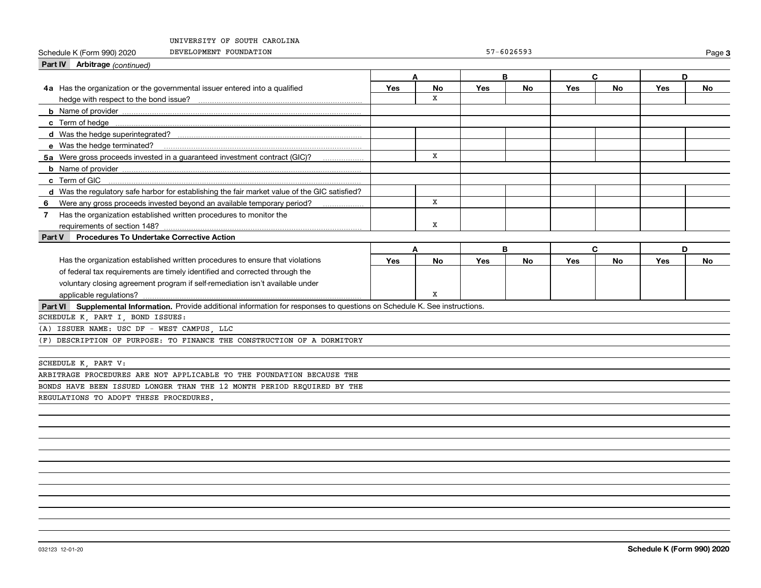| Schedule K (Form 990) 2020<br>DEVELOPMENT FOUNDATION                                                                         |     |              |            | $57 - 6026593$ |            |           |            | Page 3    |
|------------------------------------------------------------------------------------------------------------------------------|-----|--------------|------------|----------------|------------|-----------|------------|-----------|
| Part IV Arbitrage (continued)                                                                                                |     |              |            |                |            |           |            |           |
|                                                                                                                              | A   |              | B          |                |            | C         | D          |           |
| 4a Has the organization or the governmental issuer entered into a qualified                                                  | Yes | No           | <b>Yes</b> | No             | <b>Yes</b> | <b>No</b> | <b>Yes</b> | No        |
|                                                                                                                              |     | x            |            |                |            |           |            |           |
|                                                                                                                              |     |              |            |                |            |           |            |           |
|                                                                                                                              |     |              |            |                |            |           |            |           |
|                                                                                                                              |     |              |            |                |            |           |            |           |
| e Was the hedge terminated?                                                                                                  |     |              |            |                |            |           |            |           |
| 5a Were gross proceeds invested in a guaranteed investment contract (GIC)?                                                   |     | x            |            |                |            |           |            |           |
|                                                                                                                              |     |              |            |                |            |           |            |           |
| c Term of GIC                                                                                                                |     |              |            |                |            |           |            |           |
| d Was the regulatory safe harbor for establishing the fair market value of the GIC satisfied?                                |     |              |            |                |            |           |            |           |
| Were any gross proceeds invested beyond an available temporary period?<br>6                                                  |     | $\mathbf{x}$ |            |                |            |           |            |           |
| Has the organization established written procedures to monitor the<br>7 <sup>7</sup>                                         |     |              |            |                |            |           |            |           |
| requirements of section 148?                                                                                                 |     | x            |            |                |            |           |            |           |
| <b>Procedures To Undertake Corrective Action</b><br><b>Part V</b>                                                            |     |              |            |                |            |           |            |           |
|                                                                                                                              | A   |              | B          |                |            | C         | D          |           |
| Has the organization established written procedures to ensure that violations                                                | Yes | <b>No</b>    | Yes        | <b>No</b>      | <b>Yes</b> | <b>No</b> | Yes        | <b>No</b> |
| of federal tax requirements are timely identified and corrected through the                                                  |     |              |            |                |            |           |            |           |
| voluntary closing agreement program if self-remediation isn't available under                                                |     |              |            |                |            |           |            |           |
|                                                                                                                              |     | x            |            |                |            |           |            |           |
| Part VI Supplemental Information. Provide additional information for responses to questions on Schedule K. See instructions. |     |              |            |                |            |           |            |           |
| SCHEDULE K, PART I, BOND ISSUES:                                                                                             |     |              |            |                |            |           |            |           |
| (A) ISSUER NAME: USC DF - WEST CAMPUS, LLC                                                                                   |     |              |            |                |            |           |            |           |
| (F) DESCRIPTION OF PURPOSE: TO FINANCE THE CONSTRUCTION OF A DORMITORY                                                       |     |              |            |                |            |           |            |           |
|                                                                                                                              |     |              |            |                |            |           |            |           |
| SCHEDULE K, PART V:                                                                                                          |     |              |            |                |            |           |            |           |
| ARBITRAGE PROCEDURES ARE NOT APPLICABLE TO THE FOUNDATION BECAUSE THE                                                        |     |              |            |                |            |           |            |           |
| BONDS HAVE BEEN ISSUED LONGER THAN THE 12 MONTH PERIOD REQUIRED BY THE                                                       |     |              |            |                |            |           |            |           |
| REGULATIONS TO ADOPT THESE PROCEDURES.                                                                                       |     |              |            |                |            |           |            |           |
|                                                                                                                              |     |              |            |                |            |           |            |           |
|                                                                                                                              |     |              |            |                |            |           |            |           |
|                                                                                                                              |     |              |            |                |            |           |            |           |
|                                                                                                                              |     |              |            |                |            |           |            |           |
|                                                                                                                              |     |              |            |                |            |           |            |           |
|                                                                                                                              |     |              |            |                |            |           |            |           |
|                                                                                                                              |     |              |            |                |            |           |            |           |
|                                                                                                                              |     |              |            |                |            |           |            |           |
|                                                                                                                              |     |              |            |                |            |           |            |           |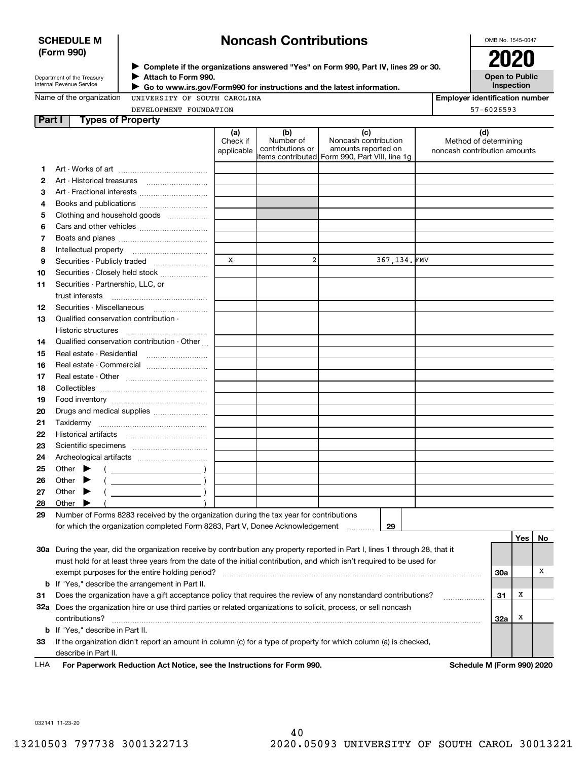### **SCHEDULE M (Form 990)**

# **Noncash Contributions**

OMB No. 1545-0047

| Department of the Treasury |
|----------------------------|
| Internal Revenue Service   |

**Complete if the organizations answered "Yes" on Form 990, Part IV, lines 29 or 30.** <sup>J</sup>**2020 Attach to Form 990.** J

 **Go to www.irs.gov/Form990 for instructions and the latest information.** J

**Open to Public Inspection**

| Name of the organization |  |
|--------------------------|--|
|--------------------------|--|

UNIVERSITY OF SOUTH CAROLINA

| Employer identification number |  |
|--------------------------------|--|
| $57 - 6026593$                 |  |

DEVELOPMENT FOUNDATION

| Part I | <b>Types of Property</b>                                                                                                       |                               |                                      |                                                                                                      |                                                              |          |    |
|--------|--------------------------------------------------------------------------------------------------------------------------------|-------------------------------|--------------------------------------|------------------------------------------------------------------------------------------------------|--------------------------------------------------------------|----------|----|
|        |                                                                                                                                | (a)<br>Check if<br>applicable | (b)<br>Number of<br>contributions or | (c)<br>Noncash contribution<br>amounts reported on<br>items contributed Form 990, Part VIII, line 1g | (d)<br>Method of determining<br>noncash contribution amounts |          |    |
| 1.     |                                                                                                                                |                               |                                      |                                                                                                      |                                                              |          |    |
| 2      |                                                                                                                                |                               |                                      |                                                                                                      |                                                              |          |    |
| З      | Art - Fractional interests                                                                                                     |                               |                                      |                                                                                                      |                                                              |          |    |
| 4      | Books and publications                                                                                                         |                               |                                      |                                                                                                      |                                                              |          |    |
| 5      | Clothing and household goods                                                                                                   |                               |                                      |                                                                                                      |                                                              |          |    |
| 6      |                                                                                                                                |                               |                                      |                                                                                                      |                                                              |          |    |
| 7      |                                                                                                                                |                               |                                      |                                                                                                      |                                                              |          |    |
| 8      | Intellectual property                                                                                                          |                               |                                      |                                                                                                      |                                                              |          |    |
| 9      | Securities - Publicly traded                                                                                                   | X                             | $\overline{\mathbf{2}}$              | 367,134.FMV                                                                                          |                                                              |          |    |
| 10     | Securities - Closely held stock                                                                                                |                               |                                      |                                                                                                      |                                                              |          |    |
| 11     | Securities - Partnership, LLC, or<br>trust interests                                                                           |                               |                                      |                                                                                                      |                                                              |          |    |
| 12     |                                                                                                                                |                               |                                      |                                                                                                      |                                                              |          |    |
| 13     | Qualified conservation contribution -                                                                                          |                               |                                      |                                                                                                      |                                                              |          |    |
|        | Historic structures                                                                                                            |                               |                                      |                                                                                                      |                                                              |          |    |
| 14     | Qualified conservation contribution - Other                                                                                    |                               |                                      |                                                                                                      |                                                              |          |    |
| 15     | Real estate - Residential                                                                                                      |                               |                                      |                                                                                                      |                                                              |          |    |
| 16     | Real estate - Commercial                                                                                                       |                               |                                      |                                                                                                      |                                                              |          |    |
| 17     |                                                                                                                                |                               |                                      |                                                                                                      |                                                              |          |    |
| 18     |                                                                                                                                |                               |                                      |                                                                                                      |                                                              |          |    |
| 19     |                                                                                                                                |                               |                                      |                                                                                                      |                                                              |          |    |
| 20     | Drugs and medical supplies                                                                                                     |                               |                                      |                                                                                                      |                                                              |          |    |
| 21     |                                                                                                                                |                               |                                      |                                                                                                      |                                                              |          |    |
| 22     |                                                                                                                                |                               |                                      |                                                                                                      |                                                              |          |    |
| 23     |                                                                                                                                |                               |                                      |                                                                                                      |                                                              |          |    |
| 24     |                                                                                                                                |                               |                                      |                                                                                                      |                                                              |          |    |
| 25     | Other $\blacktriangleright$                                                                                                    |                               |                                      |                                                                                                      |                                                              |          |    |
| 26     | Other                                                                                                                          |                               |                                      |                                                                                                      |                                                              |          |    |
| 27     | Other $\blacktriangleright$                                                                                                    |                               |                                      |                                                                                                      |                                                              |          |    |
| 28     | Other $\blacktriangleright$                                                                                                    |                               |                                      |                                                                                                      |                                                              |          |    |
| 29     | Number of Forms 8283 received by the organization during the tax year for contributions                                        |                               |                                      |                                                                                                      |                                                              |          |    |
|        | for which the organization completed Form 8283, Part V, Donee Acknowledgement                                                  |                               |                                      | 29                                                                                                   |                                                              |          |    |
|        |                                                                                                                                |                               |                                      |                                                                                                      |                                                              | Yes      | No |
|        | 30a During the year, did the organization receive by contribution any property reported in Part I, lines 1 through 28, that it |                               |                                      |                                                                                                      |                                                              |          |    |
|        | must hold for at least three years from the date of the initial contribution, and which isn't required to be used for          |                               |                                      |                                                                                                      |                                                              |          |    |
|        | exempt purposes for the entire holding period?                                                                                 |                               |                                      |                                                                                                      |                                                              | 30a      | х  |
| b      | If "Yes," describe the arrangement in Part II.                                                                                 |                               |                                      |                                                                                                      |                                                              |          |    |
| 31     | Does the organization have a gift acceptance policy that requires the review of any nonstandard contributions?                 |                               |                                      |                                                                                                      |                                                              | х<br>31  |    |
| 32a    | Does the organization hire or use third parties or related organizations to solicit, process, or sell noncash                  |                               |                                      |                                                                                                      |                                                              |          |    |
|        | contributions?                                                                                                                 |                               |                                      |                                                                                                      |                                                              | X<br>32a |    |
| b      | If "Yes," describe in Part II.                                                                                                 |                               |                                      |                                                                                                      |                                                              |          |    |
| 33     | If the organization didn't report an amount in column (c) for a type of property for which column (a) is checked,              |                               |                                      |                                                                                                      |                                                              |          |    |
|        | describe in Part II.                                                                                                           |                               |                                      |                                                                                                      |                                                              |          |    |
|        |                                                                                                                                |                               |                                      |                                                                                                      |                                                              |          |    |

**For Paperwork Reduction Act Notice, see the Instructions for Form 990. Schedule M (Form 990) 2020** LHA

032141 11-23-20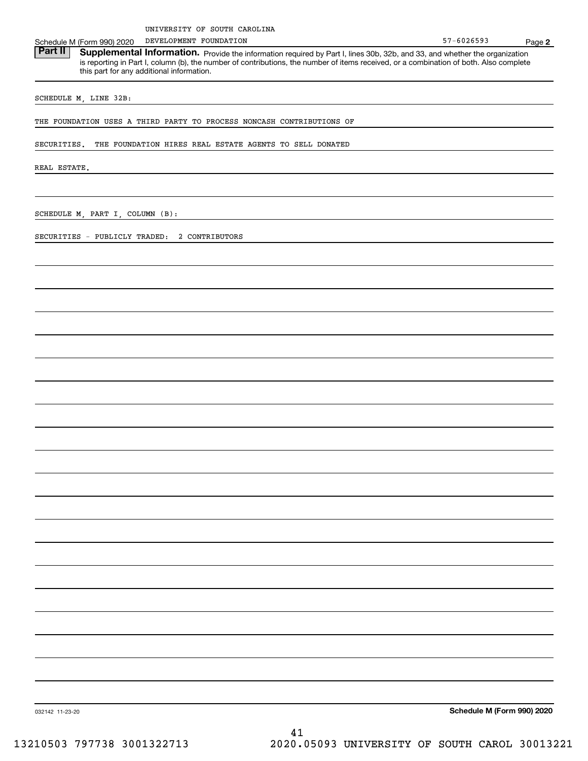DEVELOPMENT FOUNDATION

Schedule M (Form 990) 2020 DEVELOPMENT FOUNDATION<br>**Part II** Supplemental Information. Provide the information required by Part Llines 30b 32b and 33 and whether the c Part II | Supplemental Information. Provide the information required by Part I, lines 30b, 32b, and 33, and whether the organization is reporting in Part I, column (b), the number of contributions, the number of items received, or a combination of both. Also complete this part for any additional information.

SCHEDULE M, LINE 32B:

THE FOUNDATION USES A THIRD PARTY TO PROCESS NONCASH CONTRIBUTIONS OF

SECURITIES. THE FOUNDATION HIRES REAL ESTATE AGENTS TO SELL DONATED

REAL ESTATE.

SCHEDULE M, PART I, COLUMN (B):

SECURITIES - PUBLICLY TRADED: 2 CONTRIBUTORS

**Schedule M (Form 990) 2020**

032142 11-23-20

41 13210503 797738 3001322713 2020.05093 UNIVERSITY OF SOUTH CAROL 30013221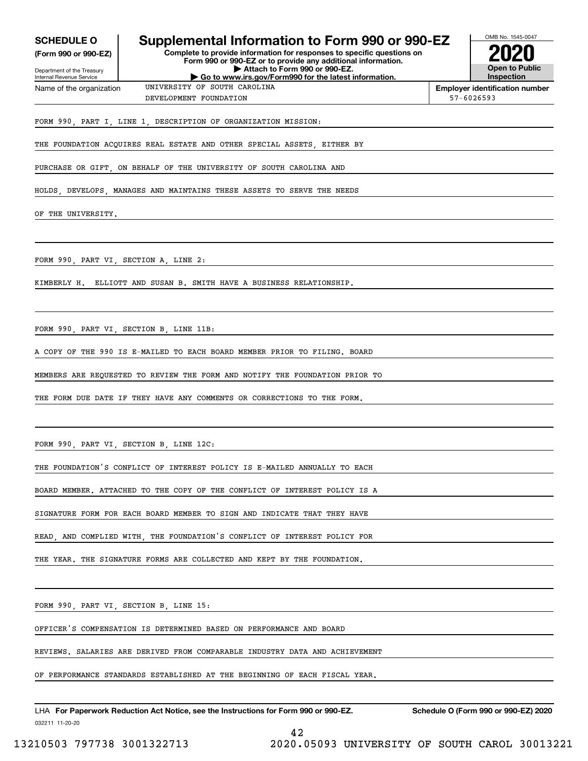OMB No. 1545-0047 Department of the Treasury Internal Revenue Service **Complete to provide information for responses to specific questions on Form 990 or 990-EZ or to provide any additional information. | Attach to Form 990 or 990-EZ. | Go to www.irs.gov/Form990 for the latest information. (Form 990 or 990-EZ) Open to Public InspectionEmployer identification number** Name of the organization **SCHEDULE O Supplemental Information to Form 990 or 990-EZ 2020** FORM 990, PART I, LINE 1, DESCRIPTION OF ORGANIZATION MISSION: DEVELOPMENT FOUNDATION 57-6026593 UNIVERSITY OF SOUTH CAROLINA

THE FOUNDATION ACQUIRES REAL ESTATE AND OTHER SPECIAL ASSETS, EITHER BY

PURCHASE OR GIFT, ON BEHALF OF THE UNIVERSITY OF SOUTH CAROLINA AND

HOLDS, DEVELOPS, MANAGES AND MAINTAINS THESE ASSETS TO SERVE THE NEEDS

OF THE UNIVERSITY.

FORM 990, PART VI, SECTION A, LINE 2:

KIMBERLY H. ELLIOTT AND SUSAN B. SMITH HAVE A BUSINESS RELATIONSHIP.

FORM 990, PART VI, SECTION B, LINE 11B:

A COPY OF THE 990 IS E-MAILED TO EACH BOARD MEMBER PRIOR TO FILING. BOARD

MEMBERS ARE REQUESTED TO REVIEW THE FORM AND NOTIFY THE FOUNDATION PRIOR TO

THE FORM DUE DATE IF THEY HAVE ANY COMMENTS OR CORRECTIONS TO THE FORM.

FORM 990, PART VI, SECTION B, LINE 12C:

THE FOUNDATION'S CONFLICT OF INTEREST POLICY IS E-MAILED ANNUALLY TO EACH

BOARD MEMBER. ATTACHED TO THE COPY OF THE CONFLICT OF INTEREST POLICY IS A

SIGNATURE FORM FOR EACH BOARD MEMBER TO SIGN AND INDICATE THAT THEY HAVE

READ, AND COMPLIED WITH, THE FOUNDATION'S CONFLICT OF INTEREST POLICY FOR

THE YEAR. THE SIGNATURE FORMS ARE COLLECTED AND KEPT BY THE FOUNDATION.

FORM 990, PART VI, SECTION B, LINE 15:

OFFICER'S COMPENSATION IS DETERMINED BASED ON PERFORMANCE AND BOARD

REVIEWS. SALARIES ARE DERIVED FROM COMPARABLE INDUSTRY DATA AND ACHIEVEMENT

OF PERFORMANCE STANDARDS ESTABLISHED AT THE BEGINNING OF EACH FISCAL YEAR.

42

032211 11-20-20 LHA For Paperwork Reduction Act Notice, see the Instructions for Form 990 or 990-EZ. Schedule O (Form 990 or 990-EZ) 2020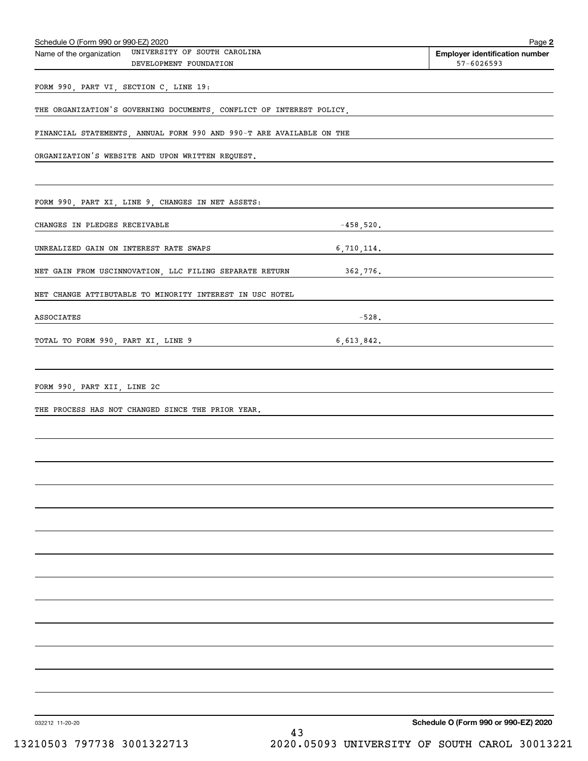| Schedule O (Form 990 or 990-EZ) 2020<br>Name of the organization UNIVERSITY OF SOUTH CAROLINA |              | Page 2                                                  |
|-----------------------------------------------------------------------------------------------|--------------|---------------------------------------------------------|
| DEVELOPMENT FOUNDATION                                                                        |              | <b>Employer identification number</b><br>$57 - 6026593$ |
| FORM 990, PART VI, SECTION C, LINE 19:                                                        |              |                                                         |
| THE ORGANIZATION'S GOVERNING DOCUMENTS, CONFLICT OF INTEREST POLICY,                          |              |                                                         |
| FINANCIAL STATEMENTS, ANNUAL FORM 990 AND 990-T ARE AVAILABLE ON THE                          |              |                                                         |
| ORGANIZATION'S WEBSITE AND UPON WRITTEN REQUEST.                                              |              |                                                         |
|                                                                                               |              |                                                         |
| FORM 990, PART XI, LINE 9, CHANGES IN NET ASSETS:                                             |              |                                                         |
| CHANGES IN PLEDGES RECEIVABLE                                                                 | $-458,520$ . |                                                         |
| UNREALIZED GAIN ON INTEREST RATE SWAPS                                                        | 6,710,114.   |                                                         |
| NET GAIN FROM USCINNOVATION, LLC FILING SEPARATE RETURN                                       | 362,776.     |                                                         |
| NET CHANGE ATTIBUTABLE TO MINORITY INTEREST IN USC HOTEL                                      |              |                                                         |
| ASSOCIATES                                                                                    | $-528.$      |                                                         |
| TOTAL TO FORM 990, PART XI, LINE 9                                                            | 6,613,842.   |                                                         |
|                                                                                               |              |                                                         |
| FORM 990, PART XII, LINE 2C                                                                   |              |                                                         |
| THE PROCESS HAS NOT CHANGED SINCE THE PRIOR YEAR.                                             |              |                                                         |
|                                                                                               |              |                                                         |
|                                                                                               |              |                                                         |
|                                                                                               |              |                                                         |
|                                                                                               |              |                                                         |
|                                                                                               |              |                                                         |
|                                                                                               |              |                                                         |
|                                                                                               |              |                                                         |
|                                                                                               |              |                                                         |
|                                                                                               |              |                                                         |
|                                                                                               |              |                                                         |
|                                                                                               |              |                                                         |
|                                                                                               |              |                                                         |
|                                                                                               |              |                                                         |
| 032212 11-20-20                                                                               |              | Schedule O (Form 990 or 990-EZ) 2020                    |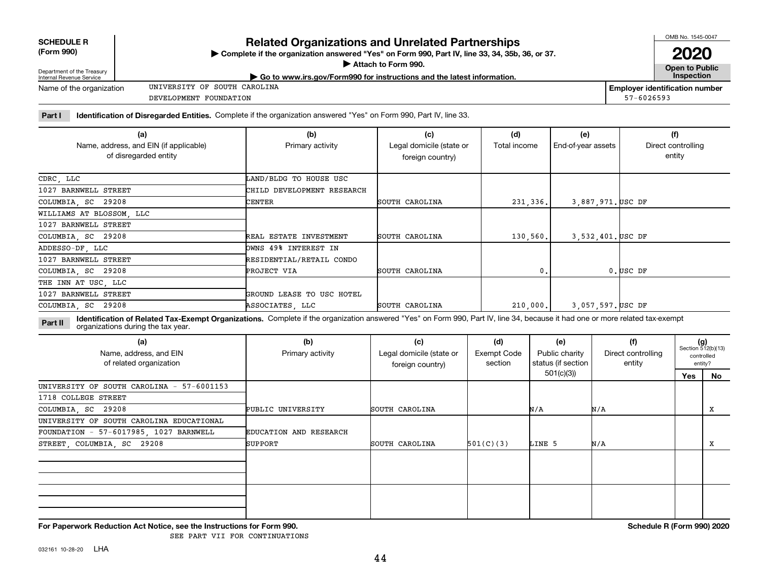| Department of the Treasury |  |
|----------------------------|--|
| ممثرسه ومبيسون والمستملسا  |  |

**SCHEDULE R (Form 990)**

# **Related Organizations and Unrelated Partnerships**

**Complete if the organization answered "Yes" on Form 990, Part IV, line 33, 34, 35b, 36, or 37.** |

**Attach to Form 990.**  |

**Open to Public**

**2020**

| <b>DUDGEMENT OF THE HUGGOIN</b><br>Internal Revenue Service | $\blacktriangleright$ Go to www.irs.gov/Form990 for instructions and the latest information. |                | Inspection                            |
|-------------------------------------------------------------|----------------------------------------------------------------------------------------------|----------------|---------------------------------------|
| Name of the organization                                    | UNIVERSITY OF SOUTH CAROLINA                                                                 |                | <b>Emplover identification number</b> |
|                                                             | DEVELOPMENT FOUNDATION                                                                       | $57 - 6026593$ |                                       |

**Part I Identification of Disregarded Entities.**  Complete if the organization answered "Yes" on Form 990, Part IV, line 33.

| (a)                                                             | (b)                        | (c)                                          | (d)          | (e)                | (f)                          |
|-----------------------------------------------------------------|----------------------------|----------------------------------------------|--------------|--------------------|------------------------------|
| Name, address, and EIN (if applicable)<br>of disregarded entity | Primary activity           | Legal domicile (state or<br>foreign country) | Total income | End-of-year assets | Direct controlling<br>entity |
| CDRC, LLC                                                       | LAND/BLDG TO HOUSE USC     |                                              |              |                    |                              |
| 1027 BARNWELL STREET                                            | CHILD DEVELOPMENT RESEARCH |                                              |              |                    |                              |
| COLUMBIA, SC 29208                                              | CENTER                     | SOUTH CAROLINA                               | 231,336.     | 3,887,971. USC DF  |                              |
| WILLIAMS AT BLOSSOM, LLC                                        |                            |                                              |              |                    |                              |
| 1027 BARNWELL STREET                                            |                            |                                              |              |                    |                              |
| COLUMBIA, SC 29208                                              | REAL ESTATE INVESTMENT     | SOUTH CAROLINA                               | 130,560.     | 3,532,401. USC DF  |                              |
| ADDESSO-DF, LLC                                                 | OWNS 49% INTEREST IN       |                                              |              |                    |                              |
| 1027 BARNWELL STREET                                            | RESIDENTIAL/RETAIL CONDO   |                                              |              |                    |                              |
| COLUMBIA, SC 29208                                              | PROJECT VIA                | SOUTH CAROLINA                               | 0.           |                    | $0.$ USC DF                  |
| THE INN AT USC, LLC                                             |                            |                                              |              |                    |                              |
| 1027 BARNWELL STREET                                            | GROUND LEASE TO USC HOTEL  |                                              |              |                    |                              |
| COLUMBIA, SC 29208                                              | ASSOCIATES, LLC            | SOUTH CAROLINA                               | 210,000.     | 3,057,597. USC DF  |                              |

**Identification of Related Tax-Exempt Organizations.** Complete if the organization answered "Yes" on Form 990, Part IV, line 34, because it had one or more related tax-exempt **Part II** organizations during the tax year.

| (b)<br>Primary activity | (c)<br>Legal domicile (state or<br>foreign country) | (d)<br>Exempt Code<br>section | (e)<br>Public charity | (f)<br>Direct controlling<br>entity | $(g)$<br>Section 512(b)(13)      | controlled<br>entity? |
|-------------------------|-----------------------------------------------------|-------------------------------|-----------------------|-------------------------------------|----------------------------------|-----------------------|
|                         |                                                     |                               |                       |                                     | Yes                              | No                    |
|                         |                                                     |                               |                       |                                     |                                  |                       |
|                         |                                                     |                               |                       |                                     |                                  |                       |
| PUBLIC UNIVERSITY       | SOUTH CAROLINA                                      |                               |                       |                                     |                                  | Х                     |
|                         |                                                     |                               |                       |                                     |                                  |                       |
| EDUCATION AND RESEARCH  |                                                     |                               |                       |                                     |                                  |                       |
| SUPPORT                 | SOUTH CAROLINA                                      | 501(C)(3)                     |                       |                                     |                                  | X                     |
|                         |                                                     |                               |                       |                                     |                                  |                       |
|                         |                                                     |                               |                       |                                     |                                  |                       |
|                         |                                                     |                               |                       |                                     |                                  |                       |
|                         |                                                     |                               |                       | 501(c)(3))<br>N/A<br>LINE 5         | status (if section<br>N/A<br>N/A |                       |

**For Paperwork Reduction Act Notice, see the Instructions for Form 990. Schedule R (Form 990) 2020**

SEE PART VII FOR CONTINUATIONS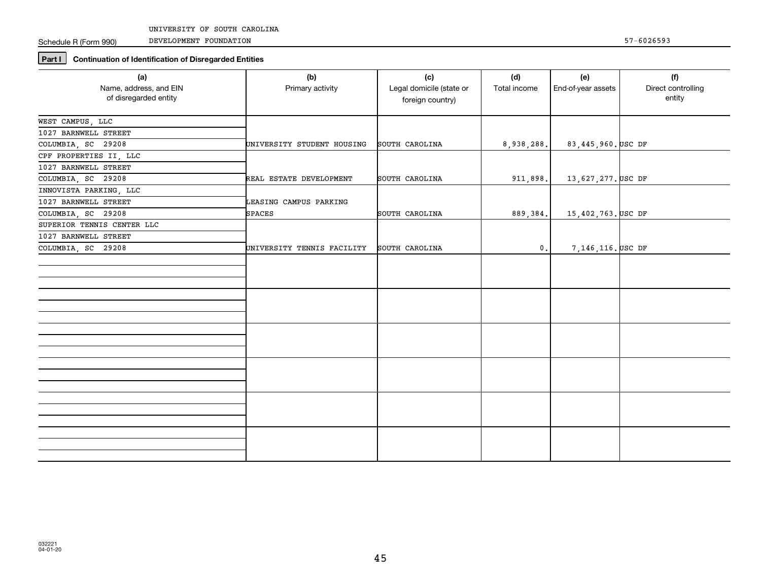DEVELOPMENT FOUNDATION

Schedule R (Form 990)

**Part I Continuation of Identification of Disregarded Entities**

| (a)                                             | (b)                        | (c)                                          | (d)             | (e)                | (f)                          |
|-------------------------------------------------|----------------------------|----------------------------------------------|-----------------|--------------------|------------------------------|
| Name, address, and EIN<br>of disregarded entity | Primary activity           | Legal domicile (state or<br>foreign country) | Total income    | End-of-year assets | Direct controlling<br>entity |
| WEST CAMPUS, LLC                                |                            |                                              |                 |                    |                              |
| 1027 BARNWELL STREET                            |                            |                                              |                 |                    |                              |
| COLUMBIA, SC 29208                              | UNIVERSITY STUDENT HOUSING | SOUTH CAROLINA                               | 8,938,288.      | 83,445,960. USC DF |                              |
| CPF PROPERTIES II, LLC                          |                            |                                              |                 |                    |                              |
| 1027 BARNWELL STREET                            |                            |                                              |                 |                    |                              |
| COLUMBIA, SC 29208                              | REAL ESTATE DEVELOPMENT    | SOUTH CAROLINA                               | 911,898.        | 13,627,277. USC DF |                              |
| INNOVISTA PARKING, LLC                          |                            |                                              |                 |                    |                              |
| 1027 BARNWELL STREET                            | LEASING CAMPUS PARKING     |                                              |                 |                    |                              |
| COLUMBIA, SC 29208                              | <b>SPACES</b>              | SOUTH CAROLINA                               | 889, 384.       | 15,402,763. USC DF |                              |
| SUPERIOR TENNIS CENTER LLC                      |                            |                                              |                 |                    |                              |
| 1027 BARNWELL STREET                            |                            |                                              |                 |                    |                              |
| COLUMBIA, SC 29208                              | UNIVERSITY TENNIS FACILITY | SOUTH CAROLINA                               | $\mathfrak o$ . | 7,146,116. USC DF  |                              |
|                                                 |                            |                                              |                 |                    |                              |
|                                                 |                            |                                              |                 |                    |                              |
|                                                 |                            |                                              |                 |                    |                              |
|                                                 |                            |                                              |                 |                    |                              |
|                                                 |                            |                                              |                 |                    |                              |
|                                                 |                            |                                              |                 |                    |                              |
|                                                 |                            |                                              |                 |                    |                              |
|                                                 |                            |                                              |                 |                    |                              |
|                                                 |                            |                                              |                 |                    |                              |
|                                                 |                            |                                              |                 |                    |                              |
|                                                 |                            |                                              |                 |                    |                              |
|                                                 |                            |                                              |                 |                    |                              |
|                                                 |                            |                                              |                 |                    |                              |
|                                                 |                            |                                              |                 |                    |                              |
|                                                 |                            |                                              |                 |                    |                              |
|                                                 |                            |                                              |                 |                    |                              |
|                                                 |                            |                                              |                 |                    |                              |
|                                                 |                            |                                              |                 |                    |                              |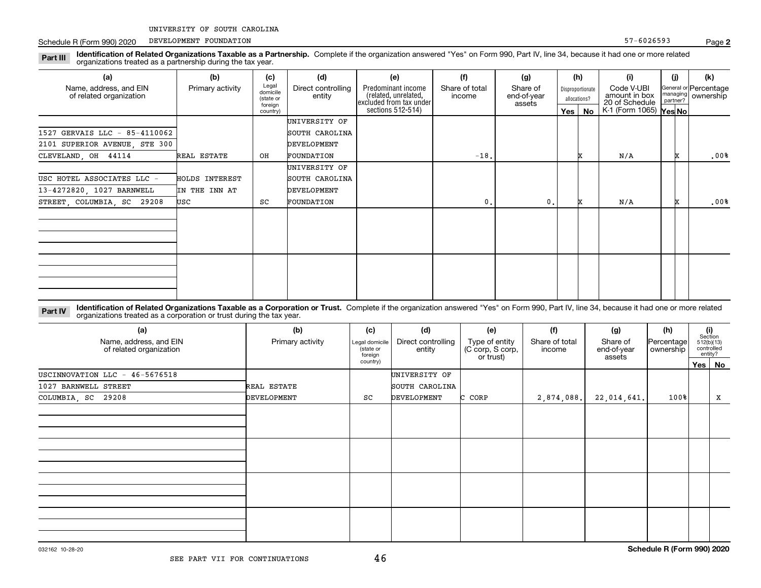Schedule R (Form 990) 2020 PEVELOPMENT FOUNDATION SERVICES AND RESERVED THE SERVICES OF ST AND RESERVED THE ST AND RESERVED THE ST AND RESERVED THE ST AND RESERVED THE ST AND RESERVED THE ST AND RESERVED THE ST AND RESERVE DEVELOPMENT FOUNDATION

**Identification of Related Organizations Taxable as a Partnership.** Complete if the organization answered "Yes" on Form 990, Part IV, line 34, because it had one or more related **Part III** organizations treated as a partnership during the tax year.

| (a)                                               | (b)                   | (c)                                       | (d)                          | (e)                                                                   | (f)                      | (g)                               |         | (h)                                                                               | (i)                    | (j) | (k)                                         |
|---------------------------------------------------|-----------------------|-------------------------------------------|------------------------------|-----------------------------------------------------------------------|--------------------------|-----------------------------------|---------|-----------------------------------------------------------------------------------|------------------------|-----|---------------------------------------------|
| Name, address, and EIN<br>of related organization | Primary activity      | Legal<br>domicile<br>(state or<br>foreign | Direct controlling<br>entity | Predominant income<br>(related, unrelated,<br>excluded from tax under | Share of total<br>income | Share of<br>end-of-year<br>assets |         | Code V-UBI<br>Disproportionate<br>amount in box<br>20 of Schedule<br>allocations? |                        |     | General or Percentage<br>managing ownership |
|                                                   |                       | country)                                  |                              | sections 512-514)                                                     |                          |                                   | Yes $ $ | No                                                                                | K-1 (Form 1065) Yes No |     |                                             |
|                                                   |                       |                                           | UNIVERSITY OF                |                                                                       |                          |                                   |         |                                                                                   |                        |     |                                             |
| 1527 GERVAIS LLC - 85-4110062                     |                       |                                           | SOUTH CAROLINA               |                                                                       |                          |                                   |         |                                                                                   |                        |     |                                             |
| 2101 SUPERIOR AVENUE, STE 300                     |                       |                                           | DEVELOPMENT                  |                                                                       |                          |                                   |         |                                                                                   |                        |     |                                             |
| CLEVELAND, OH 44114                               | REAL ESTATE           | OH                                        | FOUNDATION                   |                                                                       | $-18$ .                  |                                   |         |                                                                                   | N/A                    |     | .00%                                        |
|                                                   |                       |                                           | UNIVERSITY OF                |                                                                       |                          |                                   |         |                                                                                   |                        |     |                                             |
| USC HOTEL ASSOCIATES LLC -                        | <b>HOLDS INTEREST</b> |                                           | SOUTH CAROLINA               |                                                                       |                          |                                   |         |                                                                                   |                        |     |                                             |
| 13-4272820, 1027 BARNWELL                         | IN THE INN AT         |                                           | DEVELOPMENT                  |                                                                       |                          |                                   |         |                                                                                   |                        |     |                                             |
| STREET, COLUMBIA, SC 29208                        | USC                   | SC                                        | FOUNDATION                   |                                                                       | 0.                       | 0.                                |         |                                                                                   | N/A                    |     | .00%                                        |
|                                                   |                       |                                           |                              |                                                                       |                          |                                   |         |                                                                                   |                        |     |                                             |
|                                                   |                       |                                           |                              |                                                                       |                          |                                   |         |                                                                                   |                        |     |                                             |
|                                                   |                       |                                           |                              |                                                                       |                          |                                   |         |                                                                                   |                        |     |                                             |
|                                                   |                       |                                           |                              |                                                                       |                          |                                   |         |                                                                                   |                        |     |                                             |
|                                                   |                       |                                           |                              |                                                                       |                          |                                   |         |                                                                                   |                        |     |                                             |
|                                                   |                       |                                           |                              |                                                                       |                          |                                   |         |                                                                                   |                        |     |                                             |
|                                                   |                       |                                           |                              |                                                                       |                          |                                   |         |                                                                                   |                        |     |                                             |
|                                                   |                       |                                           |                              |                                                                       |                          |                                   |         |                                                                                   |                        |     |                                             |

**Identification of Related Organizations Taxable as a Corporation or Trust.** Complete if the organization answered "Yes" on Form 990, Part IV, line 34, because it had one or more related **Part IV** organizations treated as a corporation or trust during the tax year.

| (a)<br>Name, address, and EIN<br>of related organization | (b)<br>Primary activity | (c)<br>Legal domicile<br>(state or<br>foreign | (d)<br>Direct controlling<br>entity | (e)<br>Type of entity<br>(C corp, S corp,<br>or trust) | (f)<br>Share of total<br>income | (g)<br>Share of<br>end-of-year<br>assets | (h)<br>Percentage<br>ownership |         | $\begin{array}{c} \textbf{(i)}\\ \text{Section}\\ 512 \text{(b)} \text{(13)}\\ \text{controlled}\end{array}$<br>entity? |
|----------------------------------------------------------|-------------------------|-----------------------------------------------|-------------------------------------|--------------------------------------------------------|---------------------------------|------------------------------------------|--------------------------------|---------|-------------------------------------------------------------------------------------------------------------------------|
|                                                          |                         | country)                                      |                                     |                                                        |                                 |                                          |                                | Yes $ $ | No                                                                                                                      |
| USCINNOVATION LLC - 46-5676518                           |                         |                                               | UNIVERSITY OF                       |                                                        |                                 |                                          |                                |         |                                                                                                                         |
| 1027 BARNWELL STREET                                     | REAL ESTATE             |                                               | SOUTH CAROLINA                      |                                                        |                                 |                                          |                                |         |                                                                                                                         |
| COLUMBIA, SC 29208                                       | DEVELOPMENT             | sc                                            | DEVELOPMENT                         | C CORP                                                 | 2,874,088.                      | 22,014,641.                              | 100%                           |         | X                                                                                                                       |
|                                                          |                         |                                               |                                     |                                                        |                                 |                                          |                                |         |                                                                                                                         |
|                                                          |                         |                                               |                                     |                                                        |                                 |                                          |                                |         |                                                                                                                         |
|                                                          |                         |                                               |                                     |                                                        |                                 |                                          |                                |         |                                                                                                                         |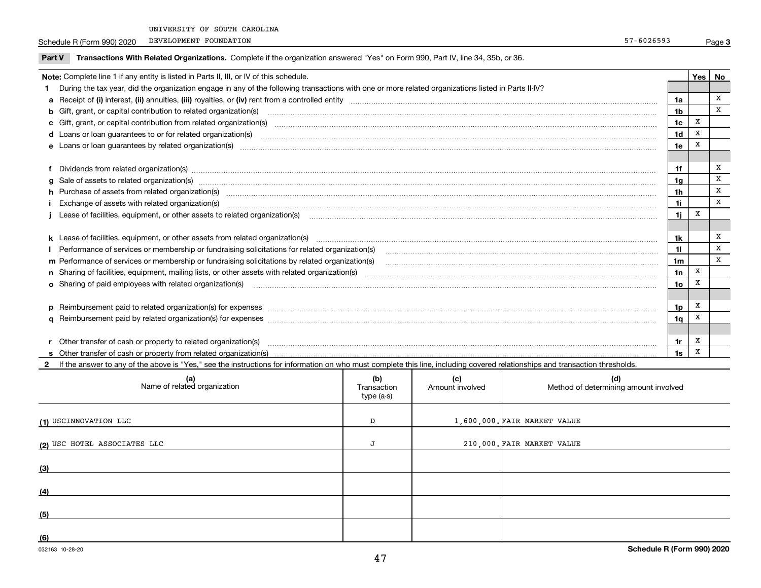Schedule R (Form 990) 2020 PEVELOPMENT FOUNDATION SERVICES AND RESERVED THE SERVICES OF ST AND RESERVED THE ST AND RESERVED THE ST AND RESERVED THE ST AND RESERVED THE ST AND RESERVED THE ST AND RESERVED THE ST AND RESERVE DEVELOPMENT FOUNDATION

| Part V | Transactions With Related Organizations. Complete if the organization answered "Yes" on Form 990, Part IV, line 34, 35b, or 36.                                                                                                |                 |     |    |
|--------|--------------------------------------------------------------------------------------------------------------------------------------------------------------------------------------------------------------------------------|-----------------|-----|----|
|        | Note: Complete line 1 if any entity is listed in Parts II, III, or IV of this schedule.                                                                                                                                        |                 | Yes | No |
|        | During the tax year, did the organization engage in any of the following transactions with one or more related organizations listed in Parts II-IV?                                                                            |                 |     |    |
|        |                                                                                                                                                                                                                                | 1a              |     | X  |
|        | <b>b</b> Gift, grant, or capital contribution to related organization(s)                                                                                                                                                       | 1b              |     | X  |
|        | c Gift, grant, or capital contribution from related organization(s)                                                                                                                                                            | 1c              | х   |    |
|        | <b>d</b> Loans or loan quarantees to or for related organization(s)                                                                                                                                                            | 1d              |     |    |
|        | e Loans or loan guarantees by related organization(s)                                                                                                                                                                          | 1e              |     |    |
|        |                                                                                                                                                                                                                                |                 |     |    |
|        | Dividends from related organization(s) manufactured and contract and contract and contract and contract and contract and contract and contract and contract and contract and contract and contract and contract and contract a | 1f              |     |    |
|        | g Sale of assets to related organization(s) measurements are constructed as a set of assets to related organization(s) measurements are constructed assets to related organization(s) measurements are constructed as a set of | 1g              |     | X  |
|        | h Purchase of assets from related organization(s) manufactured and content to content the content of assets from related organization(s)                                                                                       | 1h              |     | x  |
|        |                                                                                                                                                                                                                                | 1i              |     | x  |
|        | Lease of facilities, equipment, or other assets to related organization(s)                                                                                                                                                     | 1i              | X   |    |
|        |                                                                                                                                                                                                                                |                 |     |    |
|        |                                                                                                                                                                                                                                | 1k              |     | X  |
|        | I Performance of services or membership or fundraising solicitations for related organization(s)                                                                                                                               | 11              |     | X  |
|        | m Performance of services or membership or fundraising solicitations by related organization(s)                                                                                                                                | 1 <sub>m</sub>  |     | X  |
|        |                                                                                                                                                                                                                                | 1n              | x   |    |
|        | o Sharing of paid employees with related organization(s)                                                                                                                                                                       | 10 <sub>o</sub> |     |    |
|        |                                                                                                                                                                                                                                |                 |     |    |
|        | p Reimbursement paid to related organization(s) for expenses [1111] and manufactured manufactured manufactured manufactured manufactured manufactured manufactured manufactured manufactured manufactured manufactured manufac | 1p              | x   |    |
|        |                                                                                                                                                                                                                                | 1q              |     |    |
|        |                                                                                                                                                                                                                                |                 |     |    |

| Other transfer of cash or property to related organization(s)   |  |
|-----------------------------------------------------------------|--|
| Other transfer of cash or property from related organization(s) |  |

**2**If the answer to any of the above is "Yes," see the instructions for information on who must complete this line, including covered relationships and transaction thresholds.

| (a)<br>Name of related organization | (b)<br>Transaction<br>type (a-s) | (c)<br>Amount involved | (d)<br>Method of determining amount involved |
|-------------------------------------|----------------------------------|------------------------|----------------------------------------------|
| (1) USCINNOVATION LLC               | D                                |                        | $1,600,000$ . FAIR MARKET VALUE              |
| (2) USC HOTEL ASSOCIATES LLC        |                                  |                        | 210,000. FAIR MARKET VALUE                   |
| (3)                                 |                                  |                        |                                              |
| (4)                                 |                                  |                        |                                              |
| (5)                                 |                                  |                        |                                              |
| (6)                                 |                                  |                        |                                              |

**1r1s** X

X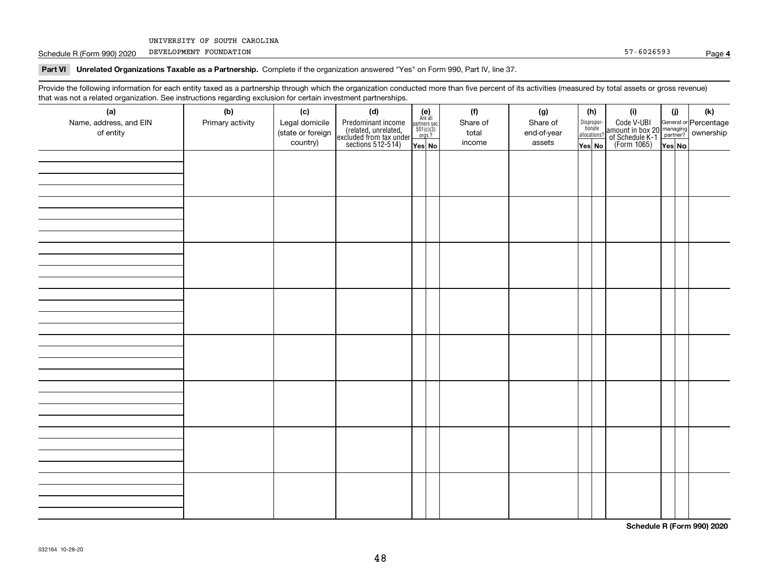Schedule R (Form 990) 2020 PEVELOPMENT FOUNDATION SALES AND RESERVE THE SCHEDULE RESERVE THE ST -6026593 DEVELOPMENT FOUNDATION

**Part VI Unrelated Organizations Taxable as a Partnership. Complete if the organization answered "Yes" on Form 990, Part IV, line 37.** 

Provide the following information for each entity taxed as a partnership through which the organization conducted more than five percent of its activities (measured by total assets or gross revenue) that was not a related organization. See instructions regarding exclusion for certain investment partnerships.

| (a)<br>Name, address, and EIN<br>of entity | (b)<br>Primary activity | (c)<br>Legal domicile<br>(state or foreign<br>country) | (d)<br>Predominant income<br>(related, unrelated,<br>excluded from tax under<br>sections 512-514) | $\begin{array}{c} \textbf{(e)}\\ \text{Are all} \\ \text{partners sec.}\\ 501(c)(3)\\ \text{orgs.?} \end{array}$<br>$Yes$ No | (f)<br>Share of<br>total<br>income | (g)<br>Share of<br>end-of-year<br>assets | (h)<br>Dispropor-<br>tionate<br>allocations?<br>Yes No | (i)<br>Code V-UBI<br>amount in box 20 managing<br>of Schedule K-1 partner? ownership<br>(Form 1065)<br>ves No | (i)<br>Yes No | (k) |
|--------------------------------------------|-------------------------|--------------------------------------------------------|---------------------------------------------------------------------------------------------------|------------------------------------------------------------------------------------------------------------------------------|------------------------------------|------------------------------------------|--------------------------------------------------------|---------------------------------------------------------------------------------------------------------------|---------------|-----|
|                                            |                         |                                                        |                                                                                                   |                                                                                                                              |                                    |                                          |                                                        |                                                                                                               |               |     |
|                                            |                         |                                                        |                                                                                                   |                                                                                                                              |                                    |                                          |                                                        |                                                                                                               |               |     |
|                                            |                         |                                                        |                                                                                                   |                                                                                                                              |                                    |                                          |                                                        |                                                                                                               |               |     |
|                                            |                         |                                                        |                                                                                                   |                                                                                                                              |                                    |                                          |                                                        |                                                                                                               |               |     |
|                                            |                         |                                                        |                                                                                                   |                                                                                                                              |                                    |                                          |                                                        |                                                                                                               |               |     |
|                                            |                         |                                                        |                                                                                                   |                                                                                                                              |                                    |                                          |                                                        |                                                                                                               |               |     |
|                                            |                         |                                                        |                                                                                                   |                                                                                                                              |                                    |                                          |                                                        |                                                                                                               |               |     |
|                                            |                         |                                                        |                                                                                                   |                                                                                                                              |                                    |                                          |                                                        |                                                                                                               |               |     |

**Schedule R (Form 990) 2020**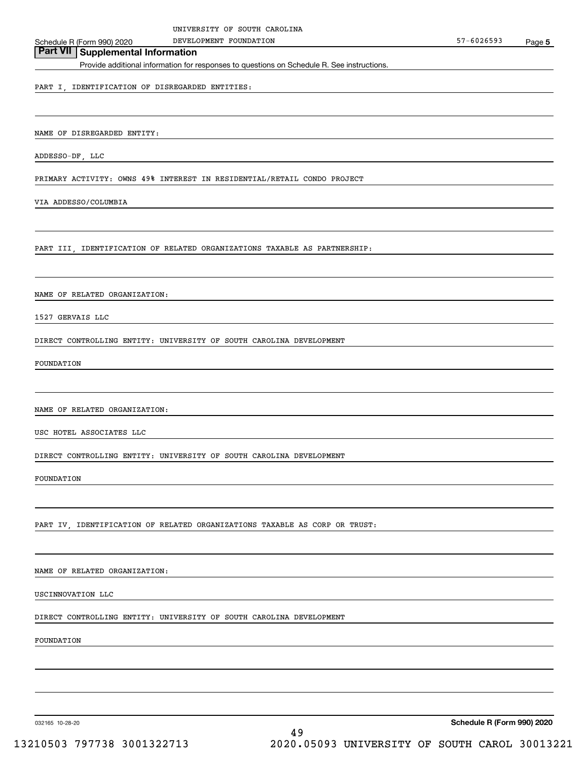# **Part VII Supplemental Information**

Provide additional information for responses to questions on Schedule R. See instructions.

#### PART I, IDENTIFICATION OF DISREGARDED ENTITIES:

NAME OF DISREGARDED ENTITY:

ADDESSO-DF, LLC

PRIMARY ACTIVITY: OWNS 49% INTEREST IN RESIDENTIAL/RETAIL CONDO PROJECT

VIA ADDESSO/COLUMBIA

PART III, IDENTIFICATION OF RELATED ORGANIZATIONS TAXABLE AS PARTNERSHIP:

NAME OF RELATED ORGANIZATION:

1527 GERVAIS LLC

DIRECT CONTROLLING ENTITY: UNIVERSITY OF SOUTH CAROLINA DEVELOPMENT

FOUNDATION

NAME OF RELATED ORGANIZATION:

USC HOTEL ASSOCIATES LLC

DIRECT CONTROLLING ENTITY: UNIVERSITY OF SOUTH CAROLINA DEVELOPMENT

FOUNDATION

PART IV, IDENTIFICATION OF RELATED ORGANIZATIONS TAXABLE AS CORP OR TRUST:

NAME OF RELATED ORGANIZATION:

USCINNOVATION LLC

DIRECT CONTROLLING ENTITY: UNIVERSITY OF SOUTH CAROLINA DEVELOPMENT

FOUNDATION

032165 10-28-20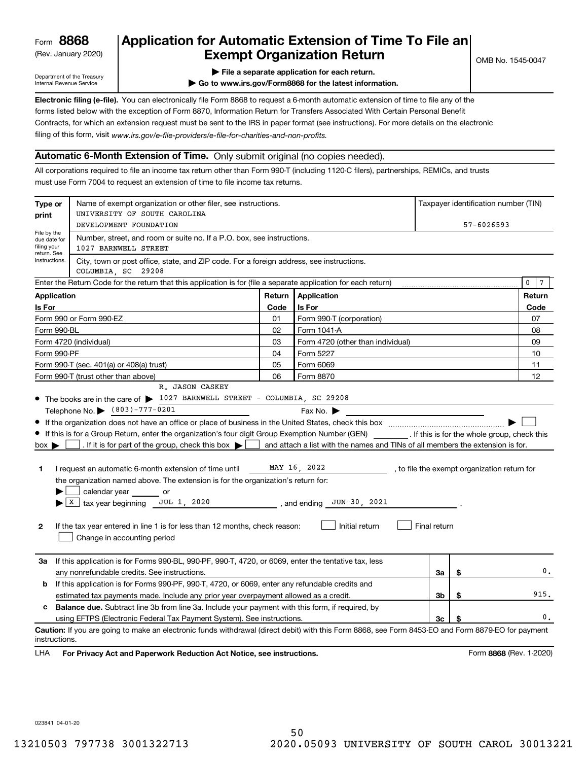(Rev. January 2020)

# **Application for Automatic Extension of Time To File an Exempt Organization Return**

Department of the Treasury Internal Revenue Service

**| File a separate application for each return.**

**| Go to www.irs.gov/Form8868 for the latest information.**

**Electronic filing (e-file).**  You can electronically file Form 8868 to request a 6-month automatic extension of time to file any of the filing of this form, visit www.irs.gov/e-file-providers/e-file-for-charities-and-non-profits. forms listed below with the exception of Form 8870, Information Return for Transfers Associated With Certain Personal Benefit Contracts, for which an extension request must be sent to the IRS in paper format (see instructions). For more details on the electronic

### **Automatic 6-Month Extension of Time.** Only submit original (no copies needed).

All corporations required to file an income tax return other than Form 990-T (including 1120-C filers), partnerships, REMICs, and trusts must use Form 7004 to request an extension of time to file income tax returns.

| DEVELOPMENT FOUNDATION<br>57-6026593<br>File by the<br>Number, street, and room or suite no. If a P.O. box, see instructions.<br>due date for<br>filing your<br>1027 BARNWELL STREET<br>return. See<br>instructions.<br>City, town or post office, state, and ZIP code. For a foreign address, see instructions.<br>COLUMBIA SC 29208<br>Enter the Return Code for the return that this application is for (file a separate application for each return)<br>Return<br>Application<br><b>Application</b><br>Is For<br>Is For<br>Code<br>Form 990 or Form 990-EZ<br>01<br>Form 990-T (corporation)<br>02<br>Form 1041-A<br>Form 990-BL<br>Form 4720 (individual)<br>03<br>Form 4720 (other than individual)<br>Form 990-PF<br>04<br>Form 5227<br>Form 6069<br>Form 990-T (sec. 401(a) or 408(a) trust)<br>05<br>Form 990-T (trust other than above)<br>06<br>Form 8870<br>R. JASON CASKEY<br>• The books are in the care of > 1027 BARNWELL STREET - COLUMBIA, SC 29208<br>Telephone No. (803)-777-0201<br>Fax No. $\blacktriangleright$<br>If this is for a Group Return, enter the organization's four digit Group Exemption Number (GEN) [f this is for the whole group, check this<br>and attach a list with the names and TINs of all members the extension is for.<br>. If it is for part of the group, check this box $\blacktriangleright$<br>$box \blacktriangleright$<br>MAY 16, 2022<br>I request an automatic 6-month extension of time until<br>, to file the exempt organization return for<br>1.<br>the organization named above. The extension is for the organization's return for:<br>calendar year or<br>$X$ tax year beginning JUL 1, 2020<br>, and ending $JUN$ 30, 2021<br>Initial return<br>Final return<br>$\mathbf{2}$<br>If the tax year entered in line 1 is for less than 12 months, check reason:<br>Change in accounting period<br>If this application is for Forms 990-BL, 990-PF, 990-T, 4720, or 6069, enter the tentative tax, less<br>За<br>\$<br>any nonrefundable credits. See instructions.<br>За<br>If this application is for Forms 990-PF, 990-T, 4720, or 6069, enter any refundable credits and<br>b<br>3b<br>\$<br>estimated tax payments made. Include any prior year overpayment allowed as a credit.<br><b>Balance due.</b> Subtract line 3b from line 3a. Include your payment with this form, if required, by<br>c<br>using EFTPS (Electronic Federal Tax Payment System). See instructions.<br>Зс<br>\$<br>Caution: If you are going to make an electronic funds withdrawal (direct debit) with this Form 8868, see Form 8453-EO and Form 8879-EO for payment | Type or<br>print | Name of exempt organization or other filer, see instructions.<br>UNIVERSITY OF SOUTH CAROLINA |  |  |  |  | Taxpayer identification number (TIN) |  |  |  |  |
|---------------------------------------------------------------------------------------------------------------------------------------------------------------------------------------------------------------------------------------------------------------------------------------------------------------------------------------------------------------------------------------------------------------------------------------------------------------------------------------------------------------------------------------------------------------------------------------------------------------------------------------------------------------------------------------------------------------------------------------------------------------------------------------------------------------------------------------------------------------------------------------------------------------------------------------------------------------------------------------------------------------------------------------------------------------------------------------------------------------------------------------------------------------------------------------------------------------------------------------------------------------------------------------------------------------------------------------------------------------------------------------------------------------------------------------------------------------------------------------------------------------------------------------------------------------------------------------------------------------------------------------------------------------------------------------------------------------------------------------------------------------------------------------------------------------------------------------------------------------------------------------------------------------------------------------------------------------------------------------------------------------------------------------------------------------------------------------------------------------------------------------------------------------------------------------------------------------------------------------------------------------------------------------------------------------------------------------------------------------------------------------------------------------------------------------------------------------------------------------------------------------------------------------------------------------------------------------------------------------|------------------|-----------------------------------------------------------------------------------------------|--|--|--|--|--------------------------------------|--|--|--|--|
|                                                                                                                                                                                                                                                                                                                                                                                                                                                                                                                                                                                                                                                                                                                                                                                                                                                                                                                                                                                                                                                                                                                                                                                                                                                                                                                                                                                                                                                                                                                                                                                                                                                                                                                                                                                                                                                                                                                                                                                                                                                                                                                                                                                                                                                                                                                                                                                                                                                                                                                                                                                                               |                  |                                                                                               |  |  |  |  |                                      |  |  |  |  |
|                                                                                                                                                                                                                                                                                                                                                                                                                                                                                                                                                                                                                                                                                                                                                                                                                                                                                                                                                                                                                                                                                                                                                                                                                                                                                                                                                                                                                                                                                                                                                                                                                                                                                                                                                                                                                                                                                                                                                                                                                                                                                                                                                                                                                                                                                                                                                                                                                                                                                                                                                                                                               |                  |                                                                                               |  |  |  |  |                                      |  |  |  |  |
|                                                                                                                                                                                                                                                                                                                                                                                                                                                                                                                                                                                                                                                                                                                                                                                                                                                                                                                                                                                                                                                                                                                                                                                                                                                                                                                                                                                                                                                                                                                                                                                                                                                                                                                                                                                                                                                                                                                                                                                                                                                                                                                                                                                                                                                                                                                                                                                                                                                                                                                                                                                                               |                  |                                                                                               |  |  |  |  |                                      |  |  |  |  |
|                                                                                                                                                                                                                                                                                                                                                                                                                                                                                                                                                                                                                                                                                                                                                                                                                                                                                                                                                                                                                                                                                                                                                                                                                                                                                                                                                                                                                                                                                                                                                                                                                                                                                                                                                                                                                                                                                                                                                                                                                                                                                                                                                                                                                                                                                                                                                                                                                                                                                                                                                                                                               | $\mathbf 0$      |                                                                                               |  |  |  |  |                                      |  |  |  |  |
|                                                                                                                                                                                                                                                                                                                                                                                                                                                                                                                                                                                                                                                                                                                                                                                                                                                                                                                                                                                                                                                                                                                                                                                                                                                                                                                                                                                                                                                                                                                                                                                                                                                                                                                                                                                                                                                                                                                                                                                                                                                                                                                                                                                                                                                                                                                                                                                                                                                                                                                                                                                                               |                  |                                                                                               |  |  |  |  | Return                               |  |  |  |  |
|                                                                                                                                                                                                                                                                                                                                                                                                                                                                                                                                                                                                                                                                                                                                                                                                                                                                                                                                                                                                                                                                                                                                                                                                                                                                                                                                                                                                                                                                                                                                                                                                                                                                                                                                                                                                                                                                                                                                                                                                                                                                                                                                                                                                                                                                                                                                                                                                                                                                                                                                                                                                               |                  |                                                                                               |  |  |  |  | Code                                 |  |  |  |  |
|                                                                                                                                                                                                                                                                                                                                                                                                                                                                                                                                                                                                                                                                                                                                                                                                                                                                                                                                                                                                                                                                                                                                                                                                                                                                                                                                                                                                                                                                                                                                                                                                                                                                                                                                                                                                                                                                                                                                                                                                                                                                                                                                                                                                                                                                                                                                                                                                                                                                                                                                                                                                               |                  |                                                                                               |  |  |  |  | 07                                   |  |  |  |  |
|                                                                                                                                                                                                                                                                                                                                                                                                                                                                                                                                                                                                                                                                                                                                                                                                                                                                                                                                                                                                                                                                                                                                                                                                                                                                                                                                                                                                                                                                                                                                                                                                                                                                                                                                                                                                                                                                                                                                                                                                                                                                                                                                                                                                                                                                                                                                                                                                                                                                                                                                                                                                               |                  |                                                                                               |  |  |  |  | 08                                   |  |  |  |  |
|                                                                                                                                                                                                                                                                                                                                                                                                                                                                                                                                                                                                                                                                                                                                                                                                                                                                                                                                                                                                                                                                                                                                                                                                                                                                                                                                                                                                                                                                                                                                                                                                                                                                                                                                                                                                                                                                                                                                                                                                                                                                                                                                                                                                                                                                                                                                                                                                                                                                                                                                                                                                               |                  |                                                                                               |  |  |  |  | 09                                   |  |  |  |  |
|                                                                                                                                                                                                                                                                                                                                                                                                                                                                                                                                                                                                                                                                                                                                                                                                                                                                                                                                                                                                                                                                                                                                                                                                                                                                                                                                                                                                                                                                                                                                                                                                                                                                                                                                                                                                                                                                                                                                                                                                                                                                                                                                                                                                                                                                                                                                                                                                                                                                                                                                                                                                               |                  |                                                                                               |  |  |  |  | 10                                   |  |  |  |  |
|                                                                                                                                                                                                                                                                                                                                                                                                                                                                                                                                                                                                                                                                                                                                                                                                                                                                                                                                                                                                                                                                                                                                                                                                                                                                                                                                                                                                                                                                                                                                                                                                                                                                                                                                                                                                                                                                                                                                                                                                                                                                                                                                                                                                                                                                                                                                                                                                                                                                                                                                                                                                               |                  |                                                                                               |  |  |  |  | 11                                   |  |  |  |  |
|                                                                                                                                                                                                                                                                                                                                                                                                                                                                                                                                                                                                                                                                                                                                                                                                                                                                                                                                                                                                                                                                                                                                                                                                                                                                                                                                                                                                                                                                                                                                                                                                                                                                                                                                                                                                                                                                                                                                                                                                                                                                                                                                                                                                                                                                                                                                                                                                                                                                                                                                                                                                               |                  |                                                                                               |  |  |  |  | 12                                   |  |  |  |  |
|                                                                                                                                                                                                                                                                                                                                                                                                                                                                                                                                                                                                                                                                                                                                                                                                                                                                                                                                                                                                                                                                                                                                                                                                                                                                                                                                                                                                                                                                                                                                                                                                                                                                                                                                                                                                                                                                                                                                                                                                                                                                                                                                                                                                                                                                                                                                                                                                                                                                                                                                                                                                               |                  |                                                                                               |  |  |  |  |                                      |  |  |  |  |
|                                                                                                                                                                                                                                                                                                                                                                                                                                                                                                                                                                                                                                                                                                                                                                                                                                                                                                                                                                                                                                                                                                                                                                                                                                                                                                                                                                                                                                                                                                                                                                                                                                                                                                                                                                                                                                                                                                                                                                                                                                                                                                                                                                                                                                                                                                                                                                                                                                                                                                                                                                                                               |                  |                                                                                               |  |  |  |  |                                      |  |  |  |  |
|                                                                                                                                                                                                                                                                                                                                                                                                                                                                                                                                                                                                                                                                                                                                                                                                                                                                                                                                                                                                                                                                                                                                                                                                                                                                                                                                                                                                                                                                                                                                                                                                                                                                                                                                                                                                                                                                                                                                                                                                                                                                                                                                                                                                                                                                                                                                                                                                                                                                                                                                                                                                               |                  |                                                                                               |  |  |  |  |                                      |  |  |  |  |
|                                                                                                                                                                                                                                                                                                                                                                                                                                                                                                                                                                                                                                                                                                                                                                                                                                                                                                                                                                                                                                                                                                                                                                                                                                                                                                                                                                                                                                                                                                                                                                                                                                                                                                                                                                                                                                                                                                                                                                                                                                                                                                                                                                                                                                                                                                                                                                                                                                                                                                                                                                                                               |                  |                                                                                               |  |  |  |  |                                      |  |  |  |  |
|                                                                                                                                                                                                                                                                                                                                                                                                                                                                                                                                                                                                                                                                                                                                                                                                                                                                                                                                                                                                                                                                                                                                                                                                                                                                                                                                                                                                                                                                                                                                                                                                                                                                                                                                                                                                                                                                                                                                                                                                                                                                                                                                                                                                                                                                                                                                                                                                                                                                                                                                                                                                               |                  |                                                                                               |  |  |  |  |                                      |  |  |  |  |
|                                                                                                                                                                                                                                                                                                                                                                                                                                                                                                                                                                                                                                                                                                                                                                                                                                                                                                                                                                                                                                                                                                                                                                                                                                                                                                                                                                                                                                                                                                                                                                                                                                                                                                                                                                                                                                                                                                                                                                                                                                                                                                                                                                                                                                                                                                                                                                                                                                                                                                                                                                                                               |                  |                                                                                               |  |  |  |  |                                      |  |  |  |  |
|                                                                                                                                                                                                                                                                                                                                                                                                                                                                                                                                                                                                                                                                                                                                                                                                                                                                                                                                                                                                                                                                                                                                                                                                                                                                                                                                                                                                                                                                                                                                                                                                                                                                                                                                                                                                                                                                                                                                                                                                                                                                                                                                                                                                                                                                                                                                                                                                                                                                                                                                                                                                               |                  |                                                                                               |  |  |  |  |                                      |  |  |  |  |
|                                                                                                                                                                                                                                                                                                                                                                                                                                                                                                                                                                                                                                                                                                                                                                                                                                                                                                                                                                                                                                                                                                                                                                                                                                                                                                                                                                                                                                                                                                                                                                                                                                                                                                                                                                                                                                                                                                                                                                                                                                                                                                                                                                                                                                                                                                                                                                                                                                                                                                                                                                                                               |                  |                                                                                               |  |  |  |  | 0.                                   |  |  |  |  |
|                                                                                                                                                                                                                                                                                                                                                                                                                                                                                                                                                                                                                                                                                                                                                                                                                                                                                                                                                                                                                                                                                                                                                                                                                                                                                                                                                                                                                                                                                                                                                                                                                                                                                                                                                                                                                                                                                                                                                                                                                                                                                                                                                                                                                                                                                                                                                                                                                                                                                                                                                                                                               |                  |                                                                                               |  |  |  |  |                                      |  |  |  |  |
|                                                                                                                                                                                                                                                                                                                                                                                                                                                                                                                                                                                                                                                                                                                                                                                                                                                                                                                                                                                                                                                                                                                                                                                                                                                                                                                                                                                                                                                                                                                                                                                                                                                                                                                                                                                                                                                                                                                                                                                                                                                                                                                                                                                                                                                                                                                                                                                                                                                                                                                                                                                                               |                  |                                                                                               |  |  |  |  | 915.                                 |  |  |  |  |
|                                                                                                                                                                                                                                                                                                                                                                                                                                                                                                                                                                                                                                                                                                                                                                                                                                                                                                                                                                                                                                                                                                                                                                                                                                                                                                                                                                                                                                                                                                                                                                                                                                                                                                                                                                                                                                                                                                                                                                                                                                                                                                                                                                                                                                                                                                                                                                                                                                                                                                                                                                                                               |                  |                                                                                               |  |  |  |  |                                      |  |  |  |  |
|                                                                                                                                                                                                                                                                                                                                                                                                                                                                                                                                                                                                                                                                                                                                                                                                                                                                                                                                                                                                                                                                                                                                                                                                                                                                                                                                                                                                                                                                                                                                                                                                                                                                                                                                                                                                                                                                                                                                                                                                                                                                                                                                                                                                                                                                                                                                                                                                                                                                                                                                                                                                               |                  |                                                                                               |  |  |  |  | 0.                                   |  |  |  |  |
| instructions.                                                                                                                                                                                                                                                                                                                                                                                                                                                                                                                                                                                                                                                                                                                                                                                                                                                                                                                                                                                                                                                                                                                                                                                                                                                                                                                                                                                                                                                                                                                                                                                                                                                                                                                                                                                                                                                                                                                                                                                                                                                                                                                                                                                                                                                                                                                                                                                                                                                                                                                                                                                                 |                  |                                                                                               |  |  |  |  |                                      |  |  |  |  |

**HA** For Privacy Act and Paperwork Reduction Act Notice, see instructions. **But a struction of the Constantion Constant** Form 8868 (Rev. 1-2020) LHA

023841 04-01-20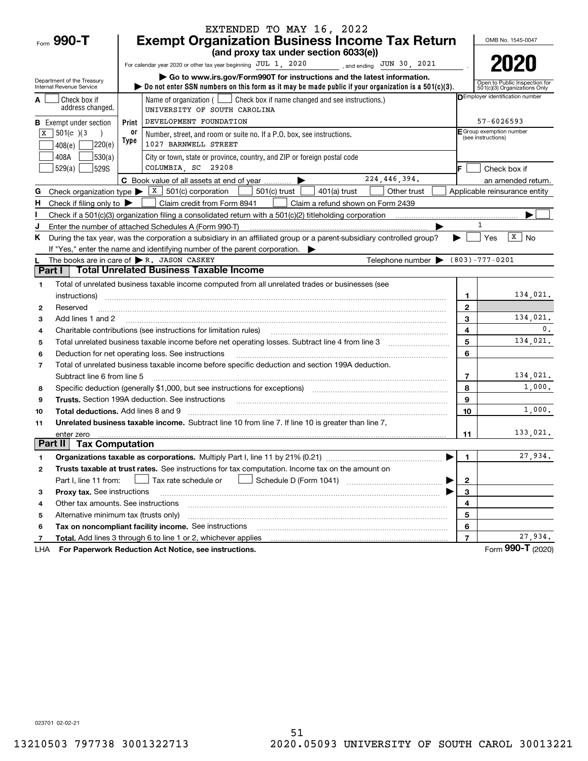|                |                                                        |       | EXTENDED TO MAY 16, 2022                                                                                                                                                                                                       |                   |                                                |                                                               |
|----------------|--------------------------------------------------------|-------|--------------------------------------------------------------------------------------------------------------------------------------------------------------------------------------------------------------------------------|-------------------|------------------------------------------------|---------------------------------------------------------------|
|                | Form 990-T                                             |       | <b>Exempt Organization Business Income Tax Return</b>                                                                                                                                                                          |                   |                                                | OMB No. 1545-0047                                             |
|                |                                                        |       | (and proxy tax under section 6033(e))                                                                                                                                                                                          |                   |                                                |                                                               |
|                |                                                        |       | For calendar year 2020 or other tax year beginning JUL 1, 2020<br>________, and ending JUN 30, 2021                                                                                                                            |                   |                                                | 2020                                                          |
|                | Department of the Treasury<br>Internal Revenue Service |       | Go to www.irs.gov/Form990T for instructions and the latest information.<br>bo not enter SSN numbers on this form as it may be made public if your organization is a $501(c)(3)$ .                                              |                   |                                                | Open to Public Inspection for<br>501(c)(3) Organizations Only |
|                | Check box if                                           |       | Name of organization ( $\Box$ Check box if name changed and see instructions.)                                                                                                                                                 |                   |                                                | DEmployer identification number                               |
|                | address changed.                                       |       | UNIVERSITY OF SOUTH CAROLINA                                                                                                                                                                                                   |                   |                                                |                                                               |
|                | <b>B</b> Exempt under section                          | Print | DEVELOPMENT FOUNDATION                                                                                                                                                                                                         |                   | 57-6026593                                     |                                                               |
| X              | 501(c) 3                                               | 0r    | Number, street, and room or suite no. If a P.O. box, see instructions.                                                                                                                                                         |                   | E Group exemption number<br>(see instructions) |                                                               |
|                | ]220(e)<br>408(e)                                      | Type  | 1027 BARNWELL STREET                                                                                                                                                                                                           |                   |                                                |                                                               |
|                | 530(a) <br>408A                                        |       | City or town, state or province, country, and ZIP or foreign postal code                                                                                                                                                       |                   |                                                |                                                               |
|                | 529(a)<br><b>529S</b>                                  |       | COLUMBIA, SC 29208                                                                                                                                                                                                             |                   |                                                | Check box if                                                  |
|                |                                                        |       | 224,446,394.<br>C Book value of all assets at end of year                                                                                                                                                                      |                   |                                                | an amended return.                                            |
| G              | Check organization type $\blacktriangleright$          |       | $\overline{X}$ 501(c) corporation<br>501(c) trust<br>$401(a)$ trust<br>Other trust                                                                                                                                             |                   |                                                | Applicable reinsurance entity                                 |
| н.             | Check if filing only to $\blacktriangleright$          |       | Claim credit from Form 8941<br>Claim a refund shown on Form 2439                                                                                                                                                               |                   |                                                |                                                               |
|                |                                                        |       |                                                                                                                                                                                                                                |                   |                                                |                                                               |
|                |                                                        |       | Enter the number of attached Schedules A (Form 990-T)                                                                                                                                                                          |                   |                                                |                                                               |
| K.             |                                                        |       | During the tax year, was the corporation a subsidiary in an affiliated group or a parent-subsidiary controlled group?                                                                                                          |                   | Yes                                            | $\overline{x}$   No                                           |
|                |                                                        |       | If "Yes," enter the name and identifying number of the parent corporation.                                                                                                                                                     |                   |                                                |                                                               |
| Part I         |                                                        |       | Telephone number $\bullet$ (803)-777-0201<br>The books are in care of $\blacktriangleright$ R. JASON CASKEY<br><b>Total Unrelated Business Taxable Income</b>                                                                  |                   |                                                |                                                               |
|                |                                                        |       |                                                                                                                                                                                                                                |                   |                                                |                                                               |
| 1              |                                                        |       | Total of unrelated business taxable income computed from all unrelated trades or businesses (see                                                                                                                               |                   |                                                | 134,021.                                                      |
|                | instructions)                                          |       |                                                                                                                                                                                                                                | 1<br>$\mathbf{2}$ |                                                |                                                               |
| 2<br>3         | Reserved<br>Add lines 1 and 2                          |       |                                                                                                                                                                                                                                | 3                 |                                                | 134,021.                                                      |
| 4              |                                                        |       | Charitable contributions (see instructions for limitation rules)                                                                                                                                                               | 4                 |                                                | 0.                                                            |
| 5              |                                                        |       |                                                                                                                                                                                                                                | 5                 |                                                | 134,021.                                                      |
| 6              |                                                        |       | Deduction for net operating loss. See instructions                                                                                                                                                                             | 6                 |                                                |                                                               |
| $\overline{7}$ |                                                        |       | Total of unrelated business taxable income before specific deduction and section 199A deduction.                                                                                                                               |                   |                                                |                                                               |
|                | Subtract line 6 from line 5                            |       |                                                                                                                                                                                                                                | 7                 |                                                | 134,021.                                                      |
| 8              |                                                        |       |                                                                                                                                                                                                                                | 8                 |                                                | 1,000.                                                        |
| 9              |                                                        |       | Trusts. Section 199A deduction. See instructions [11] material material material material material material material material material material material material material material material material material material materi | 9                 |                                                |                                                               |
| 10             | <b>Total deductions.</b> Add lines 8 and 9             |       |                                                                                                                                                                                                                                | 10                |                                                | 1,000.                                                        |
| 11             |                                                        |       | Unrelated business taxable income. Subtract line 10 from line 7. If line 10 is greater than line 7,                                                                                                                            |                   |                                                |                                                               |
|                | enter zero                                             |       |                                                                                                                                                                                                                                | 11                |                                                | 133,021.                                                      |
| Part II        | <b>Tax Computation</b>                                 |       |                                                                                                                                                                                                                                |                   |                                                |                                                               |
| 1              |                                                        |       |                                                                                                                                                                                                                                | 1.                |                                                | 27,934.                                                       |
| 2              |                                                        |       | Trusts taxable at trust rates. See instructions for tax computation. Income tax on the amount on                                                                                                                               |                   |                                                |                                                               |
|                | Part I, line 11 from:                                  |       | Tax rate schedule or                                                                                                                                                                                                           | 2                 |                                                |                                                               |
| 3              | Proxy tax. See instructions                            |       |                                                                                                                                                                                                                                | 3                 |                                                |                                                               |
| 4              | Other tax amounts. See instructions                    |       |                                                                                                                                                                                                                                | 4                 |                                                |                                                               |
| 5              | Alternative minimum tax (trusts only)                  |       |                                                                                                                                                                                                                                | 5                 |                                                |                                                               |
| 6              |                                                        |       | Tax on noncompliant facility income. See instructions                                                                                                                                                                          | 6                 |                                                |                                                               |
| 7              |                                                        |       | Total. Add lines 3 through 6 to line 1 or 2, whichever applies                                                                                                                                                                 | $\overline{7}$    |                                                | 27,934.                                                       |
| LHA            |                                                        |       | For Paperwork Reduction Act Notice, see instructions.                                                                                                                                                                          |                   |                                                | Form 990-T (2020)                                             |

023701 02-02-21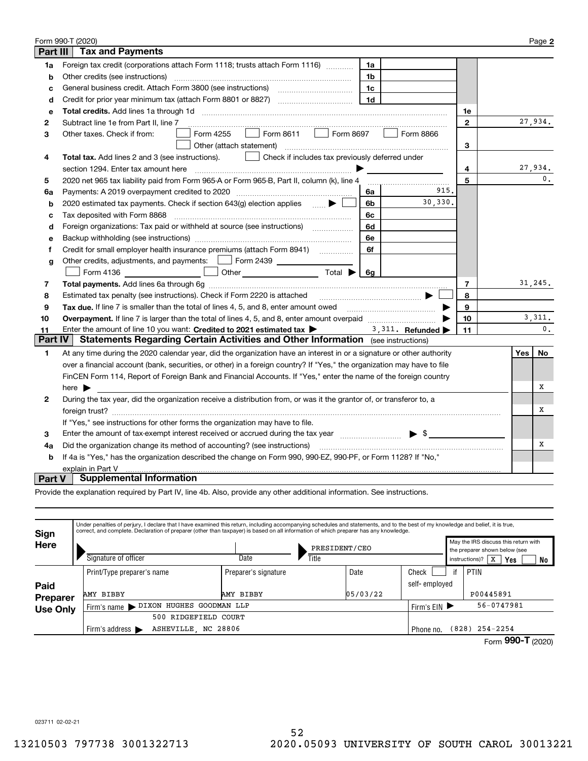|                   | Form 990-T (2020)                                                                                                                                                                |                |  |     | Page 2         |  |  |  |
|-------------------|----------------------------------------------------------------------------------------------------------------------------------------------------------------------------------|----------------|--|-----|----------------|--|--|--|
| <b>Part III</b>   | <b>Tax and Payments</b>                                                                                                                                                          |                |  |     |                |  |  |  |
| 1a                | Foreign tax credit (corporations attach Form 1118; trusts attach Form 1116)<br>1a                                                                                                |                |  |     |                |  |  |  |
| b                 | Other credits (see instructions)<br>1 <sub>b</sub>                                                                                                                               |                |  |     |                |  |  |  |
| c                 | 1c                                                                                                                                                                               |                |  |     |                |  |  |  |
| d                 | 1 <sub>d</sub>                                                                                                                                                                   |                |  |     |                |  |  |  |
| е                 |                                                                                                                                                                                  | 1e             |  |     |                |  |  |  |
| 2                 | Subtract line 1e from Part II, line 7                                                                                                                                            | $\mathbf{2}$   |  |     | 27,934.        |  |  |  |
| з                 | Form 8611<br>Form 8697<br>Form 4255<br>Form 8866<br>Other taxes. Check if from:<br>$\mathbb{R}^n$                                                                                |                |  |     |                |  |  |  |
|                   | Other (attach statement)                                                                                                                                                         | 3              |  |     |                |  |  |  |
| 4                 | Check if includes tax previously deferred under<br>Total tax. Add lines 2 and 3 (see instructions).                                                                              |                |  |     |                |  |  |  |
|                   | section 1294. Enter tax amount here                                                                                                                                              | 4              |  |     | 27,934.        |  |  |  |
| 5                 | 2020 net 965 tax liability paid from Form 965-A or Form 965-B, Part II, column (k), line 4                                                                                       | 5              |  |     | $\mathbf{0}$ . |  |  |  |
| 6a                | 915.<br>Payments: A 2019 overpayment credited to 2020 [11] [11] maximum materials and Payments: A 2019 overpayment credited to 2020 [11] maximum materials and Payments: A<br>6a |                |  |     |                |  |  |  |
| b                 | 30,330.<br>2020 estimated tax payments. Check if section 643(g) election applies $\qquad \qquad \bullet$<br>6b                                                                   |                |  |     |                |  |  |  |
| c                 | Tax deposited with Form 8868<br>6с                                                                                                                                               |                |  |     |                |  |  |  |
| d                 | Foreign organizations: Tax paid or withheld at source (see instructions) [<br>6d                                                                                                 |                |  |     |                |  |  |  |
| е                 | 6e                                                                                                                                                                               |                |  |     |                |  |  |  |
| f                 | Credit for small employer health insurance premiums (attach Form 8941)<br>6f                                                                                                     |                |  |     |                |  |  |  |
| g                 | Other credits, adjustments, and payments:   Form 2439                                                                                                                            |                |  |     |                |  |  |  |
|                   | Form 4136 <b>D</b> Other <b>CONS</b> Other <b>CONS</b> Total<br>6g                                                                                                               |                |  |     |                |  |  |  |
| 7                 |                                                                                                                                                                                  | $\overline{7}$ |  |     | 31,245.        |  |  |  |
| 8                 |                                                                                                                                                                                  | 8              |  |     |                |  |  |  |
| 9                 | Tax due. If line 7 is smaller than the total of lines 4, 5, and 8, enter amount owed                                                                                             | 9              |  |     |                |  |  |  |
| 10                |                                                                                                                                                                                  | 10             |  |     | 3,311.         |  |  |  |
| 11                | Enter the amount of line 10 you want: Credited to 2021 estimated tax ><br>3, 311. Refunded                                                                                       | 11             |  |     | $\mathbf{0}$ . |  |  |  |
| <b>Part IV</b>    | Statements Regarding Certain Activities and Other Information (see instructions)                                                                                                 |                |  |     |                |  |  |  |
| 1                 | At any time during the 2020 calendar year, did the organization have an interest in or a signature or other authority                                                            |                |  | Yes | No             |  |  |  |
|                   | over a financial account (bank, securities, or other) in a foreign country? If "Yes," the organization may have to file                                                          |                |  |     |                |  |  |  |
|                   | FinCEN Form 114, Report of Foreign Bank and Financial Accounts. If "Yes," enter the name of the foreign country                                                                  |                |  |     |                |  |  |  |
|                   | x<br>here $\blacktriangleright$                                                                                                                                                  |                |  |     |                |  |  |  |
| $\mathbf{2}$      | During the tax year, did the organization receive a distribution from, or was it the grantor of, or transferor to, a                                                             |                |  |     |                |  |  |  |
|                   |                                                                                                                                                                                  |                |  |     |                |  |  |  |
|                   | If "Yes," see instructions for other forms the organization may have to file.                                                                                                    |                |  |     |                |  |  |  |
| 3                 | $\blacktriangleright$ \$<br>Enter the amount of tax-exempt interest received or accrued during the tax year [11, 11, 11, 11, 11, 11, 11, 1                                       |                |  |     |                |  |  |  |
| 4a                | Did the organization change its method of accounting? (see instructions)                                                                                                         |                |  |     | Х              |  |  |  |
| b                 | If 4a is "Yes," has the organization described the change on Form 990, 990-EZ, 990-PF, or Form 1128? If "No,"                                                                    |                |  |     |                |  |  |  |
| explain in Part V |                                                                                                                                                                                  |                |  |     |                |  |  |  |
| <b>Part V</b>     | <b>Supplemental Information</b>                                                                                                                                                  |                |  |     |                |  |  |  |

Provide the explanation required by Part IV, line 4b. Also, provide any other additional information. See instructions.

| <b>Sign</b><br>May the IRS discuss this return with<br>Here<br>PRESIDENT/CEO<br>the preparer shown below (see<br>Signature of officer<br>Date<br>Title<br><b>Yes</b><br>instructions)?<br>x<br>Check<br>PTIN<br>Date<br>Preparer's signature<br>Print/Type preparer's name<br>self-employed<br>Paid | Under penalties of perjury, I declare that I have examined this return, including accompanying schedules and statements, and to the best of my knowledge and belief, it is true,<br>correct, and complete. Declaration of preparer (other than taxpayer) is based on all information of which preparer has any knowledge. |  |  |  |  |  |  |  |  |  |  |
|-----------------------------------------------------------------------------------------------------------------------------------------------------------------------------------------------------------------------------------------------------------------------------------------------------|---------------------------------------------------------------------------------------------------------------------------------------------------------------------------------------------------------------------------------------------------------------------------------------------------------------------------|--|--|--|--|--|--|--|--|--|--|
|                                                                                                                                                                                                                                                                                                     | No                                                                                                                                                                                                                                                                                                                        |  |  |  |  |  |  |  |  |  |  |
|                                                                                                                                                                                                                                                                                                     |                                                                                                                                                                                                                                                                                                                           |  |  |  |  |  |  |  |  |  |  |
| 05/03/22<br>P00445891<br>AMY BIBBY<br>AMY BIBBY<br>Preparer                                                                                                                                                                                                                                         |                                                                                                                                                                                                                                                                                                                           |  |  |  |  |  |  |  |  |  |  |
| 56-0747981<br>Firm's name > DIXON HUGHES GOODMAN LLP<br>Firm's $EIN$<br><b>Use Only</b>                                                                                                                                                                                                             |                                                                                                                                                                                                                                                                                                                           |  |  |  |  |  |  |  |  |  |  |
| 500 RIDGEFIELD COURT                                                                                                                                                                                                                                                                                |                                                                                                                                                                                                                                                                                                                           |  |  |  |  |  |  |  |  |  |  |
| ASHEVILLE, NC 28806<br>(828) 254-2254<br>Firm's address $\blacktriangleright$<br>Phone no.                                                                                                                                                                                                          |                                                                                                                                                                                                                                                                                                                           |  |  |  |  |  |  |  |  |  |  |

Form (2020)  **990-T**

023711 02-02-21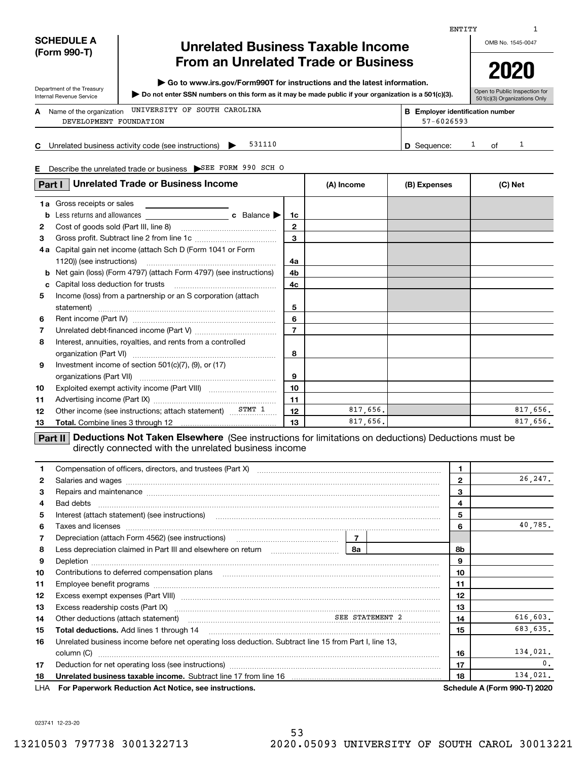| <b>SCHEDULE A</b> |
|-------------------|
| (Form 990-T)      |

Department of the Treasury Internal Revenue Service

# **Unrelated Business Taxable Income From an Unrelated Trade or Business**

**| Go to www.irs.gov/Form990T for instructions and the latest information.**

**Do not enter SSN numbers on this form as it may be made public if your organization is a 501(c)(3). |** 

OMB No. 1545-0047

Open to Public Inspection for **2020**

501(c)(3) Organizations Only

|    | A Name of the organization UNIVERSITY OF SOUTH CAROLINA<br>DEVELOPMENT FOUNDATION | <b>B</b> Employer identification number<br>57-6026593 |    |  |
|----|-----------------------------------------------------------------------------------|-------------------------------------------------------|----|--|
| C. | 531110<br>Unrelated business activity code (see instructions)                     | D Sequence:                                           | ∩f |  |

**E** Describe the unrelated trade or business SEE FORM 990 SCH O

| <b>Unrelated Trade or Business Income</b><br>Part I |                                                                                                                                                                               |                | (A) Income | (B) Expenses | (C) Net  |
|-----------------------------------------------------|-------------------------------------------------------------------------------------------------------------------------------------------------------------------------------|----------------|------------|--------------|----------|
|                                                     | <b>1a</b> Gross receipts or sales                                                                                                                                             |                |            |              |          |
| b                                                   |                                                                                                                                                                               | 1c             |            |              |          |
| $\mathbf{2}$                                        |                                                                                                                                                                               | $\mathbf{2}$   |            |              |          |
| 3                                                   |                                                                                                                                                                               | $\mathbf{a}$   |            |              |          |
|                                                     | 4a Capital gain net income (attach Sch D (Form 1041 or Form                                                                                                                   |                |            |              |          |
|                                                     | 1120)) (see instructions)                                                                                                                                                     | 4a             |            |              |          |
| b                                                   | Net gain (loss) (Form 4797) (attach Form 4797) (see instructions)                                                                                                             | 4b             |            |              |          |
| c                                                   |                                                                                                                                                                               |                |            |              |          |
| 5                                                   | Income (loss) from a partnership or an S corporation (attach                                                                                                                  |                |            |              |          |
|                                                     | statement)                                                                                                                                                                    | 5              |            |              |          |
| 6                                                   |                                                                                                                                                                               | 6              |            |              |          |
| 7                                                   |                                                                                                                                                                               | $\overline{7}$ |            |              |          |
| 8                                                   | Interest, annuities, royalties, and rents from a controlled                                                                                                                   |                |            |              |          |
|                                                     |                                                                                                                                                                               | 8              |            |              |          |
| 9                                                   | Investment income of section $501(c)(7)$ , (9), or (17)                                                                                                                       |                |            |              |          |
|                                                     |                                                                                                                                                                               | 9              |            |              |          |
| 10                                                  |                                                                                                                                                                               | 10             |            |              |          |
| 11                                                  |                                                                                                                                                                               | 11             |            |              |          |
| 12                                                  | Other income (see instructions; attach statement) STMT 1                                                                                                                      | 12             | 817,656.   |              | 817,656. |
| 13                                                  |                                                                                                                                                                               | 13             | 817,656.   |              | 817,656. |
|                                                     | <b>Deductions Not Taken Elsewhere</b> (See instructions for limitations on deductions) Deductions must be<br>Part II<br>directly connected with the unrelated business income |                |            |              |          |

| 1.           |                                                                                                                                                                                                                                           | 1  |                |                |                                     |
|--------------|-------------------------------------------------------------------------------------------------------------------------------------------------------------------------------------------------------------------------------------------|----|----------------|----------------|-------------------------------------|
| $\mathbf{2}$ | Salaries and wages <b>construction and construction of the set of the set of the set of the set of the set of the set of the set of the set of the set of the set of the set of the set of the set of the set of the set of the </b>      |    |                | $\overline{2}$ | 26,247.                             |
| 3            | Repairs and maintenance material content content content and maintenance material content and maintenance material content and maintenance material content and maintenance material content and maintenance material content             |    |                | 3              |                                     |
| 4            | Bad debts                                                                                                                                                                                                                                 |    |                | 4              |                                     |
| 5            | Interest (attach statement) (see instructions)                                                                                                                                                                                            |    |                | 5              |                                     |
| 6            | Taxes and licenses <b>communications</b> and interest and interest and interest and licenses <b>contract and interest and interest and interest and interest and interest and interest and interest and interest and interest and int</b> |    |                | 6              | 40,785.                             |
| 7            |                                                                                                                                                                                                                                           |    |                |                |                                     |
| 8            |                                                                                                                                                                                                                                           | 8а |                | 8b             |                                     |
| 9            |                                                                                                                                                                                                                                           |    |                | 9              |                                     |
| 10           |                                                                                                                                                                                                                                           |    |                | 10             |                                     |
| 11           |                                                                                                                                                                                                                                           |    |                | 11             |                                     |
| 12           |                                                                                                                                                                                                                                           | 12 |                |                |                                     |
| 13           |                                                                                                                                                                                                                                           |    |                | 13             |                                     |
| 14           | Other deductions (attach statement) material contracts and SEE STATEMENT 2                                                                                                                                                                | 14 | 616,603.       |                |                                     |
| 15           | <b>Total deductions.</b> Add lines 1 through 14                                                                                                                                                                                           | 15 | 683,635.       |                |                                     |
| 16           | Unrelated business income before net operating loss deduction. Subtract line 15 from Part I, line 13,                                                                                                                                     |    |                |                |                                     |
|              | column (C)                                                                                                                                                                                                                                |    |                | 16             | 134,021.                            |
| 17           |                                                                                                                                                                                                                                           | 17 | $\mathbf{0}$ . |                |                                     |
| 18           |                                                                                                                                                                                                                                           | 18 | 134,021.       |                |                                     |
| LHA          | For Paperwork Reduction Act Notice, see instructions.                                                                                                                                                                                     |    |                |                | <b>Schedule A (Form 990-T) 2020</b> |

023741 12-23-20

ENTITY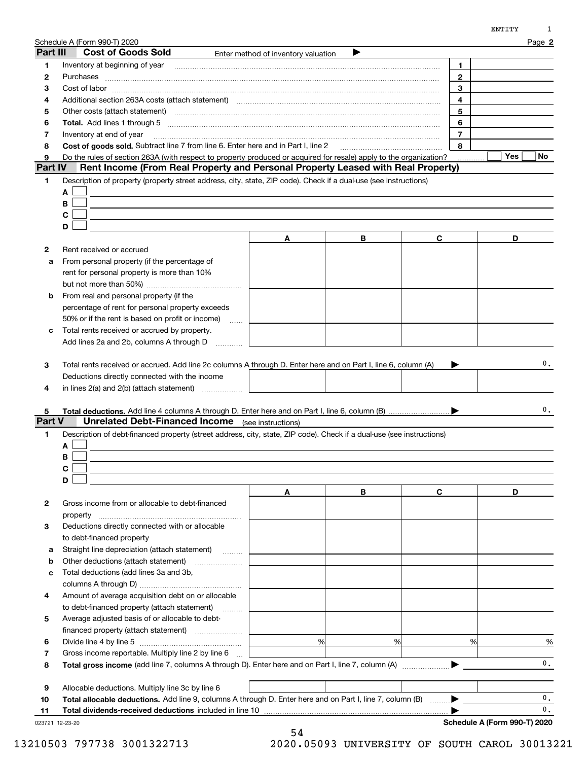|                | Schedule A (Form 990-T) 2020                                                                                                                                                                                                   |                                     |   |                | Page 2    |
|----------------|--------------------------------------------------------------------------------------------------------------------------------------------------------------------------------------------------------------------------------|-------------------------------------|---|----------------|-----------|
| Part III       | <b>Cost of Goods Sold</b>                                                                                                                                                                                                      | Enter method of inventory valuation | ▶ |                |           |
| 1              | Inventory at beginning of year                                                                                                                                                                                                 |                                     |   | 1              |           |
| 2              |                                                                                                                                                                                                                                |                                     |   | $\mathbf{2}$   |           |
| З              | $Cost of labor  \label{thm:main}$                                                                                                                                                                                              | 3                                   |   |                |           |
| 4              | Additional section 263A costs (attach statement) material content and according to the Additional section 263A                                                                                                                 | 4                                   |   |                |           |
| 5              | Other costs (attach statement) manufactured and contract and contract and contract and contract and contract and contract and contract and contract and contract and contract and contract and contract and contract and contr | 5                                   |   |                |           |
| 6              |                                                                                                                                                                                                                                | 6                                   |   |                |           |
| 7              | Inventory at end of year                                                                                                                                                                                                       |                                     |   | $\overline{7}$ |           |
| 8              | Cost of goods sold. Subtract line 7 from line 6. Enter here and in Part I, line 2                                                                                                                                              |                                     |   | 8              |           |
| 9              | Do the rules of section 263A (with respect to property produced or acquired for resale) apply to the organization?                                                                                                             |                                     |   |                | Yes<br>No |
| <b>Part IV</b> | Rent Income (From Real Property and Personal Property Leased with Real Property)                                                                                                                                               |                                     |   |                |           |
| 1              | Description of property (property street address, city, state, ZIP code). Check if a dual-use (see instructions)                                                                                                               |                                     |   |                |           |
|                | A                                                                                                                                                                                                                              |                                     |   |                |           |
|                | В                                                                                                                                                                                                                              |                                     |   |                |           |
|                | С                                                                                                                                                                                                                              |                                     |   |                |           |
|                | D                                                                                                                                                                                                                              |                                     |   |                |           |
|                |                                                                                                                                                                                                                                | Α                                   | В | C              | D         |
|                |                                                                                                                                                                                                                                |                                     |   |                |           |
| 2              | Rent received or accrued                                                                                                                                                                                                       |                                     |   |                |           |
| а              | From personal property (if the percentage of                                                                                                                                                                                   |                                     |   |                |           |
|                | rent for personal property is more than 10%                                                                                                                                                                                    |                                     |   |                |           |
|                |                                                                                                                                                                                                                                |                                     |   |                |           |
| b              | From real and personal property (if the                                                                                                                                                                                        |                                     |   |                |           |
|                | percentage of rent for personal property exceeds                                                                                                                                                                               |                                     |   |                |           |
|                | 50% or if the rent is based on profit or income)<br>$\ldots$                                                                                                                                                                   |                                     |   |                |           |
| с              | Total rents received or accrued by property.                                                                                                                                                                                   |                                     |   |                |           |
|                | Add lines 2a and 2b, columns A through D                                                                                                                                                                                       |                                     |   |                |           |
| 4              | Deductions directly connected with the income<br>in lines 2(a) and 2(b) (attach statement)                                                                                                                                     |                                     |   |                |           |
|                |                                                                                                                                                                                                                                |                                     |   |                |           |
| 5              |                                                                                                                                                                                                                                |                                     |   |                | 0.        |
| <b>Part V</b>  | <b>Unrelated Debt-Financed Income</b> (see instructions)                                                                                                                                                                       |                                     |   |                |           |
| 1.             | Description of debt-financed property (street address, city, state, ZIP code). Check if a dual-use (see instructions)                                                                                                          |                                     |   |                |           |
|                | А                                                                                                                                                                                                                              |                                     |   |                |           |
|                | в                                                                                                                                                                                                                              |                                     |   |                |           |
|                |                                                                                                                                                                                                                                |                                     |   |                |           |
|                | D                                                                                                                                                                                                                              |                                     |   |                |           |
|                |                                                                                                                                                                                                                                | A                                   | В | C              | D         |
|                |                                                                                                                                                                                                                                |                                     |   |                |           |
| 2              | Gross income from or allocable to debt-financed                                                                                                                                                                                |                                     |   |                |           |
|                |                                                                                                                                                                                                                                |                                     |   |                |           |
| з              | Deductions directly connected with or allocable                                                                                                                                                                                |                                     |   |                |           |
|                | to debt-financed property                                                                                                                                                                                                      |                                     |   |                |           |
| а              | Straight line depreciation (attach statement)<br>$\overline{\phantom{a}}$                                                                                                                                                      |                                     |   |                |           |
| b              | Other deductions (attach statement)                                                                                                                                                                                            |                                     |   |                |           |
| с              | Total deductions (add lines 3a and 3b,                                                                                                                                                                                         |                                     |   |                |           |
|                |                                                                                                                                                                                                                                |                                     |   |                |           |
| 4              | Amount of average acquisition debt on or allocable                                                                                                                                                                             |                                     |   |                |           |
|                | to debt-financed property (attach statement)<br>.                                                                                                                                                                              |                                     |   |                |           |
| 5              | Average adjusted basis of or allocable to debt-                                                                                                                                                                                |                                     |   |                |           |
|                | financed property (attach statement)                                                                                                                                                                                           |                                     |   |                |           |
| 6              |                                                                                                                                                                                                                                | %                                   | % | %              | $\%$      |
| 7              | Gross income reportable. Multiply line 2 by line 6                                                                                                                                                                             |                                     |   |                |           |
| 8              |                                                                                                                                                                                                                                |                                     |   |                | 0.        |
|                |                                                                                                                                                                                                                                |                                     |   |                |           |
|                |                                                                                                                                                                                                                                |                                     |   |                |           |
| 9              | Allocable deductions. Multiply line 3c by line 6                                                                                                                                                                               |                                     |   |                |           |

**Total dividends-received deductions** included in line 10 …………………………………………………………………

54

023721 12-23-20

**11**

13210503 797738 3001322713 2020.05093 UNIVERSITY OF SOUTH CAROL 30013221

 $\blacktriangleright$ 

**Schedule A (Form 990-T) 2020**

 $\frac{0}{0}$ .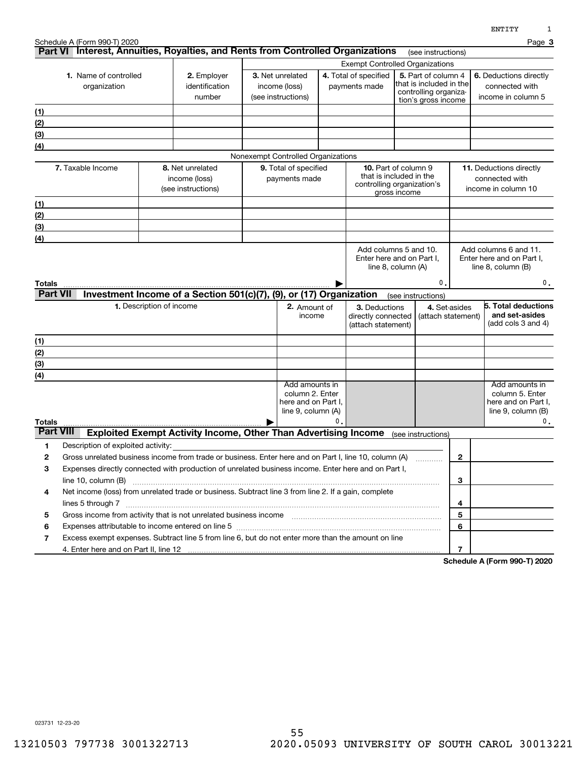|                                       | Schedule A (Form 990-T) 2020                                                                          |                                                                                                                                                                                                                         |  |                                                                                |    |                                                           |                                                                                                |                                     | 1214 T T T<br>Page 3                                                                      |
|---------------------------------------|-------------------------------------------------------------------------------------------------------|-------------------------------------------------------------------------------------------------------------------------------------------------------------------------------------------------------------------------|--|--------------------------------------------------------------------------------|----|-----------------------------------------------------------|------------------------------------------------------------------------------------------------|-------------------------------------|-------------------------------------------------------------------------------------------|
|                                       | Part VI Interest, Annuities, Royalties, and Rents from Controlled Organizations<br>(see instructions) |                                                                                                                                                                                                                         |  |                                                                                |    |                                                           |                                                                                                |                                     |                                                                                           |
|                                       |                                                                                                       |                                                                                                                                                                                                                         |  |                                                                                |    | <b>Exempt Controlled Organizations</b>                    |                                                                                                |                                     |                                                                                           |
| 1. Name of controlled<br>organization |                                                                                                       | 2. Employer<br>identification<br>number                                                                                                                                                                                 |  | 3. Net unrelated<br>income (loss)<br>(see instructions)                        |    | 4. Total of specified<br>payments made                    | 5. Part of column 4<br>that is included in the<br>controlling organiza-<br>tion's gross income |                                     | 6. Deductions directly<br>connected with<br>income in column 5                            |
| <u>(1)</u>                            |                                                                                                       |                                                                                                                                                                                                                         |  |                                                                                |    |                                                           |                                                                                                |                                     |                                                                                           |
| (2)                                   |                                                                                                       |                                                                                                                                                                                                                         |  |                                                                                |    |                                                           |                                                                                                |                                     |                                                                                           |
| (3)                                   |                                                                                                       |                                                                                                                                                                                                                         |  |                                                                                |    |                                                           |                                                                                                |                                     |                                                                                           |
| (4)                                   |                                                                                                       |                                                                                                                                                                                                                         |  |                                                                                |    |                                                           |                                                                                                |                                     |                                                                                           |
|                                       |                                                                                                       |                                                                                                                                                                                                                         |  | Nonexempt Controlled Organizations                                             |    |                                                           |                                                                                                |                                     |                                                                                           |
|                                       | 7. Taxable Income                                                                                     | 8. Net unrelated<br>income (loss)<br>(see instructions)                                                                                                                                                                 |  | 9. Total of specified<br>payments made                                         |    |                                                           | <b>10.</b> Part of column 9<br>that is included in the<br>controlling organization's           |                                     | 11. Deductions directly<br>connected with<br>income in column 10                          |
|                                       |                                                                                                       |                                                                                                                                                                                                                         |  |                                                                                |    |                                                           | gross income                                                                                   |                                     |                                                                                           |
| (1)<br>(2)                            |                                                                                                       |                                                                                                                                                                                                                         |  |                                                                                |    |                                                           |                                                                                                |                                     |                                                                                           |
| (3)                                   |                                                                                                       |                                                                                                                                                                                                                         |  |                                                                                |    |                                                           |                                                                                                |                                     |                                                                                           |
| (4)                                   |                                                                                                       |                                                                                                                                                                                                                         |  |                                                                                |    |                                                           |                                                                                                |                                     |                                                                                           |
| Totals                                |                                                                                                       |                                                                                                                                                                                                                         |  |                                                                                |    |                                                           | Add columns 5 and 10.<br>Enter here and on Part I,<br>line 8, column (A)                       | 0.                                  | Enter here and on Part I,<br>line $8$ , column $(B)$<br>0.                                |
| <b>Part VII</b>                       |                                                                                                       | Investment Income of a Section 501(c)(7), (9), or (17) Organization                                                                                                                                                     |  |                                                                                |    |                                                           | (see instructions)                                                                             |                                     |                                                                                           |
|                                       |                                                                                                       | 1. Description of income                                                                                                                                                                                                |  | 2. Amount of<br>income                                                         |    | 3. Deductions<br>directly connected<br>(attach statement) |                                                                                                | 4. Set-asides<br>(attach statement) | 5. Total deductions<br>and set-asides<br>(add cols 3 and 4)                               |
| (1)                                   |                                                                                                       |                                                                                                                                                                                                                         |  |                                                                                |    |                                                           |                                                                                                |                                     |                                                                                           |
| (2)                                   |                                                                                                       |                                                                                                                                                                                                                         |  |                                                                                |    |                                                           |                                                                                                |                                     |                                                                                           |
| (3)                                   |                                                                                                       |                                                                                                                                                                                                                         |  |                                                                                |    |                                                           |                                                                                                |                                     |                                                                                           |
| (4)                                   |                                                                                                       |                                                                                                                                                                                                                         |  |                                                                                |    |                                                           |                                                                                                |                                     |                                                                                           |
| Totals                                |                                                                                                       |                                                                                                                                                                                                                         |  | Add amounts in<br>column 2. Enter<br>here and on Part I,<br>line 9, column (A) | 0. |                                                           |                                                                                                |                                     | Add amounts in<br>column 5. Enter<br>here and on Part I,<br>line $9$ , column $(B)$<br>0. |
| <b>Part VIII</b>                      |                                                                                                       | <b>Exploited Exempt Activity Income, Other Than Advertising Income</b>                                                                                                                                                  |  |                                                                                |    |                                                           | (see instructions)                                                                             |                                     |                                                                                           |
| 1                                     | Description of exploited activity:                                                                    |                                                                                                                                                                                                                         |  |                                                                                |    |                                                           |                                                                                                |                                     |                                                                                           |
| 2                                     |                                                                                                       | Gross unrelated business income from trade or business. Enter here and on Part I, line 10, column (A)                                                                                                                   |  |                                                                                |    |                                                           |                                                                                                | $\mathbf{2}$                        |                                                                                           |
| 3                                     |                                                                                                       | Expenses directly connected with production of unrelated business income. Enter here and on Part I,                                                                                                                     |  |                                                                                |    |                                                           |                                                                                                |                                     |                                                                                           |
|                                       | line 10, column (B)                                                                                   |                                                                                                                                                                                                                         |  |                                                                                |    |                                                           |                                                                                                | 3                                   |                                                                                           |
| 4                                     |                                                                                                       | Net income (loss) from unrelated trade or business. Subtract line 3 from line 2. If a gain, complete                                                                                                                    |  |                                                                                |    |                                                           |                                                                                                |                                     |                                                                                           |
| 5                                     |                                                                                                       |                                                                                                                                                                                                                         |  |                                                                                |    |                                                           |                                                                                                | 4<br>5                              |                                                                                           |
| 6                                     |                                                                                                       |                                                                                                                                                                                                                         |  |                                                                                |    |                                                           |                                                                                                | 6                                   |                                                                                           |
| 7                                     |                                                                                                       | Expenses attributable to income entered on line 5 [111] [12] manufacture attributable to income entered on line 5<br>Excess exempt expenses. Subtract line 5 from line 6, but do not enter more than the amount on line |  |                                                                                |    |                                                           |                                                                                                |                                     |                                                                                           |
|                                       |                                                                                                       |                                                                                                                                                                                                                         |  |                                                                                |    |                                                           |                                                                                                | 7                                   |                                                                                           |

**Schedule A (Form 990-T) 2020**

023731 12-23-20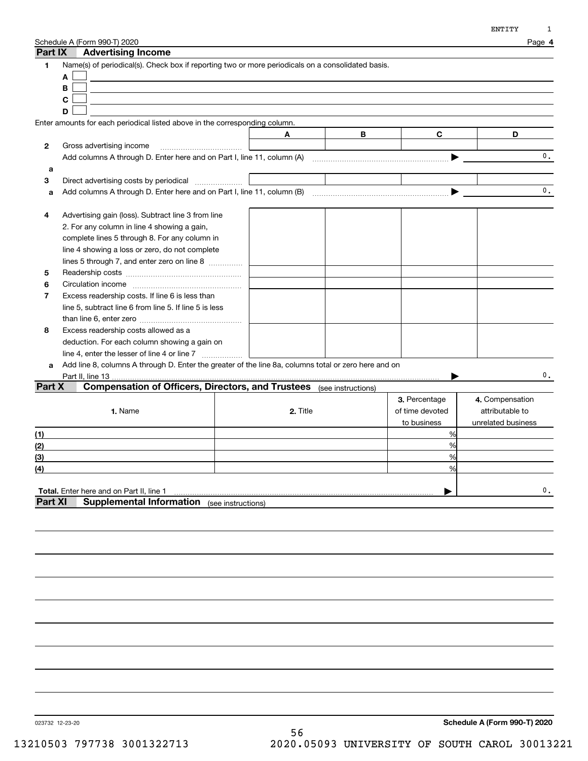| Part IX          | Schedule A (Form 990-T) 2020<br><b>Advertising Income</b>                                            |          |   |                 | Page 4             |
|------------------|------------------------------------------------------------------------------------------------------|----------|---|-----------------|--------------------|
| 1                | Name(s) of periodical(s). Check box if reporting two or more periodicals on a consolidated basis.    |          |   |                 |                    |
|                  | A                                                                                                    |          |   |                 |                    |
|                  | В                                                                                                    |          |   |                 |                    |
|                  | $\mathbf c$                                                                                          |          |   |                 |                    |
|                  | D                                                                                                    |          |   |                 |                    |
|                  | Enter amounts for each periodical listed above in the corresponding column.                          |          |   |                 |                    |
|                  |                                                                                                      | A        | В | $\mathbf{C}$    | D                  |
| 2                | Gross advertising income                                                                             |          |   |                 |                    |
|                  |                                                                                                      |          |   |                 | $\mathbf{0}$ .     |
| a                |                                                                                                      |          |   |                 |                    |
| 3                | Direct advertising costs by periodical                                                               |          |   |                 |                    |
| a                |                                                                                                      |          |   |                 | 0.                 |
|                  |                                                                                                      |          |   |                 |                    |
| 4                | Advertising gain (loss). Subtract line 3 from line                                                   |          |   |                 |                    |
|                  | 2. For any column in line 4 showing a gain,                                                          |          |   |                 |                    |
|                  | complete lines 5 through 8. For any column in                                                        |          |   |                 |                    |
|                  | line 4 showing a loss or zero, do not complete                                                       |          |   |                 |                    |
|                  | lines 5 through 7, and enter zero on line 8                                                          |          |   |                 |                    |
| 5                |                                                                                                      |          |   |                 |                    |
| 6                |                                                                                                      |          |   |                 |                    |
| 7                | Excess readership costs. If line 6 is less than                                                      |          |   |                 |                    |
|                  | line 5, subtract line 6 from line 5. If line 5 is less                                               |          |   |                 |                    |
|                  |                                                                                                      |          |   |                 |                    |
| 8                | Excess readership costs allowed as a                                                                 |          |   |                 |                    |
|                  | deduction. For each column showing a gain on                                                         |          |   |                 |                    |
|                  | line 4, enter the lesser of line 4 or line 7                                                         |          |   |                 |                    |
| a                | Add line 8, columns A through D. Enter the greater of the line 8a, columns total or zero here and on |          |   |                 |                    |
|                  |                                                                                                      |          |   |                 | 0.                 |
| Part X           | <b>Compensation of Officers, Directors, and Trustees</b> (see instructions)                          |          |   |                 |                    |
|                  |                                                                                                      |          |   | 3. Percentage   | 4. Compensation    |
|                  | 1. Name                                                                                              | 2. Title |   | of time devoted | attributable to    |
|                  |                                                                                                      |          |   | to business     | unrelated business |
| (1)              |                                                                                                      |          |   | %               |                    |
| (2)              |                                                                                                      |          |   | %               |                    |
| (3)              |                                                                                                      |          |   | %               |                    |
| $\left(4\right)$ |                                                                                                      |          |   | %               |                    |
|                  |                                                                                                      |          |   |                 |                    |
|                  | Total. Enter here and on Part II, line 1                                                             |          |   |                 | 0.                 |
| <b>Part XI</b>   | <b>Supplemental Information</b> (see instructions)                                                   |          |   |                 |                    |
|                  |                                                                                                      |          |   |                 |                    |
|                  |                                                                                                      |          |   |                 |                    |
|                  |                                                                                                      |          |   |                 |                    |

023732 12-23-20

**Schedule A (Form 990-T) 2020** 56 13210503 797738 3001322713 2020.05093 UNIVERSITY OF SOUTH CAROL 30013221